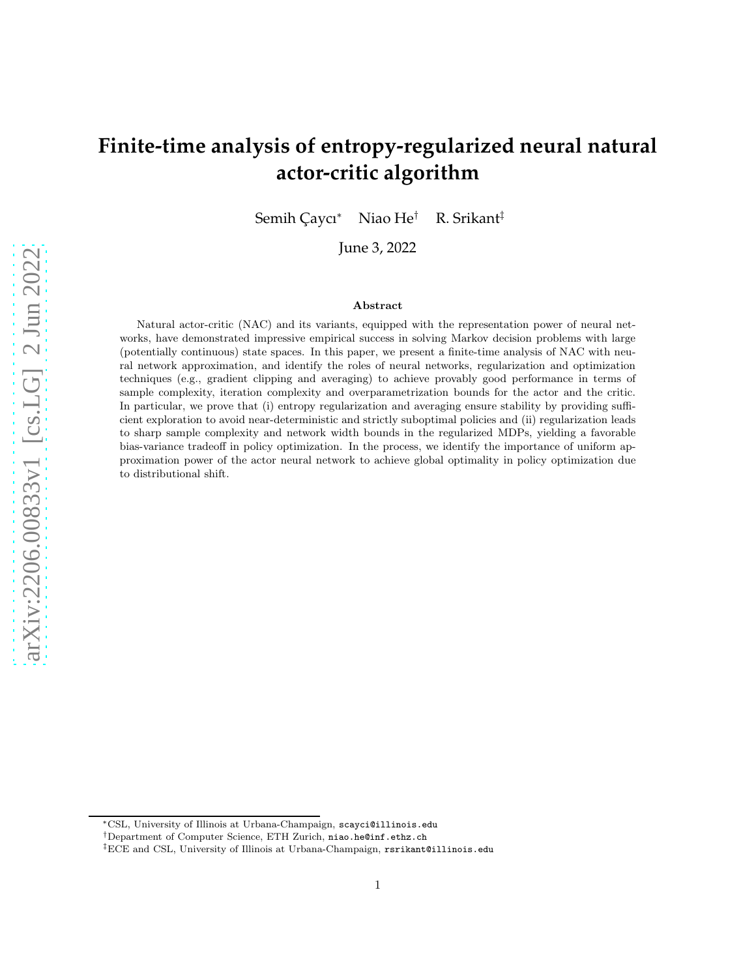# **Finite-time analysis of entropy-regularized neural natural actor-critic algorithm**

Semih Çaycı<sup>∗</sup> Niao He<sup>†</sup> R. Srikant<sup>‡</sup>

June 3, 2022

#### Abstract

Natural actor-critic (NAC) and its variants, equipped with the representation power of neural networks, have demonstrated impressive empirical success in solving Markov decision problems with large (potentially continuous) state spaces. In this paper, we present a finite-time analysis of NAC with neural network approximation, and identify the roles of neural networks, regularization and optimization techniques (e.g., gradient clipping and averaging) to achieve provably good performance in terms of sample complexity, iteration complexity and overparametrization bounds for the actor and the critic. In particular, we prove that (i) entropy regularization and averaging ensure stability by providing sufficient exploration to avoid near-deterministic and strictly suboptimal policies and (ii) regularization leads to sharp sample complexity and network width bounds in the regularized MDPs, yielding a favorable bias-variance tradeoff in policy optimization. In the process, we identify the importance of uniform approximation power of the actor neural network to achieve global optimality in policy optimization due to distributional shift.

<sup>∗</sup>CSL, University of Illinois at Urbana-Champaign, scayci@illinois.edu

<sup>†</sup>Department of Computer Science, ETH Zurich, niao.he@inf.ethz.ch

<sup>‡</sup>ECE and CSL, University of Illinois at Urbana-Champaign, rsrikant@illinois.edu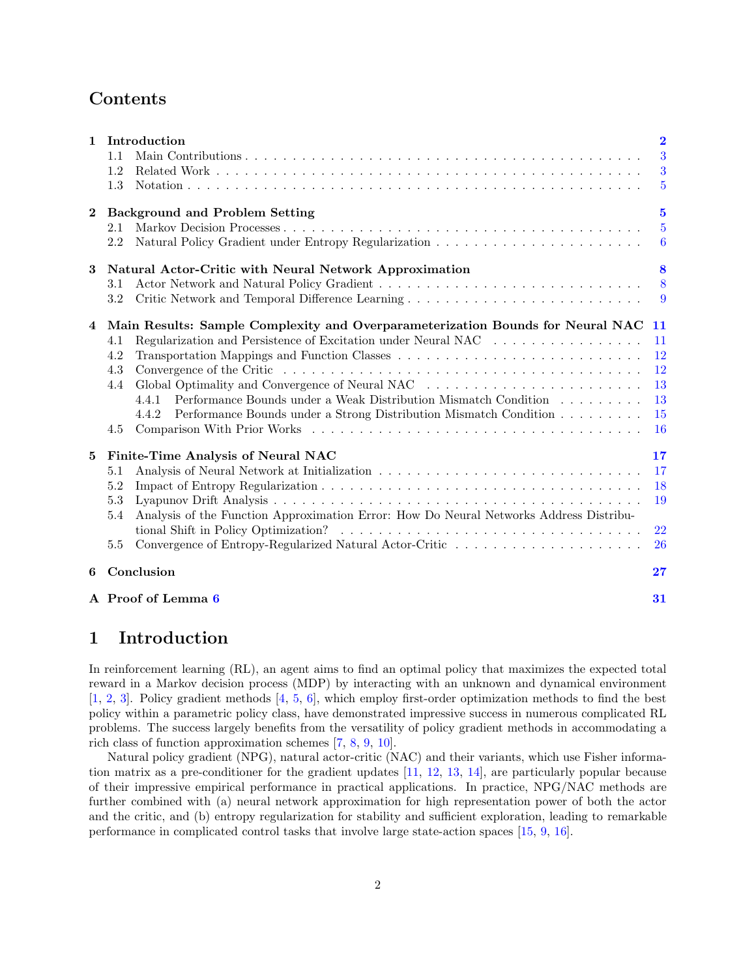## Contents

|              | A Proof of Lemma 6                                                                            | 31                                        |  |  |  |  |
|--------------|-----------------------------------------------------------------------------------------------|-------------------------------------------|--|--|--|--|
| 6            | Conclusion                                                                                    | 27                                        |  |  |  |  |
|              | 5.5                                                                                           | 22<br><b>26</b>                           |  |  |  |  |
|              | Analysis of the Function Approximation Error: How Do Neural Networks Address Distribu-<br>5.4 |                                           |  |  |  |  |
|              | 5.3                                                                                           | 19                                        |  |  |  |  |
|              | 5.2                                                                                           | 18                                        |  |  |  |  |
|              | 5.1                                                                                           | 17                                        |  |  |  |  |
| 5            | Finite-Time Analysis of Neural NAC                                                            | 17                                        |  |  |  |  |
|              | 4.5                                                                                           | <sup>16</sup>                             |  |  |  |  |
|              | Performance Bounds under a Strong Distribution Mismatch Condition<br>4.4.2                    | <b>15</b>                                 |  |  |  |  |
|              | Performance Bounds under a Weak Distribution Mismatch Condition<br>4.4.1                      | 13                                        |  |  |  |  |
|              | Global Optimality and Convergence of Neural NAC<br>4.4                                        | 13                                        |  |  |  |  |
|              | 4.3                                                                                           | 12                                        |  |  |  |  |
|              | 4.2                                                                                           | $12\,$                                    |  |  |  |  |
|              | Regularization and Persistence of Excitation under Neural NAC<br>4.1                          | -11<br>-11                                |  |  |  |  |
| 4            | Main Results: Sample Complexity and Overparameterization Bounds for Neural NAC                |                                           |  |  |  |  |
|              | 3.2                                                                                           | -9                                        |  |  |  |  |
|              | 3.1                                                                                           | 8                                         |  |  |  |  |
| 3            | Natural Actor-Critic with Neural Network Approximation                                        | 8                                         |  |  |  |  |
|              | 2.2                                                                                           | -6                                        |  |  |  |  |
| $\bf{2}$     | <b>Background and Problem Setting</b><br>2.1                                                  | $\overline{\mathbf{5}}$<br>$\overline{5}$ |  |  |  |  |
|              | 1.3                                                                                           | 5                                         |  |  |  |  |
|              | 1.2                                                                                           | 3                                         |  |  |  |  |
|              | 1.1                                                                                           | $\overline{3}$                            |  |  |  |  |
| $\mathbf{1}$ | Introduction                                                                                  | $\overline{\mathbf{2}}$                   |  |  |  |  |

## <span id="page-1-0"></span>1 Introduction

In reinforcement learning (RL), an agent aims to find an optimal policy that maximizes the expected total reward in a Markov decision process (MDP) by interacting with an unknown and dynamical environment [\[1,](#page-27-0) [2,](#page-27-1) [3\]](#page-27-2). Policy gradient methods [\[4,](#page-27-3) [5,](#page-27-4) [6\]](#page-27-5), which employ first-order optimization methods to find the best policy within a parametric policy class, have demonstrated impressive success in numerous complicated RL problems. The success largely benefits from the versatility of policy gradient methods in accommodating a rich class of function approximation schemes [\[7,](#page-27-6) [8,](#page-27-7) [9,](#page-27-8) [10\]](#page-27-9).

Natural policy gradient (NPG), natural actor-critic (NAC) and their variants, which use Fisher information matrix as a pre-conditioner for the gradient updates [\[11,](#page-27-10) [12,](#page-27-11) [13,](#page-27-12) [14\]](#page-27-13), are particularly popular because of their impressive empirical performance in practical applications. In practice, NPG/NAC methods are further combined with (a) neural network approximation for high representation power of both the actor and the critic, and (b) entropy regularization for stability and sufficient exploration, leading to remarkable performance in complicated control tasks that involve large state-action spaces [\[15,](#page-27-14) [9,](#page-27-8) [16\]](#page-27-15).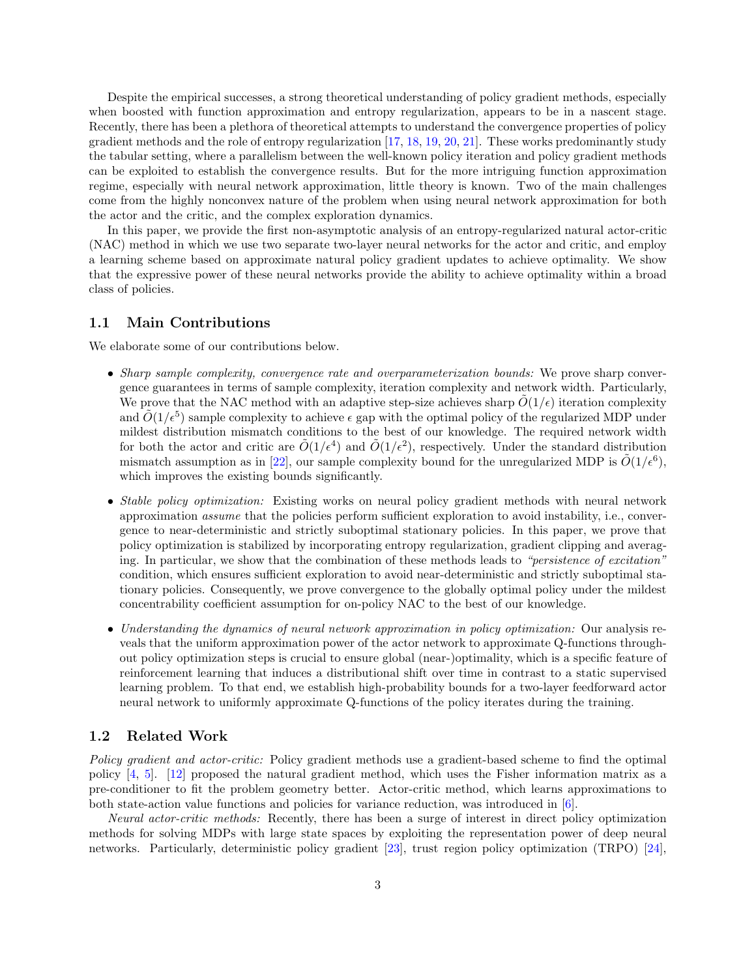Despite the empirical successes, a strong theoretical understanding of policy gradient methods, especially when boosted with function approximation and entropy regularization, appears to be in a nascent stage. Recently, there has been a plethora of theoretical attempts to understand the convergence properties of policy gradient methods and the role of entropy regularization [\[17,](#page-27-16) [18,](#page-27-17) [19,](#page-28-0) [20,](#page-28-1) [21\]](#page-28-2). These works predominantly study the tabular setting, where a parallelism between the well-known policy iteration and policy gradient methods can be exploited to establish the convergence results. But for the more intriguing function approximation regime, especially with neural network approximation, little theory is known. Two of the main challenges come from the highly nonconvex nature of the problem when using neural network approximation for both the actor and the critic, and the complex exploration dynamics.

In this paper, we provide the first non-asymptotic analysis of an entropy-regularized natural actor-critic (NAC) method in which we use two separate two-layer neural networks for the actor and critic, and employ a learning scheme based on approximate natural policy gradient updates to achieve optimality. We show that the expressive power of these neural networks provide the ability to achieve optimality within a broad class of policies.

#### <span id="page-2-0"></span>1.1 Main Contributions

We elaborate some of our contributions below.

- *Sharp sample complexity, convergence rate and overparameterization bounds:* We prove sharp convergence guarantees in terms of sample complexity, iteration complexity and network width. Particularly, We prove that the NAC method with an adaptive step-size achieves sharp  $O(1/\epsilon)$  iteration complexity and  $\tilde{O}(1/\epsilon^5)$  sample complexity to achieve  $\epsilon$  gap with the optimal policy of the regularized MDP under mildest distribution mismatch conditions to the best of our knowledge. The required network width for both the actor and critic are  $\tilde{O}(1/\epsilon^4)$  and  $\tilde{O}(1/\epsilon^2)$ , respectively. Under the standard distribution mismatch assumption as in [\[22\]](#page-28-3), our sample complexity bound for the unregularized MDP is  $\tilde{O}(1/\epsilon^6)$ , which improves the existing bounds significantly.
- *Stable policy optimization:* Existing works on neural policy gradient methods with neural network approximation *assume* that the policies perform sufficient exploration to avoid instability, i.e., convergence to near-deterministic and strictly suboptimal stationary policies. In this paper, we prove that policy optimization is stabilized by incorporating entropy regularization, gradient clipping and averaging. In particular, we show that the combination of these methods leads to *"persistence of excitation"* condition, which ensures sufficient exploration to avoid near-deterministic and strictly suboptimal stationary policies. Consequently, we prove convergence to the globally optimal policy under the mildest concentrability coefficient assumption for on-policy NAC to the best of our knowledge.
- *Understanding the dynamics of neural network approximation in policy optimization:* Our analysis reveals that the uniform approximation power of the actor network to approximate Q-functions throughout policy optimization steps is crucial to ensure global (near-)optimality, which is a specific feature of reinforcement learning that induces a distributional shift over time in contrast to a static supervised learning problem. To that end, we establish high-probability bounds for a two-layer feedforward actor neural network to uniformly approximate Q-functions of the policy iterates during the training.

#### <span id="page-2-1"></span>1.2 Related Work

*Policy gradient and actor-critic:* Policy gradient methods use a gradient-based scheme to find the optimal policy [\[4,](#page-27-3) [5\]](#page-27-4). [\[12\]](#page-27-11) proposed the natural gradient method, which uses the Fisher information matrix as a pre-conditioner to fit the problem geometry better. Actor-critic method, which learns approximations to both state-action value functions and policies for variance reduction, was introduced in [\[6\]](#page-27-5).

*Neural actor-critic methods:* Recently, there has been a surge of interest in direct policy optimization methods for solving MDPs with large state spaces by exploiting the representation power of deep neural networks. Particularly, deterministic policy gradient [\[23\]](#page-28-4), trust region policy optimization (TRPO) [\[24\]](#page-28-5),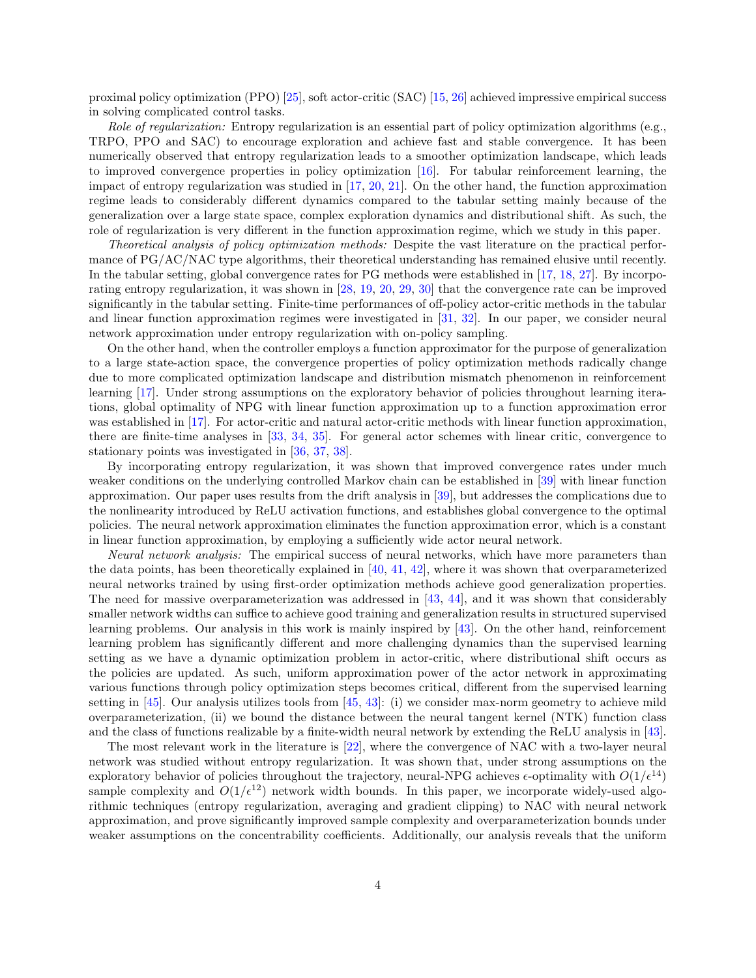proximal policy optimization (PPO) [\[25\]](#page-28-6), soft actor-critic (SAC) [\[15,](#page-27-14) [26\]](#page-28-7) achieved impressive empirical success in solving complicated control tasks.

*Role of regularization:* Entropy regularization is an essential part of policy optimization algorithms (e.g., TRPO, PPO and SAC) to encourage exploration and achieve fast and stable convergence. It has been numerically observed that entropy regularization leads to a smoother optimization landscape, which leads to improved convergence properties in policy optimization [\[16\]](#page-27-15). For tabular reinforcement learning, the impact of entropy regularization was studied in [\[17,](#page-27-16) [20,](#page-28-1) [21\]](#page-28-2). On the other hand, the function approximation regime leads to considerably different dynamics compared to the tabular setting mainly because of the generalization over a large state space, complex exploration dynamics and distributional shift. As such, the role of regularization is very different in the function approximation regime, which we study in this paper.

*Theoretical analysis of policy optimization methods:* Despite the vast literature on the practical performance of PG/AC/NAC type algorithms, their theoretical understanding has remained elusive until recently. In the tabular setting, global convergence rates for PG methods were established in [\[17,](#page-27-16) [18,](#page-27-17) [27\]](#page-28-8). By incorporating entropy regularization, it was shown in [\[28,](#page-28-9) [19,](#page-28-0) [20,](#page-28-1) [29,](#page-28-10) [30\]](#page-28-11) that the convergence rate can be improved significantly in the tabular setting. Finite-time performances of off-policy actor-critic methods in the tabular and linear function approximation regimes were investigated in [\[31,](#page-28-12) [32\]](#page-28-13). In our paper, we consider neural network approximation under entropy regularization with on-policy sampling.

On the other hand, when the controller employs a function approximator for the purpose of generalization to a large state-action space, the convergence properties of policy optimization methods radically change due to more complicated optimization landscape and distribution mismatch phenomenon in reinforcement learning [\[17\]](#page-27-16). Under strong assumptions on the exploratory behavior of policies throughout learning iterations, global optimality of NPG with linear function approximation up to a function approximation error was established in [\[17\]](#page-27-16). For actor-critic and natural actor-critic methods with linear function approximation, there are finite-time analyses in [\[33,](#page-28-14) [34,](#page-28-15) [35\]](#page-28-16). For general actor schemes with linear critic, convergence to stationary points was investigated in [\[36,](#page-28-17) [37,](#page-29-0) [38\]](#page-29-1).

By incorporating entropy regularization, it was shown that improved convergence rates under much weaker conditions on the underlying controlled Markov chain can be established in [\[39\]](#page-29-2) with linear function approximation. Our paper uses results from the drift analysis in [\[39\]](#page-29-2), but addresses the complications due to the nonlinearity introduced by ReLU activation functions, and establishes global convergence to the optimal policies. The neural network approximation eliminates the function approximation error, which is a constant in linear function approximation, by employing a sufficiently wide actor neural network.

*Neural network analysis:* The empirical success of neural networks, which have more parameters than the data points, has been theoretically explained in [\[40,](#page-29-3) [41,](#page-29-4) [42\]](#page-29-5), where it was shown that overparameterized neural networks trained by using first-order optimization methods achieve good generalization properties. The need for massive overparameterization was addressed in [\[43,](#page-29-6) [44\]](#page-29-7), and it was shown that considerably smaller network widths can suffice to achieve good training and generalization results in structured supervised learning problems. Our analysis in this work is mainly inspired by [\[43\]](#page-29-6). On the other hand, reinforcement learning problem has significantly different and more challenging dynamics than the supervised learning setting as we have a dynamic optimization problem in actor-critic, where distributional shift occurs as the policies are updated. As such, uniform approximation power of the actor network in approximating various functions through policy optimization steps becomes critical, different from the supervised learning setting in [\[45\]](#page-29-8). Our analysis utilizes tools from [\[45,](#page-29-8) [43\]](#page-29-6): (i) we consider max-norm geometry to achieve mild overparameterization, (ii) we bound the distance between the neural tangent kernel (NTK) function class and the class of functions realizable by a finite-width neural network by extending the ReLU analysis in [\[43\]](#page-29-6).

The most relevant work in the literature is [\[22\]](#page-28-3), where the convergence of NAC with a two-layer neural network was studied without entropy regularization. It was shown that, under strong assumptions on the exploratory behavior of policies throughout the trajectory, neural-NPG achieves  $\epsilon$ -optimality with  $O(1/\epsilon^{14})$ sample complexity and  $O(1/\epsilon^{12})$  network width bounds. In this paper, we incorporate widely-used algorithmic techniques (entropy regularization, averaging and gradient clipping) to NAC with neural network approximation, and prove significantly improved sample complexity and overparameterization bounds under weaker assumptions on the concentrability coefficients. Additionally, our analysis reveals that the uniform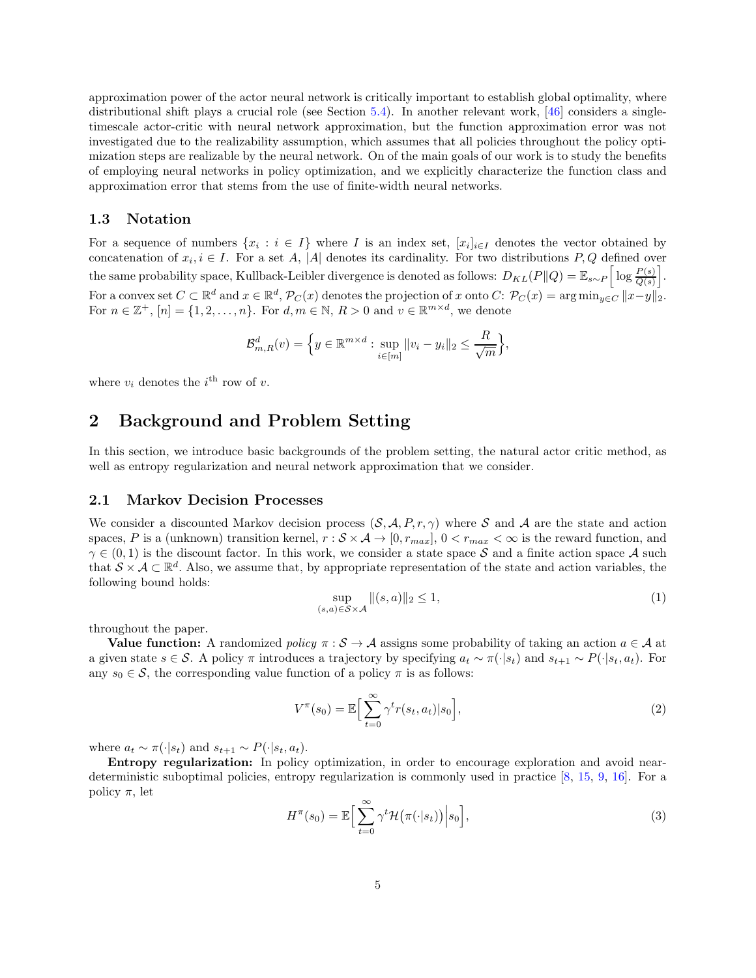approximation power of the actor neural network is critically important to establish global optimality, where distributional shift plays a crucial role (see Section [5.4\)](#page-21-0). In another relevant work, [\[46\]](#page-29-9) considers a singletimescale actor-critic with neural network approximation, but the function approximation error was not investigated due to the realizability assumption, which assumes that all policies throughout the policy optimization steps are realizable by the neural network. On of the main goals of our work is to study the benefits of employing neural networks in policy optimization, and we explicitly characterize the function class and approximation error that stems from the use of finite-width neural networks.

#### <span id="page-4-0"></span>1.3 Notation

For a sequence of numbers  $\{x_i : i \in I\}$  where I is an index set,  $[x_i]_{i \in I}$  denotes the vector obtained by concatenation of  $x_i, i \in I$ . For a set A, |A| denotes its cardinality. For two distributions P, Q defined over the same probability space, Kullback-Leibler divergence is denoted as follows:  $D_{KL}(P||Q) = \mathbb{E}_{s \sim P} \left[ \log \frac{P(s)}{Q(s)} \right]$ i . For a convex set  $C \subset \mathbb{R}^d$  and  $x \in \mathbb{R}^d$ ,  $\mathcal{P}_C(x)$  denotes the projection of x onto  $C: \mathcal{P}_C(x) = \arg \min_{y \in C} ||x - y||_2$ . For  $n \in \mathbb{Z}^+$ ,  $[n] = \{1, 2, \ldots, n\}$ . For  $d, m \in \mathbb{N}$ ,  $R > 0$  and  $v \in \mathbb{R}^{m \times d}$ , we denote

$$
\mathcal{B}_{m,R}^d(v) = \left\{ y \in \mathbb{R}^{m \times d} : \sup_{i \in [m]} ||v_i - y_i||_2 \le \frac{R}{\sqrt{m}} \right\},\
$$

<span id="page-4-1"></span>where  $v_i$  denotes the  $i^{\text{th}}$  row of v.

## 2 Background and Problem Setting

<span id="page-4-2"></span>In this section, we introduce basic backgrounds of the problem setting, the natural actor critic method, as well as entropy regularization and neural network approximation that we consider.

#### 2.1 Markov Decision Processes

We consider a discounted Markov decision process  $(S, \mathcal{A}, P, r, \gamma)$  where S and A are the state and action spaces, P is a (unknown) transition kernel,  $r : \mathcal{S} \times \mathcal{A} \to [0, r_{max}]$ ,  $0 < r_{max} < \infty$  is the reward function, and  $\gamma \in (0, 1)$  is the discount factor. In this work, we consider a state space S and a finite action space A such that  $S \times A \subset \mathbb{R}^d$ . Also, we assume that, by appropriate representation of the state and action variables, the following bound holds:

$$
\sup_{(s,a)\in\mathcal{S}\times\mathcal{A}}\|(s,a)\|_2\leq 1,\tag{1}
$$

throughout the paper.

**Value function:** A randomized *policy*  $\pi : \mathcal{S} \to \mathcal{A}$  assigns some probability of taking an action  $a \in \mathcal{A}$  at a given state  $s \in \mathcal{S}$ . A policy π introduces a trajectory by specifying  $a_t \sim \pi(\cdot|s_t)$  and  $s_{t+1} \sim P(\cdot|s_t, a_t)$ . For any  $s_0 \in \mathcal{S}$ , the corresponding value function of a policy  $\pi$  is as follows:

$$
V^{\pi}(s_0) = \mathbb{E}\Big[\sum_{t=0}^{\infty} \gamma^t r(s_t, a_t) | s_0\Big],\tag{2}
$$

where  $a_t \sim \pi(\cdot|s_t)$  and  $s_{t+1} \sim P(\cdot|s_t, a_t)$ .

Entropy regularization: In policy optimization, in order to encourage exploration and avoid neardeterministic suboptimal policies, entropy regularization is commonly used in practice [\[8,](#page-27-7) [15,](#page-27-14) [9,](#page-27-8) [16\]](#page-27-15). For a policy  $\pi$ , let

$$
H^{\pi}(s_0) = \mathbb{E}\Big[\sum_{t=0}^{\infty} \gamma^t \mathcal{H}\big(\pi(\cdot|s_t)\big)\Big| s_0\Big],\tag{3}
$$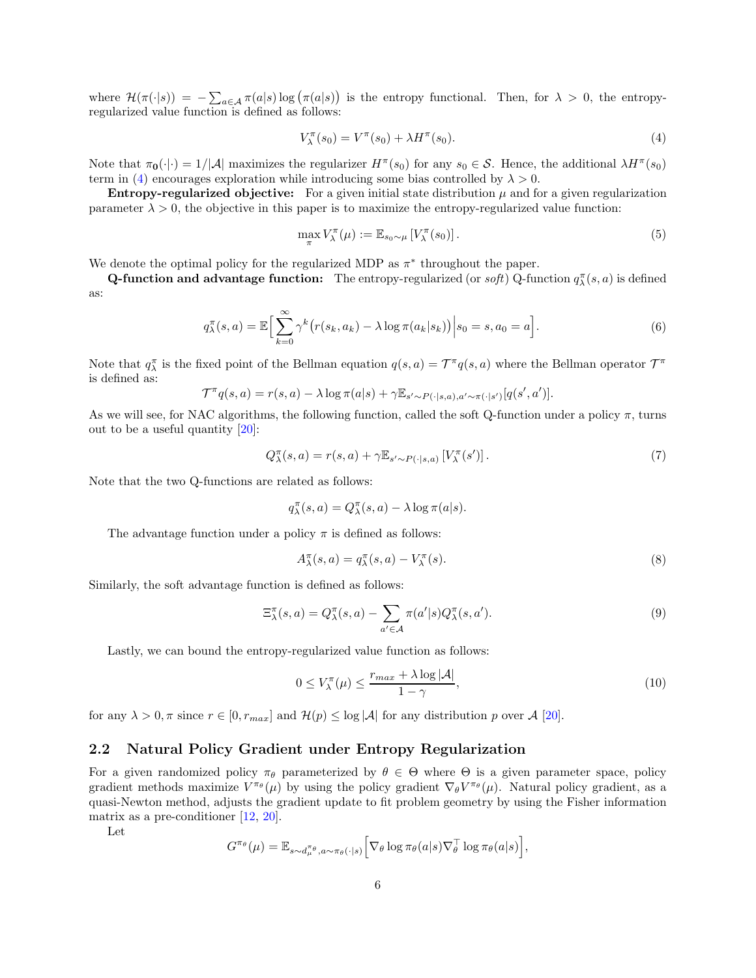where  $\mathcal{H}(\pi(\cdot|s)) = -\sum_{a \in \mathcal{A}} \pi(a|s) \log(\pi(a|s))$  is the entropy functional. Then, for  $\lambda > 0$ , the entropyregularized value function is defined as follows:

<span id="page-5-1"></span>
$$
V_{\lambda}^{\pi}(s_0) = V^{\pi}(s_0) + \lambda H^{\pi}(s_0). \tag{4}
$$

Note that  $\pi_0(\cdot|\cdot) = 1/|\mathcal{A}|$  maximizes the regularizer  $H^{\pi}(s_0)$  for any  $s_0 \in \mathcal{S}$ . Hence, the additional  $\lambda H^{\pi}(s_0)$ term in [\(4\)](#page-5-1) encourages exploration while introducing some bias controlled by  $\lambda > 0$ .

**Entropy-regularized objective:** For a given initial state distribution  $\mu$  and for a given regularization parameter  $\lambda > 0$ , the objective in this paper is to maximize the entropy-regularized value function:

<span id="page-5-3"></span>
$$
\max_{\pi} V_{\lambda}^{\pi}(\mu) := \mathbb{E}_{s_0 \sim \mu} \left[ V_{\lambda}^{\pi}(s_0) \right]. \tag{5}
$$

We denote the optimal policy for the regularized MDP as  $\pi^*$  throughout the paper.

**Q-function and advantage function:** The entropy-regularized (or *soft*) Q-function  $q_\lambda^{\pi}(s, a)$  is defined as:

$$
q_{\lambda}^{\pi}(s, a) = \mathbb{E}\Big[\sum_{k=0}^{\infty} \gamma^{k} \big(r(s_{k}, a_{k}) - \lambda \log \pi(a_{k}|s_{k})\big)\Big|s_{0}=s, a_{0}=a\Big].
$$
\n
$$
(6)
$$

Note that  $q_{\lambda}^{\pi}$  is the fixed point of the Bellman equation  $q(s, a) = \mathcal{T}^{\pi}q(s, a)$  where the Bellman operator  $\mathcal{T}^{\pi}$ is defined as:

$$
\mathcal{T}^{\pi}q(s,a) = r(s,a) - \lambda \log \pi(a|s) + \gamma \mathbb{E}_{s' \sim P(\cdot|s,a),a' \sim \pi(\cdot|s')}[q(s',a')].
$$

As we will see, for NAC algorithms, the following function, called the soft Q-function under a policy  $\pi$ , turns out to be a useful quantity [\[20\]](#page-28-1):

$$
Q_{\lambda}^{\pi}(s, a) = r(s, a) + \gamma \mathbb{E}_{s' \sim P(\cdot | s, a)} \left[ V_{\lambda}^{\pi}(s') \right]. \tag{7}
$$

Note that the two Q-functions are related as follows:

$$
q^{\pi}_{\lambda}(s, a) = Q^{\pi}_{\lambda}(s, a) - \lambda \log \pi(a|s).
$$

The advantage function under a policy  $\pi$  is defined as follows:

<span id="page-5-4"></span>
$$
A_{\lambda}^{\pi}(s, a) = q_{\lambda}^{\pi}(s, a) - V_{\lambda}^{\pi}(s).
$$
\n(8)

Similarly, the soft advantage function is defined as follows:

<span id="page-5-2"></span>
$$
\Xi_{\lambda}^{\pi}(s,a) = Q_{\lambda}^{\pi}(s,a) - \sum_{a' \in \mathcal{A}} \pi(a'|s) Q_{\lambda}^{\pi}(s,a'). \tag{9}
$$

Lastly, we can bound the entropy-regularized value function as follows:

$$
0 \le V_{\lambda}^{\pi}(\mu) \le \frac{r_{max} + \lambda \log |\mathcal{A}|}{1 - \gamma},\tag{10}
$$

<span id="page-5-0"></span>for any  $\lambda > 0$ ,  $\pi$  since  $r \in [0, r_{max}]$  and  $\mathcal{H}(p) \leq \log |\mathcal{A}|$  for any distribution p over  $\mathcal{A}$  [\[20\]](#page-28-1).

#### 2.2 Natural Policy Gradient under Entropy Regularization

For a given randomized policy  $\pi_{\theta}$  parameterized by  $\theta \in \Theta$  where  $\Theta$  is a given parameter space, policy gradient methods maximize  $V^{\pi_\theta}(\mu)$  by using the policy gradient  $\nabla_\theta V^{\pi_\theta}(\mu)$ . Natural policy gradient, as a quasi-Newton method, adjusts the gradient update to fit problem geometry by using the Fisher information matrix as a pre-conditioner [\[12,](#page-27-11) [20\]](#page-28-1).

Let

$$
G^{\pi_{\theta}}(\mu) = \mathbb{E}_{s \sim d_{\mu}^{\pi_{\theta}}, a \sim \pi_{\theta}(\cdot | s)} \Big[ \nabla_{\theta} \log \pi_{\theta}(a | s) \nabla_{\theta}^{\top} \log \pi_{\theta}(a | s) \Big],
$$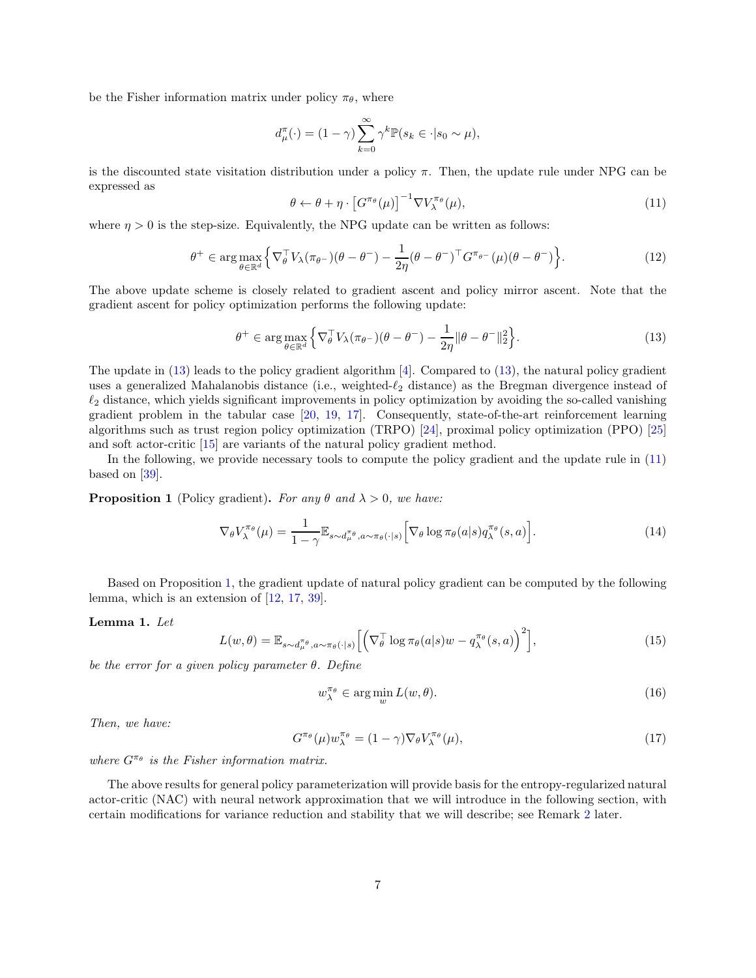be the Fisher information matrix under policy  $\pi_{\theta}$ , where

$$
d_{\mu}^{\pi}(\cdot) = (1 - \gamma) \sum_{k=0}^{\infty} \gamma^{k} \mathbb{P}(s_k \in \cdot | s_0 \sim \mu),
$$

is the discounted state visitation distribution under a policy  $\pi$ . Then, the update rule under NPG can be expressed as

<span id="page-6-2"></span>
$$
\theta \leftarrow \theta + \eta \cdot \left[ G^{\pi_{\theta}}(\mu) \right]^{-1} \nabla V_{\lambda}^{\pi_{\theta}}(\mu), \tag{11}
$$

where  $\eta > 0$  is the step-size. Equivalently, the NPG update can be written as follows:

$$
\theta^+ \in \arg\max_{\theta \in \mathbb{R}^d} \left\{ \nabla_{\theta}^{\top} V_{\lambda} (\pi_{\theta^-}) (\theta - \theta^-) - \frac{1}{2\eta} (\theta - \theta^-)^{\top} G^{\pi_{\theta^-}} (\mu) (\theta - \theta^-) \right\}.
$$
 (12)

The above update scheme is closely related to gradient ascent and policy mirror ascent. Note that the gradient ascent for policy optimization performs the following update:

<span id="page-6-1"></span>
$$
\theta^+ \in \arg\max_{\theta \in \mathbb{R}^d} \left\{ \nabla_{\theta}^{\top} V_{\lambda}(\pi_{\theta^-}) (\theta - \theta^-) - \frac{1}{2\eta} \|\theta - \theta^-\|_2^2 \right\}.
$$
 (13)

The update in  $(13)$  leads to the policy gradient algorithm  $[4]$ . Compared to  $(13)$ , the natural policy gradient uses a generalized Mahalanobis distance (i.e., weighted- $\ell_2$  distance) as the Bregman divergence instead of  $\ell_2$  distance, which yields significant improvements in policy optimization by avoiding the so-called vanishing gradient problem in the tabular case [\[20,](#page-28-1) [19,](#page-28-0) [17\]](#page-27-16). Consequently, state-of-the-art reinforcement learning algorithms such as trust region policy optimization (TRPO) [\[24\]](#page-28-5), proximal policy optimization (PPO) [\[25\]](#page-28-6) and soft actor-critic [\[15\]](#page-27-14) are variants of the natural policy gradient method.

In the following, we provide necessary tools to compute the policy gradient and the update rule in [\(11\)](#page-6-2) based on [\[39\]](#page-29-2).

**Proposition 1** (Policy gradient). *For any*  $\theta$  *and*  $\lambda > 0$ *, we have:* 

<span id="page-6-3"></span>
$$
\nabla_{\theta} V_{\lambda}^{\pi_{\theta}}(\mu) = \frac{1}{1 - \gamma} \mathbb{E}_{s \sim d_{\mu}^{\pi_{\theta}}, a \sim \pi_{\theta}(\cdot | s)} \Big[ \nabla_{\theta} \log \pi_{\theta}(a | s) q_{\lambda}^{\pi_{\theta}}(s, a) \Big]. \tag{14}
$$

Based on Proposition [1,](#page-6-3) the gradient update of natural policy gradient can be computed by the following lemma, which is an extension of [\[12,](#page-27-11) [17,](#page-27-16) [39\]](#page-29-2).

#### Lemma 1. *Let*

$$
L(w,\theta) = \mathbb{E}_{s \sim d_{\mu}^{\pi_{\theta}}, a \sim \pi_{\theta}(\cdot|s)} \left[ \left( \nabla_{\theta}^{\top} \log \pi_{\theta}(a|s) w - q_{\lambda}^{\pi_{\theta}}(s, a) \right)^{2} \right],
$$
\n(15)

*be the error for a given policy parameter* θ*. Define*

$$
w_{\lambda}^{\pi_{\theta}} \in \arg\min_{w} L(w, \theta). \tag{16}
$$

*Then, we have:*

$$
G^{\pi_{\theta}}(\mu)w_{\lambda}^{\pi_{\theta}} = (1 - \gamma)\nabla_{\theta}V_{\lambda}^{\pi_{\theta}}(\mu), \qquad (17)
$$

*where*  $G^{\pi_{\theta}}$  *is the Fisher information matrix.* 

<span id="page-6-0"></span>The above results for general policy parameterization will provide basis for the entropy-regularized natural actor-critic (NAC) with neural network approximation that we will introduce in the following section, with certain modifications for variance reduction and stability that we will describe; see Remark [2](#page-8-1) later.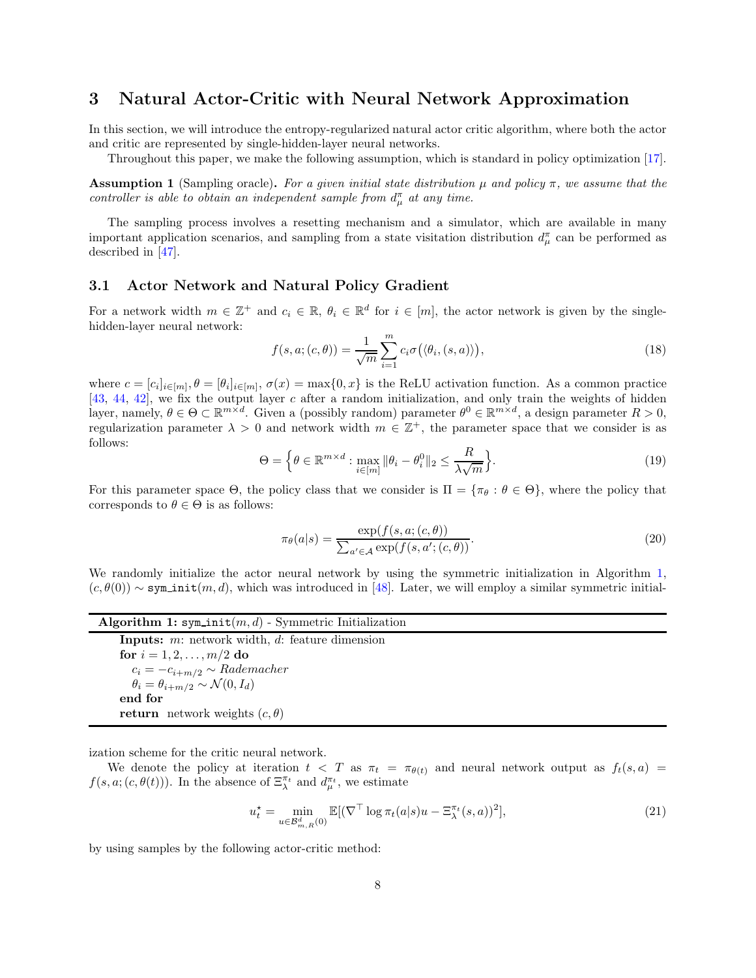### 3 Natural Actor-Critic with Neural Network Approximation

In this section, we will introduce the entropy-regularized natural actor critic algorithm, where both the actor and critic are represented by single-hidden-layer neural networks.

Throughout this paper, we make the following assumption, which is standard in policy optimization [\[17\]](#page-27-16).

<span id="page-7-3"></span>**Assumption 1** (Sampling oracle). For a given initial state distribution  $\mu$  and policy  $\pi$ , we assume that the *controller is able to obtain an independent sample from*  $d_{\mu}^{\pi}$  *at any time.* 

<span id="page-7-0"></span>The sampling process involves a resetting mechanism and a simulator, which are available in many important application scenarios, and sampling from a state visitation distribution  $d_{\mu}^{\pi}$  can be performed as described in [\[47\]](#page-29-10).

#### 3.1 Actor Network and Natural Policy Gradient

For a network width  $m \in \mathbb{Z}^+$  and  $c_i \in \mathbb{R}$ ,  $\theta_i \in \mathbb{R}^d$  for  $i \in [m]$ , the actor network is given by the singlehidden-layer neural network:

$$
f(s, a; (c, \theta)) = \frac{1}{\sqrt{m}} \sum_{i=1}^{m} c_i \sigma(\langle \theta_i, (s, a) \rangle), \qquad (18)
$$

where  $c = [c_i]_{i \in [m]}, \theta = [\theta_i]_{i \in [m]}, \sigma(x) = \max\{0, x\}$  is the ReLU activation function. As a common practice [\[43,](#page-29-6) [44,](#page-29-7) [42\]](#page-29-5), we fix the output layer c after a random initialization, and only train the weights of hidden layer, namely,  $\theta \in \Theta \subset \mathbb{R}^{m \times d}$ . Given a (possibly random) parameter  $\theta^0 \in \mathbb{R}^{m \times d}$ , a design parameter  $R > 0$ , regularization parameter  $\lambda > 0$  and network width  $m \in \mathbb{Z}^+$ , the parameter space that we consider is as follows:

$$
\Theta = \left\{ \theta \in \mathbb{R}^{m \times d} : \max_{i \in [m]} \|\theta_i - \theta_i^0\|_2 \le \frac{R}{\lambda \sqrt{m}} \right\}.
$$
\n(19)

For this parameter space  $\Theta$ , the policy class that we consider is  $\Pi = {\pi_\theta : \theta \in \Theta}$ , where the policy that corresponds to  $\theta \in \Theta$  is as follows:

<span id="page-7-1"></span>
$$
\pi_{\theta}(a|s) = \frac{\exp(f(s, a; (c, \theta)))}{\sum_{a' \in \mathcal{A}} \exp(f(s, a'; (c, \theta)))}.
$$
\n(20)

We randomly initialize the actor neural network by using the symmetric initialization in Algorithm [1,](#page-7-1)  $(c, \theta(0)) \sim \text{sym\_init}(m, d)$ , which was introduced in [\[48\]](#page-29-11). Later, we will employ a similar symmetric initial-

| Algorithm 1: sym init $(m, d)$ - Symmetric Initialization                                 |  |  |  |  |  |  |
|-------------------------------------------------------------------------------------------|--|--|--|--|--|--|
| <b>Inputs:</b> $m$ : network width, $d$ : feature dimension                               |  |  |  |  |  |  |
| for $i = 1, 2, , m/2$ do                                                                  |  |  |  |  |  |  |
|                                                                                           |  |  |  |  |  |  |
|                                                                                           |  |  |  |  |  |  |
| end for                                                                                   |  |  |  |  |  |  |
| <b>return</b> network weights $(c, \theta)$                                               |  |  |  |  |  |  |
| $c_i = -c_{i+m/2} \sim Rademacher$<br>$\theta_i = \theta_{i+m/2} \sim \mathcal{N}(0,I_d)$ |  |  |  |  |  |  |

ization scheme for the critic neural network.

We denote the policy at iteration  $t < T$  as  $\pi_t = \pi_{\theta(t)}$  and neural network output as  $f_t(s, a)$  $f(s, a; (c, \theta(t)))$ . In the absence of  $\Xi_\lambda^{\pi_t}$  and  $d_\mu^{\pi_t}$ , we estimate

<span id="page-7-2"></span>
$$
u_t^* = \min_{u \in \mathcal{B}_{m,R}^d(0)} \mathbb{E}[(\nabla^\top \log \pi_t(a|s)u - \Xi_\lambda^{\pi_t}(s,a))^2],\tag{21}
$$

by using samples by the following actor-critic method: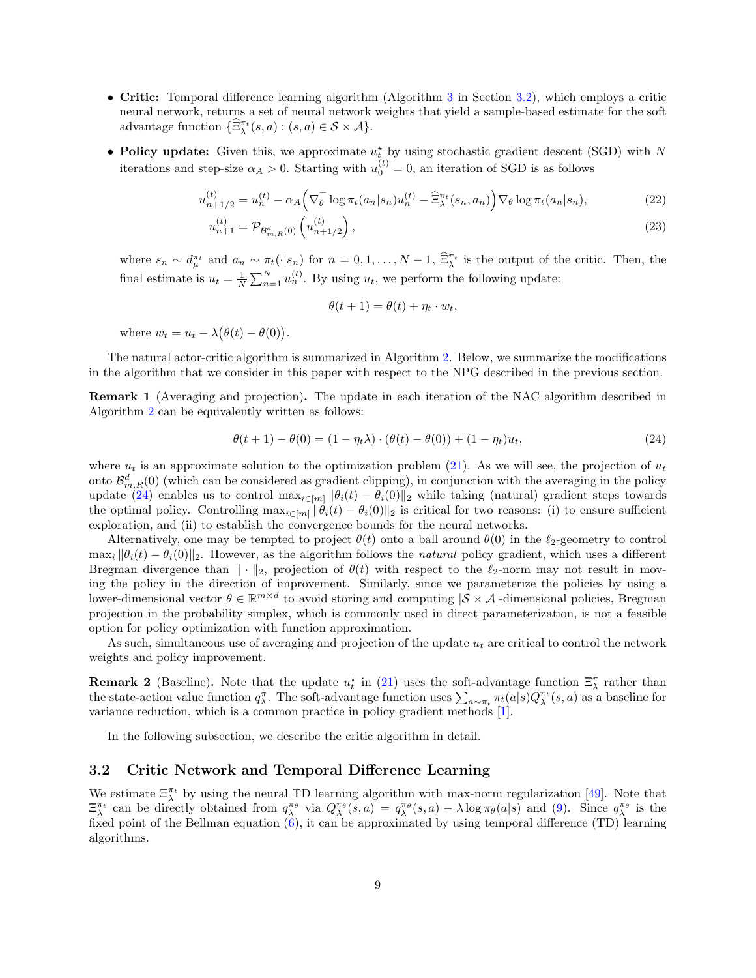- Critic: Temporal difference learning algorithm (Algorithm [3](#page-10-2) in Section [3.2\)](#page-8-0), which employs a critic neural network, returns a set of neural network weights that yield a sample-based estimate for the soft advantage function  $\{\widehat{\Xi}_{\lambda}^{\pi_t}(s,a) : (s,a) \in \mathcal{S} \times \mathcal{A}\}.$
- Policy update: Given this, we approximate  $u_t^*$  by using stochastic gradient descent (SGD) with N iterations and step-size  $\alpha_A > 0$ . Starting with  $u_0^{(t)} = 0$ , an iteration of SGD is as follows

$$
u_{n+1/2}^{(t)} = u_n^{(t)} - \alpha_A \left( \nabla_{\theta}^{\top} \log \pi_t(a_n | s_n) u_n^{(t)} - \hat{\Xi}_{\lambda}^{\pi_t}(s_n, a_n) \right) \nabla_{\theta} \log \pi_t(a_n | s_n), \tag{22}
$$

$$
u_{n+1}^{(t)} = \mathcal{P}_{\mathcal{B}_{m,R}^d(0)}\left(u_{n+1/2}^{(t)}\right),\tag{23}
$$

where  $s_n \sim d_\mu^{\pi_t}$  and  $a_n \sim \pi_t(\cdot|s_n)$  for  $n = 0, 1, \ldots, N-1$ ,  $\widehat{\Xi}_{\lambda}^{\pi_t}$  is the output of the critic. Then, the final estimate is  $u_t = \frac{1}{N} \sum_{n=1}^{N} u_n^{(t)}$ . By using  $u_t$ , we perform the following update:

<span id="page-8-3"></span>
$$
\theta(t+1) = \theta(t) + \eta_t \cdot w_t,
$$

where  $w_t = u_t - \lambda (\theta(t) - \theta(0)).$ 

The natural actor-critic algorithm is summarized in Algorithm [2.](#page-9-0) Below, we summarize the modifications in the algorithm that we consider in this paper with respect to the NPG described in the previous section.

Remark 1 (Averaging and projection). The update in each iteration of the NAC algorithm described in Algorithm [2](#page-9-0) can be equivalently written as follows:

<span id="page-8-2"></span>
$$
\theta(t+1) - \theta(0) = (1 - \eta_t \lambda) \cdot (\theta(t) - \theta(0)) + (1 - \eta_t) u_t,
$$
\n(24)

where  $u_t$  is an approximate solution to the optimization problem [\(21\)](#page-7-2). As we will see, the projection of  $u_t$ onto  $\mathcal{B}_{m,R}^d(0)$  (which can be considered as gradient clipping), in conjunction with the averaging in the policy update [\(24\)](#page-8-2) enables us to control  $\max_{i\in[m]}\|\theta_i(t) - \theta_i(0)\|_2$  while taking (natural) gradient steps towards the optimal policy. Controlling  $\max_{i \in [m]} ||\hat{\theta}_i(t) - \theta_i(0)||_2$  is critical for two reasons: (i) to ensure sufficient exploration, and (ii) to establish the convergence bounds for the neural networks.

Alternatively, one may be tempted to project  $\theta(t)$  onto a ball around  $\theta(0)$  in the  $\ell_2$ -geometry to control  $\max_i ||\theta_i(t) - \theta_i(0)||_2$ . However, as the algorithm follows the *natural* policy gradient, which uses a different Bregman divergence than  $\|\cdot\|_2$ , projection of  $\theta(t)$  with respect to the  $\ell_2$ -norm may not result in moving the policy in the direction of improvement. Similarly, since we parameterize the policies by using a lower-dimensional vector  $\theta \in \mathbb{R}^{m \times d}$  to avoid storing and computing  $|\mathcal{S} \times \mathcal{A}|$ -dimensional policies, Bregman projection in the probability simplex, which is commonly used in direct parameterization, is not a feasible option for policy optimization with function approximation.

As such, simultaneous use of averaging and projection of the update  $u_t$  are critical to control the network weights and policy improvement.

<span id="page-8-1"></span>**Remark 2** (Baseline). Note that the update  $u_t^*$  in [\(21\)](#page-7-2) uses the soft-advantage function  $\Xi_\lambda^{\pi}$  rather than the state-action value function  $q_{\lambda}^{\pi}$ . The soft-advantage function uses  $\sum_{a \sim \pi_t} \pi_t(a|s) Q_{\lambda}^{\pi_t}(s, a)$  as a baseline for variance reduction, which is a common practice in policy gradient methods [\[1\]](#page-27-0).

<span id="page-8-0"></span>In the following subsection, we describe the critic algorithm in detail.

#### 3.2 Critic Network and Temporal Difference Learning

We estimate  $\Xi_{\lambda}^{\pi_t}$  by using the neural TD learning algorithm with max-norm regularization [\[49\]](#page-29-12). Note that  $\Xi_\lambda^{\pi_t}$  can be directly obtained from  $q_\lambda^{\pi_\theta}$  via  $Q_\lambda^{\pi_\theta}(s, a) = q_\lambda^{\pi_\theta}(s, a) - \lambda \log \pi_\theta(a|s)$  and [\(9\)](#page-5-2). Since  $q_\lambda^{\pi_\theta}$  is the fixed point of the Bellman equation  $(6)$ , it can be approximated by using temporal difference (TD) learning algorithms.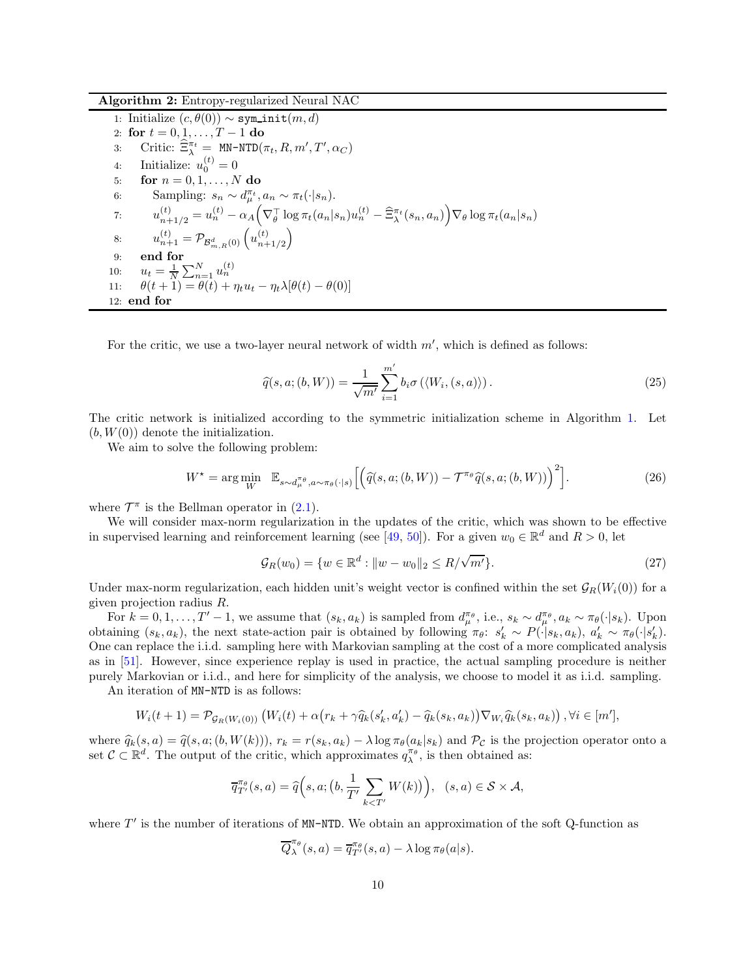Algorithm 2: Entropy-regularized Neural NAC

<span id="page-9-2"></span><span id="page-9-0"></span>1: Initialize  $(c, \theta(0)) \sim \text{sym}_i$ init $(m, d)$ 2: for  $t = 0, 1, ..., T - 1$  do<br>3: Critic:  $\widehat{\Xi}_{\lambda}^{\pi_t} = \text{MN-NTD}(\tau)$ 3: Critic:  $\widehat{\Xi}_{\lambda}^{\pi_t} = \texttt{MN-NTD}(\pi_t, R, m', T', \alpha_C)$ 4: Initialize:  $u_0^{(t)} = 0$ 5: **for**  $n = 0, 1, ..., N$  do 6: Sampling:  $s_n \sim d_\mu^{\pi_t}, a_n \sim \pi_t(\cdot|s_n)$ . 7:  $u_{n+1/2}^{(t)} = u_n^{(t)} - \alpha_A \left( \nabla_{\theta}^{\top} \log \pi_t(a_n|s_n) u_n^{(t)} - \hat{\Xi}_{\lambda}^{\pi_t}(s_n, a_n) \right) \nabla_{\theta} \log \pi_t(a_n|s_n)$ 8:  $u_{n+1}^{(t)} = \mathcal{P}_{\mathcal{B}_{m,R}^d(0)}\left(u_{n+1}^{(t)}\right)$  $n+1/2$  $\setminus$ 9: end for 10:  $u_t = \frac{1}{N} \sum_{n=1}^{N} u_n^{(t)}$ 11:  $\theta(t+1) = \theta(t) + \eta_t u_t - \eta_t \lambda[\theta(t) - \theta(0)]$ 12: end for

<span id="page-9-3"></span>For the critic, we use a two-layer neural network of width  $m'$ , which is defined as follows:

<span id="page-9-1"></span>
$$
\widehat{q}(s, a; (b, W)) = \frac{1}{\sqrt{m'}} \sum_{i=1}^{m'} b_i \sigma(\langle W_i, (s, a) \rangle).
$$
\n(25)

The critic network is initialized according to the symmetric initialization scheme in Algorithm [1.](#page-7-1) Let  $(b, W(0))$  denote the initialization.

We aim to solve the following problem:

$$
W^* = \arg\min_{W} \mathbb{E}_{s \sim d_{\mu}^{\pi_{\theta}}, a \sim \pi_{\theta}(\cdot | s)} \left[ \left( \widehat{q}(s, a; (b, W)) - \mathcal{T}^{\pi_{\theta}} \widehat{q}(s, a; (b, W)) \right)^2 \right]. \tag{26}
$$

where  $\mathcal{T}^{\pi}$  is the Bellman operator in [\(2.1\)](#page-5-3).

We will consider max-norm regularization in the updates of the critic, which was shown to be effective in supervised learning and reinforcement learning (see [\[49,](#page-29-12) [50\]](#page-29-13)). For a given  $w_0 \in \mathbb{R}^d$  and  $R > 0$ , let

$$
\mathcal{G}_R(w_0) = \{ w \in \mathbb{R}^d : ||w - w_0||_2 \le R/\sqrt{m'} \}.
$$
\n(27)

Under max-norm regularization, each hidden unit's weight vector is confined within the set  $\mathcal{G}_R(W_i(0))$  for a given projection radius R.

For  $k = 0, 1, \ldots, T' - 1$ , we assume that  $(s_k, a_k)$  is sampled from  $d_{\mu}^{\pi_{\theta}}$ , i.e.,  $s_k \sim d_{\mu}^{\pi_{\theta}}$ ,  $a_k \sim \pi_{\theta}(\cdot | s_k)$ . Upon obtaining  $(s_k, a_k)$ , the next state-action pair is obtained by following  $\pi_{\theta}$ :  $s'_k \sim P(\cdot|s_k, a_k)$ ,  $a'_k \sim \pi_{\theta}(\cdot|s'_k)$ . One can replace the i.i.d. sampling here with Markovian sampling at the cost of a more complicated analysis as in [\[51\]](#page-29-14). However, since experience replay is used in practice, the actual sampling procedure is neither purely Markovian or i.i.d., and here for simplicity of the analysis, we choose to model it as i.i.d. sampling.

An iteration of MN-NTD is as follows:

$$
W_i(t+1) = \mathcal{P}_{\mathcal{G}_R(W_i(0))}\left(W_i(t) + \alpha \big(r_k + \gamma \widehat{q}_k(s'_k, a'_k) - \widehat{q}_k(s_k, a_k)\big)\nabla_{W_i}\widehat{q}_k(s_k, a_k)\right), \forall i \in [m'],
$$

where  $\hat{q}_k(s, a) = \hat{q}(s, a; (b, W(k))), r_k = r(s_k, a_k) - \lambda \log \pi_\theta(a_k|s_k)$  and  $\mathcal{P}_{\mathcal{C}}$  is the projection operator onto a set  $\mathcal{C} \subset \mathbb{R}^d$ . The output of the critic, which approximates  $q_{\lambda}^{\pi_{\theta}}$ , is then obtained as:

$$
\overline{q}_{T'}^{\pi_{\theta}}(s, a) = \widehat{q}\Big(s, a; \big(b, \frac{1}{T'} \sum_{k < T'} W(k)\big)\Big), \quad (s, a) \in \mathcal{S} \times \mathcal{A},
$$

where  $T'$  is the number of iterations of MN-NTD. We obtain an approximation of the soft Q-function as

$$
\overline{Q}_{\lambda}^{\pi_{\theta}}(s, a) = \overline{q}_{T'}^{\pi_{\theta}}(s, a) - \lambda \log \pi_{\theta}(a|s).
$$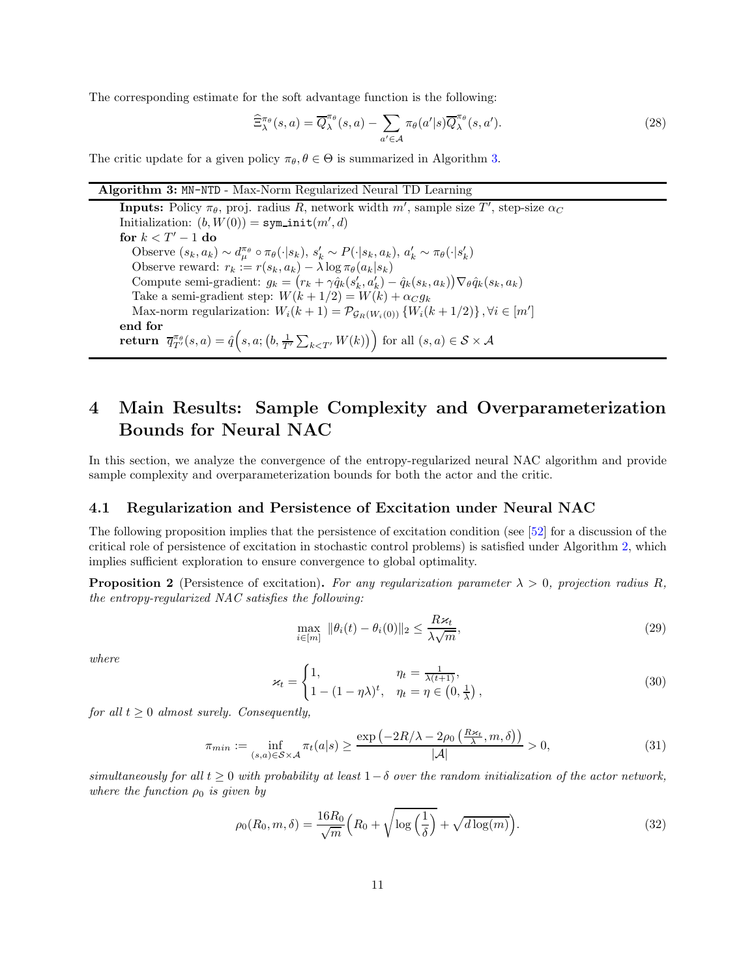The corresponding estimate for the soft advantage function is the following:

<span id="page-10-2"></span>
$$
\widehat{\Xi}_{\lambda}^{\pi_{\theta}}(s,a) = \overline{Q}_{\lambda}^{\pi_{\theta}}(s,a) - \sum_{a' \in \mathcal{A}} \pi_{\theta}(a'|s) \overline{Q}_{\lambda}^{\pi_{\theta}}(s,a'). \tag{28}
$$

The critic update for a given policy  $\pi_{\theta}, \theta \in \Theta$  is summarized in Algorithm [3.](#page-10-2)

#### Algorithm 3: MN-NTD - Max-Norm Regularized Neural TD Learning

**Inputs:** Policy  $\pi_{\theta}$ , proj. radius R, network width  $m'$ , sample size T', step-size  $\alpha_C$ Initialization:  $(b, W(0)) = \texttt{syminit}(m', d)$ for  $k < T^\prime - 1$  do Observe  $(s_k, a_k) \sim d_{\mu}^{\pi_{\theta}} \circ \pi_{\theta}(\cdot | s_k), s'_k \sim P(\cdot | s_k, a_k), a'_k \sim \pi_{\theta}(\cdot | s'_k)$ Observe reward:  $r_k := r(s_k, a_k) - \lambda \log \pi_\theta(a_k|s_k)$ Compute semi-gradient:  $g_k = (r_k + \gamma \hat{q}_k(s'_k, a'_k) - \hat{q}_k(s_k, a_k)) \nabla_{\theta} \hat{q}_k(s_k, a_k)$ Take a semi-gradient step:  $W(k + 1/2) = W(k) + \alpha_C g_k$ Max-norm regularization:  $W_i(k+1) = \mathcal{P}_{\mathcal{G}_R(W_i(0))} \{W_i(k+1/2)\}, \forall i \in [m']$ end for Feturn  $\overline{q}_{T'}^{\pi_{\theta}}(s, a) = \hat{q} \Big(s, a; \big(b, \frac{1}{T'} \sum_{k \leq T'} W(k) \big) \Big)$  for all  $(s, a) \in S \times A$ 

## <span id="page-10-0"></span>4 Main Results: Sample Complexity and Overparameterization Bounds for Neural NAC

<span id="page-10-1"></span>In this section, we analyze the convergence of the entropy-regularized neural NAC algorithm and provide sample complexity and overparameterization bounds for both the actor and the critic.

#### 4.1 Regularization and Persistence of Excitation under Neural NAC

The following proposition implies that the persistence of excitation condition (see [\[52\]](#page-29-15) for a discussion of the critical role of persistence of excitation in stochastic control problems) is satisfied under Algorithm [2,](#page-9-0) which implies sufficient exploration to ensure convergence to global optimality.

**Proposition 2** (Persistence of excitation). For any regularization parameter  $\lambda > 0$ , projection radius R, *the entropy-regularized NAC satisfies the following:*

<span id="page-10-4"></span>
$$
\max_{i \in [m]} \|\theta_i(t) - \theta_i(0)\|_2 \le \frac{R\varkappa_t}{\lambda \sqrt{m}},\tag{29}
$$

*where*

$$
\varkappa_t = \begin{cases} 1, & \eta_t = \frac{1}{\lambda(t+1)}, \\ 1 - (1 - \eta \lambda)^t, & \eta_t = \eta \in \left(0, \frac{1}{\lambda}\right), \end{cases} \tag{30}
$$

*for all*  $t \geq 0$  *almost surely. Consequently,* 

$$
\pi_{min} := \inf_{(s,a) \in \mathcal{S} \times \mathcal{A}} \pi_t(a|s) \ge \frac{\exp\left(-2R/\lambda - 2\rho_0\left(\frac{Rx_t}{\lambda}, m, \delta\right)\right)}{|\mathcal{A}|} > 0,\tag{31}
$$

 $s$ *imultaneously for all*  $t > 0$  *with probability at least*  $1-\delta$  *over the random initialization of the actor network. where the function*  $\rho_0$  *is given by* 

<span id="page-10-3"></span>
$$
\rho_0(R_0, m, \delta) = \frac{16R_0}{\sqrt{m}} \left( R_0 + \sqrt{\log\left(\frac{1}{\delta}\right)} + \sqrt{d \log(m)} \right). \tag{32}
$$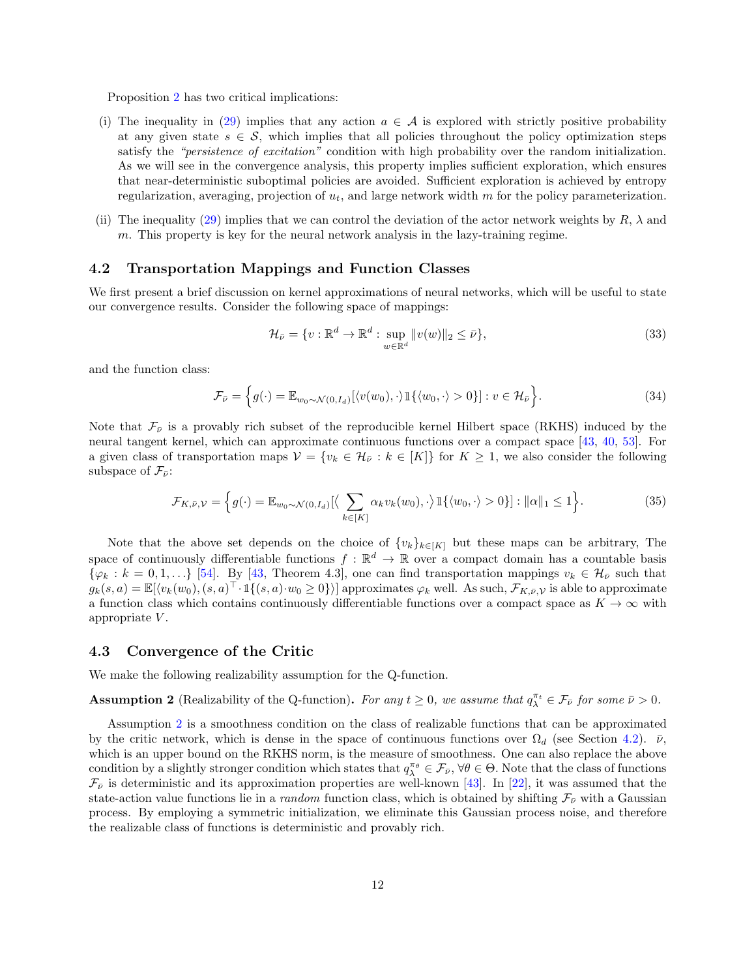Proposition [2](#page-10-3) has two critical implications:

- (i) The inequality in [\(29\)](#page-10-4) implies that any action  $a \in \mathcal{A}$  is explored with strictly positive probability at any given state  $s \in \mathcal{S}$ , which implies that all policies throughout the policy optimization steps satisfy the *"persistence of excitation"* condition with high probability over the random initialization. As we will see in the convergence analysis, this property implies sufficient exploration, which ensures that near-deterministic suboptimal policies are avoided. Sufficient exploration is achieved by entropy regularization, averaging, projection of  $u_t$ , and large network width m for the policy parameterization.
- (ii) The inequality [\(29\)](#page-10-4) implies that we can control the deviation of the actor network weights by  $R$ ,  $\lambda$  and m. This property is key for the neural network analysis in the lazy-training regime.

#### <span id="page-11-0"></span>4.2 Transportation Mappings and Function Classes

We first present a brief discussion on kernel approximations of neural networks, which will be useful to state our convergence results. Consider the following space of mappings:

$$
\mathcal{H}_{\bar{\nu}} = \{v : \mathbb{R}^d \to \mathbb{R}^d : \sup_{w \in \mathbb{R}^d} ||v(w)||_2 \le \bar{\nu}\},\tag{33}
$$

and the function class:

$$
\mathcal{F}_{\bar{\nu}} = \left\{ g(\cdot) = \mathbb{E}_{w_0 \sim \mathcal{N}(0, I_d)} [\langle v(w_0), \cdot \rangle \mathbb{1} \{ \langle w_0, \cdot \rangle > 0 \}] : v \in \mathcal{H}_{\bar{\nu}} \right\}.
$$
\n(34)

Note that  $\mathcal{F}_p$  is a provably rich subset of the reproducible kernel Hilbert space (RKHS) induced by the neural tangent kernel, which can approximate continuous functions over a compact space [\[43,](#page-29-6) [40,](#page-29-3) [53\]](#page-29-16). For a given class of transportation maps  $V = \{v_k \in \mathcal{H}_v : k \in [K]\}$  for  $K \geq 1$ , we also consider the following subspace of  $\mathcal{F}_{\bar{\nu}}$ :

$$
\mathcal{F}_{K,\bar{\nu},\mathcal{V}} = \left\{ g(\cdot) = \mathbb{E}_{w_0 \sim \mathcal{N}(0,I_d)} \left[ \langle \sum_{k \in [K]} \alpha_k v_k(w_0), \cdot \rangle \mathbb{1} \{ \langle w_0, \cdot \rangle > 0 \} \right] : ||\alpha||_1 \le 1 \right\}.
$$
\n(35)

Note that the above set depends on the choice of  $\{v_k\}_{k\in[K]}$  but these maps can be arbitrary, The space of continuously differentiable functions  $f : \mathbb{R}^d \to \mathbb{R}$  over a compact domain has a countable basis  $\{\varphi_k : k = 0, 1, ...\}$  [\[54\]](#page-29-17). By [\[43,](#page-29-6) Theorem 4.3], one can find transportation mappings  $v_k \in \mathcal{H}_{\bar{\nu}}$  such that  $g_k(s, a) = \mathbb{E}[\langle v_k(w_0), (s, a)^\top \cdot \mathbb{1}\{(s, a) \cdot w_0 \ge 0\}\rangle]$  approximates  $\varphi_k$  well. As such,  $\mathcal{F}_{K, \bar{\nu}, \mathcal{V}}$  is able to approximate a function class which contains continuously differentiable functions over a compact space as  $K \to \infty$  with appropriate  $V$ .

#### <span id="page-11-1"></span>4.3 Convergence of the Critic

We make the following realizability assumption for the Q-function.

<span id="page-11-2"></span>**Assumption 2** (Realizability of the Q-function). For any  $t \ge 0$ , we assume that  $q_{\lambda}^{\pi_t} \in \mathcal{F}_{\bar{\nu}}$  for some  $\bar{\nu} > 0$ .

Assumption [2](#page-11-2) is a smoothness condition on the class of realizable functions that can be approximated by the critic network, which is dense in the space of continuous functions over  $\Omega_d$  (see Section [4.2\)](#page-11-0).  $\bar{\nu}$ , which is an upper bound on the RKHS norm, is the measure of smoothness. One can also replace the above condition by a slightly stronger condition which states that  $q_{\lambda}^{\pi_{\theta}} \in \mathcal{F}_{\bar{\nu}}, \forall \theta \in \Theta$ . Note that the class of functions  $\mathcal{F}_{\bar{\nu}}$  is deterministic and its approximation properties are well-known [\[43\]](#page-29-6). In [\[22\]](#page-28-3), it was assumed that the state-action value functions lie in a *random* function class, which is obtained by shifting  $\mathcal{F}_{\bar{\nu}}$  with a Gaussian process. By employing a symmetric initialization, we eliminate this Gaussian process noise, and therefore the realizable class of functions is deterministic and provably rich.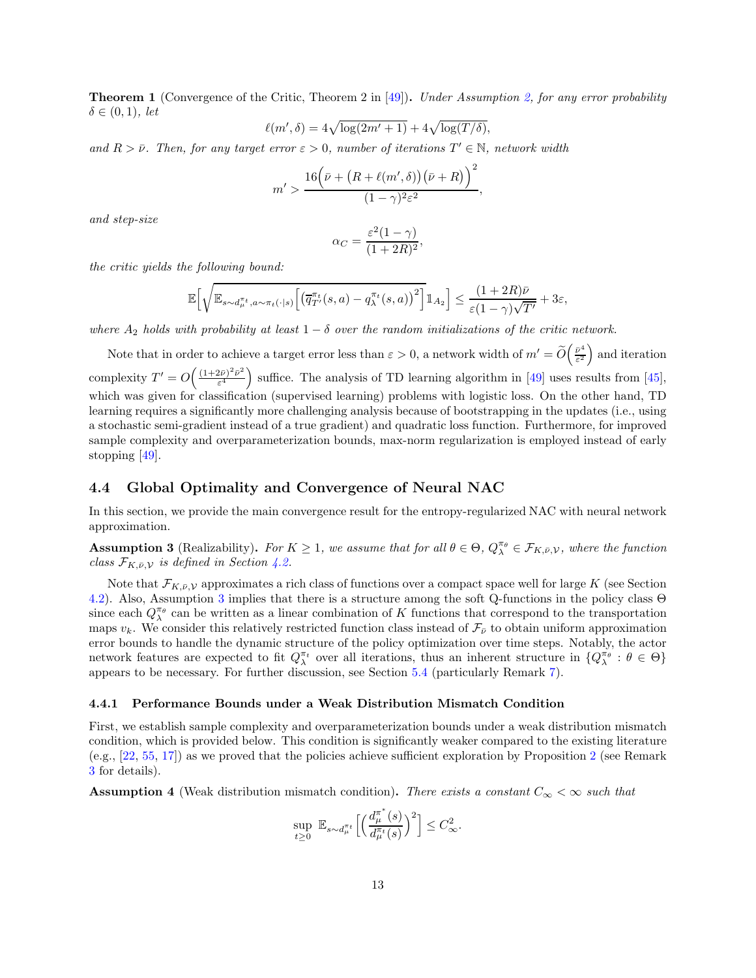<span id="page-12-4"></span>Theorem 1 (Convergence of the Critic, Theorem 2 in [\[49\]](#page-29-12)). *Under Assumption [2,](#page-11-2) for any error probability*  $\delta \in (0,1)$ *, let* 

$$
\ell(m',\delta) = 4\sqrt{\log(2m'+1)} + 4\sqrt{\log(T/\delta)},
$$

*and*  $R > \bar{\nu}$ . Then, for any target error  $\epsilon > 0$ , number of iterations  $T' \in \mathbb{N}$ , network width

$$
m' > \frac{16(\bar{\nu} + (R + \ell(m',\delta))(\bar{\nu} + R))^{2}}{(1 - \gamma)^{2} \varepsilon^{2}},
$$

*and step-size*

$$
\alpha_C = \frac{\varepsilon^2 (1 - \gamma)}{(1 + 2R)^2},
$$

*the critic yields the following bound:*

$$
\mathbb{E}\Big[\sqrt{\mathbb{E}_{s\sim d_\mu^{\pi_t},a\sim\pi_t(\cdot|s)}\Big[\big(\overline{q}_{T'}^{\pi_t}(s,a)-q_\lambda^{\pi_t}(s,a)\big)^2\Big]}\mathbbm{1}_{A_2}\Big]\leq \frac{(1+2R)\bar{\nu}}{\varepsilon(1-\gamma)\sqrt{T'}}+3\varepsilon,
$$

*where*  $A_2$  *holds with probability at least*  $1 - \delta$  *over the random initializations of the critic network.* 

Note that in order to achieve a target error less than  $\varepsilon > 0$ , a network width of  $m' = \widetilde{O}\left(\frac{\bar{\nu}^4}{\varepsilon^2}\right)$  $\frac{\bar{\nu}^4}{\varepsilon^2}$  and iteration complexity  $T' = O\left(\frac{(1+2\bar{\nu})^2\bar{\nu}^2}{\epsilon^4}\right)$  $\left(\frac{2\bar{\nu}}{\varepsilon^4}\right)^2$  suffice. The analysis of TD learning algorithm in [\[49\]](#page-29-12) uses results from [\[45\]](#page-29-8), which was given for classification (supervised learning) problems with logistic loss. On the other hand, TD learning requires a significantly more challenging analysis because of bootstrapping in the updates (i.e., using a stochastic semi-gradient instead of a true gradient) and quadratic loss function. Furthermore, for improved sample complexity and overparameterization bounds, max-norm regularization is employed instead of early stopping [\[49\]](#page-29-12).

#### <span id="page-12-0"></span>4.4 Global Optimality and Convergence of Neural NAC

In this section, we provide the main convergence result for the entropy-regularized NAC with neural network approximation.

<span id="page-12-2"></span>**Assumption 3** (Realizability). For  $K \geq 1$ , we assume that for all  $\theta \in \Theta$ ,  $Q_{\lambda}^{\pi_{\theta}} \in \mathcal{F}_{K,\bar{\nu},\mathcal{V}}$ , where the function *class*  $\mathcal{F}_{K,\bar{\nu},\mathcal{V}}$  *is defined in Section [4.2.](#page-11-0)* 

Note that  $\mathcal{F}_{K,\bar{\nu},\mathcal{V}}$  approximates a rich class of functions over a compact space well for large K (see Section [4.2\)](#page-11-0). Also, Assumption [3](#page-12-2) implies that there is a structure among the soft Q-functions in the policy class Θ since each  $Q_{\lambda}^{\pi_{\theta}}$  can be written as a linear combination of K functions that correspond to the transportation maps  $v_k$ . We consider this relatively restricted function class instead of  $\mathcal{F}_\nu$  to obtain uniform approximation error bounds to handle the dynamic structure of the policy optimization over time steps. Notably, the actor network features are expected to fit  $Q_{\lambda}^{\pi_t}$  over all iterations, thus an inherent structure in  $\{Q_{\lambda}^{\pi_{\theta}} : \theta \in \Theta\}$ appears to be necessary. For further discussion, see Section [5.4](#page-21-0) (particularly Remark [7\)](#page-24-0).

#### <span id="page-12-1"></span>4.4.1 Performance Bounds under a Weak Distribution Mismatch Condition

First, we establish sample complexity and overparameterization bounds under a weak distribution mismatch condition, which is provided below. This condition is significantly weaker compared to the existing literature (e.g., [\[22,](#page-28-3) [55,](#page-29-18) [17\]](#page-27-16)) as we proved that the policies achieve sufficient exploration by Proposition [2](#page-10-3) (see Remark [3](#page-13-0) for details).

<span id="page-12-3"></span>**Assumption 4** (Weak distribution mismatch condition). *There exists a constant*  $C_{\infty} < \infty$  such that

$$
\sup_{t\geq 0} \mathbb{E}_{s\sim d_\mu^{\pi_t}}\Big[\Big(\frac{d_\mu^{\pi^*}(s)}{d_\mu^{\pi_t}(s)}\Big)^2\Big] \leq C_\infty^2.
$$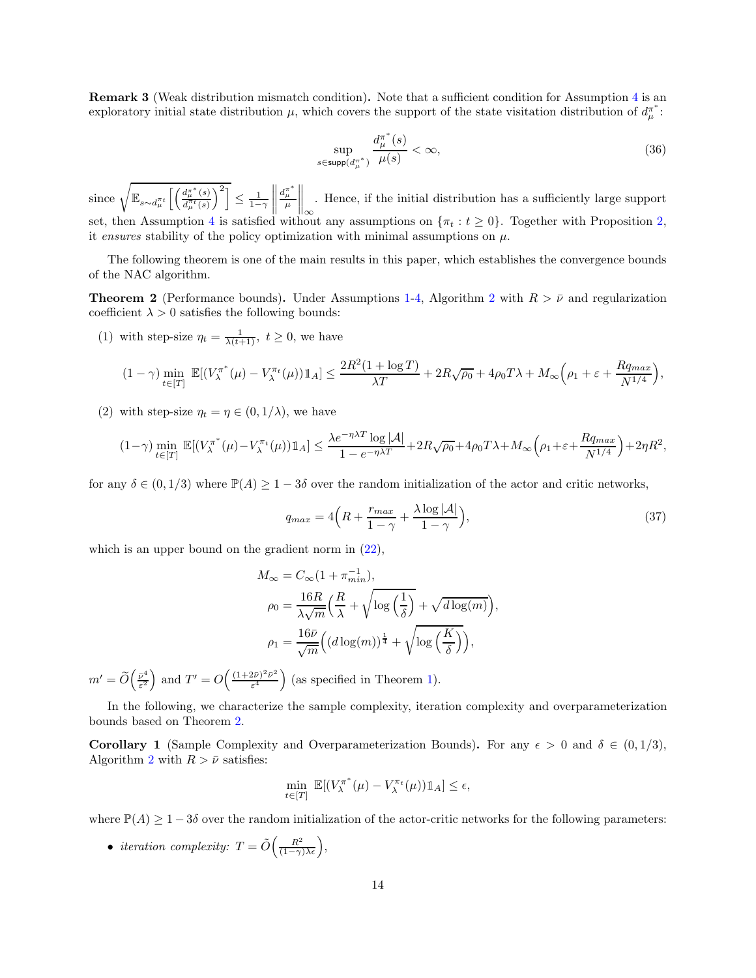Remark 3 (Weak distribution mismatch condition). Note that a sufficient condition for Assumption [4](#page-12-3) is an exploratory initial state distribution  $\mu$ , which covers the support of the state visitation distribution of  $d^{\pi^*}_{\mu}$ :

<span id="page-13-0"></span>
$$
\sup_{s \in \text{supp}(d_{\mu}^{\pi^*})} \frac{d_{\mu}^{\pi^*}(s)}{\mu(s)} < \infty,\tag{36}
$$

since  $\sqrt{\mathbb{E}_{s \sim d^{\pi_t}_{\mu}} \left[ \left( \frac{d^{\pi^*}_{\mu}(s)}{d^{\pi_t}_{\mu}(s)} \right) \right]}$  $d_{\mu}^{\pi_t}(s)$  $\binom{2}{1-\gamma}$  $\begin{tabular}{|c|c|c|c|} \hline \rule{0pt}{2ex} \rule{0pt}{2ex} \rule{0pt}{2ex} \rule{0pt}{2ex} \rule{0pt}{2ex} \rule{0pt}{2ex} \rule{0pt}{2ex} \rule{0pt}{2ex} \rule{0pt}{2ex} \rule{0pt}{2ex} \rule{0pt}{2ex} \rule{0pt}{2ex} \rule{0pt}{2ex} \rule{0pt}{2ex} \rule{0pt}{2ex} \rule{0pt}{2ex} \rule{0pt}{2ex} \rule{0pt}{2ex} \rule{0pt}{2ex} \rule{0pt}{2ex} \rule{0pt}{2ex} \rule{0pt}{2ex} \rule{$  $\frac{d^{\pi^*}_{\mu}}{\mu}$  $\bigg\|_\infty$ . Hence, if the initial distribution has a sufficiently large support set, then Assumption [4](#page-12-3) is satisfied without any assumptions on  $\{\pi_t : t \geq 0\}$ . Together with Proposition [2,](#page-10-3) it *ensures* stability of the policy optimization with minimal assumptions on  $\mu$ .

The following theorem is one of the main results in this paper, which establishes the convergence bounds of the NAC algorithm.

**Theorem [2](#page-9-0)** (Performance bounds). Under Assumptions [1-](#page-7-3)[4,](#page-12-3) Algorithm 2 with  $R > \bar{\nu}$  and regularization coefficient  $\lambda > 0$  satisfies the following bounds:

(1) with step-size  $\eta_t = \frac{1}{\lambda(t+1)}$ ,  $t \geq 0$ , we have

$$
(1-\gamma)\min_{t\in[T]} \mathbb{E}[(V_{\lambda}^{\pi^*}(\mu) - V_{\lambda}^{\pi_t}(\mu))1_A] \le \frac{2R^2(1+\log T)}{\lambda T} + 2R\sqrt{\rho_0} + 4\rho_0 T\lambda + M_{\infty}\left(\rho_1 + \varepsilon + \frac{Rq_{max}}{N^{1/4}}\right),
$$

(2) with step-size  $\eta_t = \eta \in (0, 1/\lambda)$ , we have

$$
(1-\gamma)\min_{t\in[T]} \mathbb{E}[(V_{\lambda}^{\pi^*}(\mu) - V_{\lambda}^{\pi_t}(\mu))\mathbb{1}_A] \le \frac{\lambda e^{-\eta\lambda T}\log|\mathcal{A}|}{1 - e^{-\eta\lambda T}} + 2R\sqrt{\rho_0} + 4\rho_0 T\lambda + M_\infty\left(\rho_1 + \varepsilon + \frac{Rq_{max}}{N^{1/4}}\right) + 2\eta R^2,
$$

for any  $\delta \in (0, 1/3)$  where  $\mathbb{P}(A) \geq 1-3\delta$  over the random initialization of the actor and critic networks,

<span id="page-13-1"></span>
$$
q_{max} = 4\left(R + \frac{r_{max}}{1-\gamma} + \frac{\lambda \log |\mathcal{A}|}{1-\gamma}\right),\tag{37}
$$

which is an upper bound on the gradient norm in  $(22)$ ,

$$
M_{\infty} = C_{\infty} (1 + \pi_{min}^{-1}),
$$
  
\n
$$
\rho_0 = \frac{16R}{\lambda \sqrt{m}} \left( \frac{R}{\lambda} + \sqrt{\log \left( \frac{1}{\delta} \right)} + \sqrt{d \log(m)} \right),
$$
  
\n
$$
\rho_1 = \frac{16\bar{\nu}}{\sqrt{m}} \left( (d \log(m))^{\frac{1}{4}} + \sqrt{\log \left( \frac{K}{\delta} \right)} \right),
$$

 $m' = \widetilde{O}\left(\frac{\bar{\nu}^4}{\varepsilon^2}\right)$  $\frac{\bar{\nu}^4}{\varepsilon^2}$  and  $T' = O\left(\frac{(1+2\bar{\nu})^2\bar{\nu}^2}{\varepsilon^4}\right)$  $\frac{(2\bar{\nu})^2\bar{\nu}^2}{\varepsilon^4}$  (as specified in Theorem [1\)](#page-12-4).

In the following, we characterize the sample complexity, iteration complexity and overparameterization bounds based on Theorem [2.](#page-13-1)

<span id="page-13-2"></span>**Corollary 1** (Sample Complexity and Overparameterization Bounds). For any  $\epsilon > 0$  and  $\delta \in (0, 1/3)$ , Algorithm [2](#page-9-0) with  $R > \bar{\nu}$  satisfies:

$$
\min_{t \in [T]} \mathbb{E}[(V_{\lambda}^{\pi^*}(\mu) - V_{\lambda}^{\pi_t}(\mu))1\!\!1_A] \leq \epsilon,
$$

where  $\mathbb{P}(A) \geq 1-3\delta$  over the random initialization of the actor-critic networks for the following parameters:

• *iteration complexity:*  $T = \tilde{O}\left(\frac{R^2}{(1-\gamma)\lambda\epsilon}\right)$ ,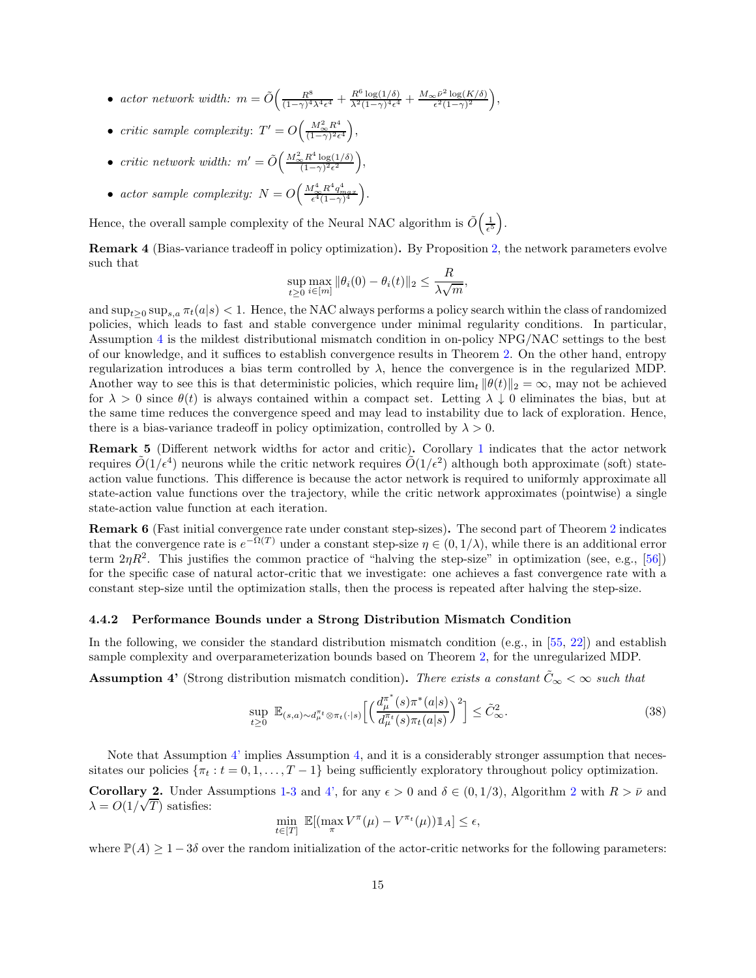- *actor network width:*  $m = \tilde{O}\left(\frac{R^8}{(1-\gamma)^4}\right)$  $\frac{R^8}{(1-\gamma)^4\lambda^4\epsilon^4} + \frac{R^6\log(1/\delta)}{\lambda^2(1-\gamma)^4\epsilon^4} + \frac{M_{\infty}\bar{\nu}^2\log(K/\delta)}{\epsilon^2(1-\gamma)^2}$  $\frac{\varepsilon^{\bar{\nu}^2} \log(K/\delta)}{\varepsilon^2 (1-\gamma)^2},$
- *critic sample complexity*:  $T' = O\left(\frac{M_{\infty}^2 R^4}{(1-\gamma)^2 \epsilon}\right)$  $\frac{M_{\infty}^2 R^4}{(1-\gamma)^2 \epsilon^4}$ ,
- *critic network width:*  $m' = \tilde{O}\left(\frac{M_{\infty}^2 R^4 \log(1/\delta)}{(1-\gamma)^2 \epsilon^2}\right)$  $\frac{R^4 \log(1/\delta)}{(1-\gamma)^2 \epsilon^2}$ ,
- *actor sample complexity:*  $N = O\left(\frac{M_{\infty}^4 R^4 q_{max}^4}{\epsilon^4 (1-\gamma)^4}\right)$ .

Hence, the overall sample complexity of the Neural NAC algorithm is  $\tilde{O}\left(\frac{1}{\epsilon^5}\right)$ .

Remark 4 (Bias-variance tradeoff in policy optimization). By Proposition [2,](#page-10-3) the network parameters evolve such that

$$
\sup_{t\geq 0} \max_{i\in[m]} \|\theta_i(0) - \theta_i(t)\|_2 \leq \frac{R}{\lambda \sqrt{m}},
$$

and  $\sup_{t\geq 0} \sup_{s,a} \pi_t(a|s) < 1$ . Hence, the NAC always performs a policy search within the class of randomized policies, which leads to fast and stable convergence under minimal regularity conditions. In particular, Assumption [4](#page-12-3) is the mildest distributional mismatch condition in on-policy NPG/NAC settings to the best of our knowledge, and it suffices to establish convergence results in Theorem [2.](#page-13-1) On the other hand, entropy regularization introduces a bias term controlled by  $\lambda$ , hence the convergence is in the regularized MDP. Another way to see this is that deterministic policies, which require  $\lim_{t} ||\theta(t)||_2 = \infty$ , may not be achieved for  $\lambda > 0$  since  $\theta(t)$  is always contained within a compact set. Letting  $\lambda \downarrow 0$  eliminates the bias, but at the same time reduces the convergence speed and may lead to instability due to lack of exploration. Hence, there is a bias-variance tradeoff in policy optimization, controlled by  $\lambda > 0$ .

Remark 5 (Different network widths for actor and critic). Corollary [1](#page-13-2) indicates that the actor network requires  $\tilde{O}(1/\epsilon^4)$  neurons while the critic network requires  $\tilde{O}(1/\epsilon^2)$  although both approximate (soft) stateaction value functions. This difference is because the actor network is required to uniformly approximate all state-action value functions over the trajectory, while the critic network approximates (pointwise) a single state-action value function at each iteration.

Remark 6 (Fast initial convergence rate under constant step-sizes). The second part of Theorem [2](#page-13-1) indicates that the convergence rate is  $e^{-\Omega(T)}$  under a constant step-size  $\eta \in (0, 1/\lambda)$ , while there is an additional error term  $2\eta R^2$ . This justifies the common practice of "halving the step-size" in optimization (see, e.g., [\[56\]](#page-30-1)) for the specific case of natural actor-critic that we investigate: one achieves a fast convergence rate with a constant step-size until the optimization stalls, then the process is repeated after halving the step-size.

#### <span id="page-14-0"></span>4.4.2 Performance Bounds under a Strong Distribution Mismatch Condition

In the following, we consider the standard distribution mismatch condition (e.g., in [\[55,](#page-29-18) [22\]](#page-28-3)) and establish sample complexity and overparameterization bounds based on Theorem [2,](#page-13-1) for the unregularized MDP.

**Assumption 4'** (Strong distribution mismatch condition). *There exists a constant*  $\tilde{C}_{\infty} < \infty$  *such that* 

<span id="page-14-1"></span>
$$
\sup_{t\geq 0} \mathbb{E}_{(s,a)\sim d_{\mu}^{\pi_{t}}\otimes\pi_{t}(\cdot|s)}\Big[\Big(\frac{d_{\mu}^{\pi^{*}}(s)\pi^{*}(a|s)}{d_{\mu}^{\pi_{t}}(s)\pi_{t}(a|s)}\Big)^{2}\Big] \leq \tilde{C}_{\infty}^{2}.
$$
\n(38)

Note that Assumption [4'](#page-14-1) implies Assumption [4,](#page-12-3) and it is a considerably stronger assumption that necessitates our policies  $\{\pi_t : t = 0, 1, \ldots, T-1\}$  being sufficiently exploratory throughout policy optimization.

**Corollary [2](#page-9-0).** Under Assumptions [1](#page-7-3)[-3](#page-12-2) and [4',](#page-14-1) for any  $\epsilon > 0$  and  $\delta \in (0, 1/3)$ , Algorithm 2 with  $R > \bar{\nu}$  and  $\lambda = O(1/\sqrt{T})$  satisfies:

$$
\min_{t \in [T]} \mathbb{E}[(\max_{\pi} V^{\pi}(\mu) - V^{\pi_t}(\mu)) \mathbb{1}_A] \le \epsilon,
$$

where  $\mathbb{P}(A) \geq 1-3\delta$  over the random initialization of the actor-critic networks for the following parameters: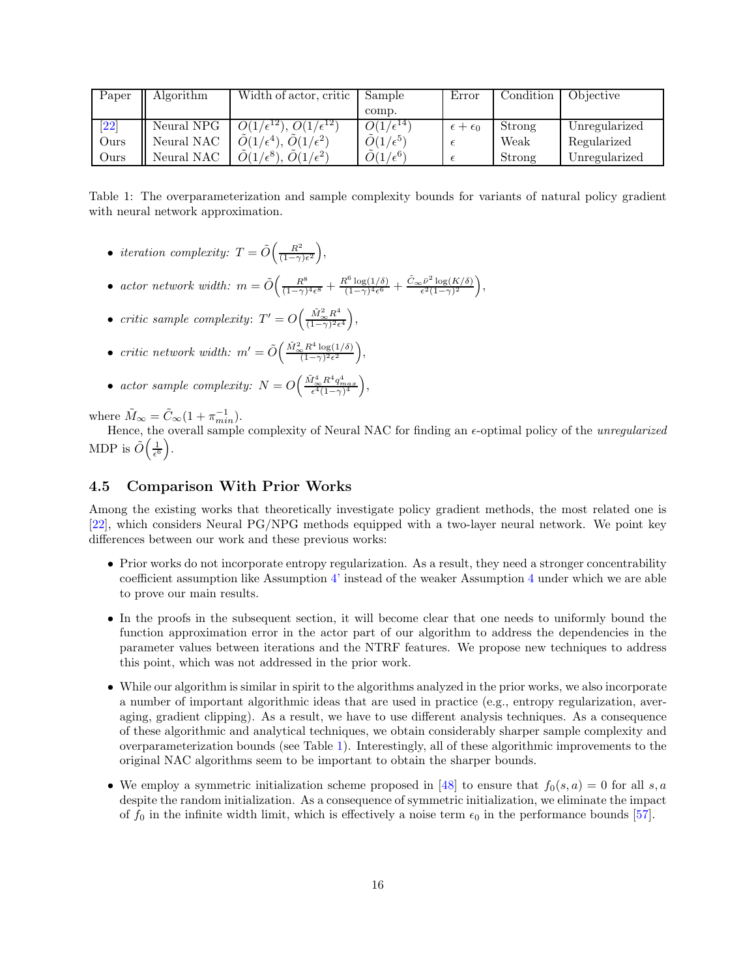| Paper              | Algorithm  | Width of actor, critic                                 | Sample                    | Error                   | Condition | Objective     |
|--------------------|------------|--------------------------------------------------------|---------------------------|-------------------------|-----------|---------------|
|                    |            |                                                        | comp.                     |                         |           |               |
| $\left[ 22\right]$ | Neural NPG | $\overline{O(1/\epsilon^{12})}, \, O(1/\epsilon^{12})$ | $O(1/\epsilon^{14})$      | $\epsilon + \epsilon_0$ | Strong    | Unregularized |
| Ours               | Neural NAC | $\tilde{O}(1/\epsilon^4), \tilde{O}(1/\epsilon^2)$     | $\tilde{O}(1/\epsilon^5)$ |                         | Weak      | Regularized   |
| Ours               | Neural NAC | $O(1/\epsilon^8)$<br>$\overline{O(1/\epsilon^2)}$      | $\tilde{O}(1/\epsilon^6)$ |                         | Strong    | Unregularized |

Table 1: The overparameterization and sample complexity bounds for variants of natural policy gradient with neural network approximation.

- <span id="page-15-2"></span>• *iteration complexity:*  $T = \tilde{O}\left(\frac{R^2}{1-\gamma}\right)$  $\frac{R^2}{(1-\gamma)\epsilon^2}\bigg),$
- *actor network width:*  $m = \tilde{O}\left(\frac{R^8}{(1-\gamma)^2}\right)$  $\frac{R^8}{(1-\gamma)^4\epsilon^8} + \frac{R^6\log(1/\delta)}{(1-\gamma)^4\epsilon^6}$  $\frac{\Omega^6 \log(1/\delta)}{(1-\gamma)^4 \epsilon^6} + \frac{\tilde{C}_{\infty} \bar{\nu}^2 \log(K/\delta)}{\epsilon^2 (1-\gamma)^2}$  $\frac{\bar{\nu}^2 \log(K/\delta)}{\epsilon^2 (1-\gamma)^2},$
- *critic sample complexity*:  $T' = O\left(\frac{\tilde{M}_{\infty}^2 R^4}{(1-\gamma)^2 \epsilon}\right)$  $\frac{\tilde{M}_{\infty}^2 R^4}{(1-\gamma)^2 \epsilon^4}\bigg),$
- *critic network width:*  $m' = \tilde{O}\Big(\frac{\tilde{M}_{\infty}^2 R^4 \log(1/\delta)}{(1-\gamma)^2 \epsilon^2}\Big)$  $\frac{R^4 \log(1/\delta)}{(1-\gamma)^2 \epsilon^2}$ ,
- *actor sample complexity:*  $N = O\left(\frac{\tilde{M}_{\infty}^4 R^4 q_{max}^4}{\epsilon^4 (1-\gamma)^4}\right),$

where  $\tilde{M}_{\infty} = \tilde{C}_{\infty} (1 + \pi_{min}^{-1}).$ 

Hence, the overall sample complexity of Neural NAC for finding an  $\epsilon$ -optimal policy of the *unregularized* MDP is  $\tilde{O}\left(\frac{1}{\epsilon^6}\right)$ .

#### <span id="page-15-0"></span>4.5 Comparison With Prior Works

Among the existing works that theoretically investigate policy gradient methods, the most related one is [\[22\]](#page-28-3), which considers Neural PG/NPG methods equipped with a two-layer neural network. We point key differences between our work and these previous works:

- Prior works do not incorporate entropy regularization. As a result, they need a stronger concentrability coefficient assumption like Assumption [4'](#page-14-1) instead of the weaker Assumption [4](#page-12-3) under which we are able to prove our main results.
- In the proofs in the subsequent section, it will become clear that one needs to uniformly bound the function approximation error in the actor part of our algorithm to address the dependencies in the parameter values between iterations and the NTRF features. We propose new techniques to address this point, which was not addressed in the prior work.
- While our algorithm is similar in spirit to the algorithms analyzed in the prior works, we also incorporate a number of important algorithmic ideas that are used in practice (e.g., entropy regularization, averaging, gradient clipping). As a result, we have to use different analysis techniques. As a consequence of these algorithmic and analytical techniques, we obtain considerably sharper sample complexity and overparameterization bounds (see Table [1\)](#page-15-2). Interestingly, all of these algorithmic improvements to the original NAC algorithms seem to be important to obtain the sharper bounds.
- <span id="page-15-1"></span>• We employ a symmetric initialization scheme proposed in [\[48\]](#page-29-11) to ensure that  $f_0(s, a) = 0$  for all s, a despite the random initialization. As a consequence of symmetric initialization, we eliminate the impact of  $f_0$  in the infinite width limit, which is effectively a noise term  $\epsilon_0$  in the performance bounds [\[57\]](#page-30-2).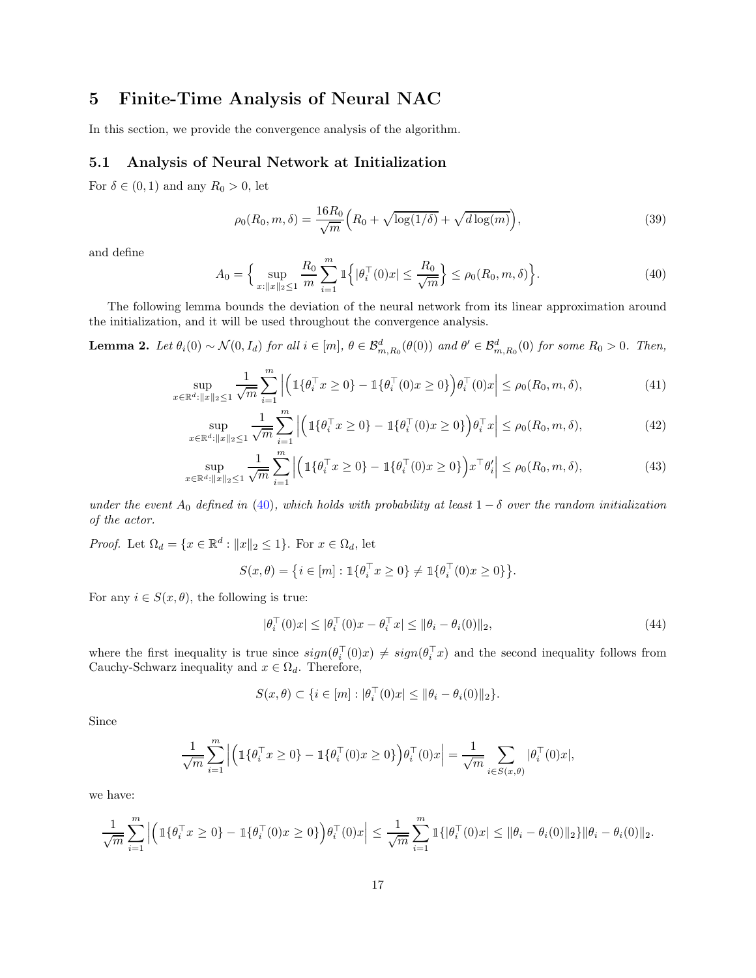## 5 Finite-Time Analysis of Neural NAC

<span id="page-16-0"></span>In this section, we provide the convergence analysis of the algorithm.

#### 5.1 Analysis of Neural Network at Initialization

For  $\delta \in (0,1)$  and any  $R_0 > 0$ , let

$$
\rho_0(R_0, m, \delta) = \frac{16R_0}{\sqrt{m}} \Big( R_0 + \sqrt{\log(1/\delta)} + \sqrt{d \log(m)} \Big), \tag{39}
$$

and define

<span id="page-16-1"></span>
$$
A_0 = \Big\{ \sup_{x: \|x\|_2 \le 1} \frac{R_0}{m} \sum_{i=1}^m \mathbb{1} \Big\{ |\theta_i^{\top}(0)x| \le \frac{R_0}{\sqrt{m}} \Big\} \le \rho_0(R_0, m, \delta) \Big\}.
$$
 (40)

The following lemma bounds the deviation of the neural network from its linear approximation around the initialization, and it will be used throughout the convergence analysis.

**Lemma 2.** Let  $\theta_i(0) \sim \mathcal{N}(0, I_d)$  for all  $i \in [m]$ ,  $\theta \in \mathcal{B}_{m,R_0}^d(\theta(0))$  and  $\theta' \in \mathcal{B}_{m,R_0}^d(0)$  for some  $R_0 > 0$ . Then,

$$
\sup_{x \in \mathbb{R}^d : \|x\|_2 \le 1} \frac{1}{\sqrt{m}} \sum_{i=1}^m \left| \left( \mathbb{1} \{ \theta_i^\top x \ge 0 \} - \mathbb{1} \{ \theta_i^\top (0) x \ge 0 \} \right) \theta_i^\top (0) x \right| \le \rho_0(R_0, m, \delta), \tag{41}
$$

$$
\sup_{x \in \mathbb{R}^d : \|x\|_2 \le 1} \frac{1}{\sqrt{m}} \sum_{i=1}^m \left| \left( \mathbb{1} \{ \theta_i^\top x \ge 0 \} - \mathbb{1} \{ \theta_i^\top (0) x \ge 0 \} \right) \theta_i^\top x \right| \le \rho_0(R_0, m, \delta), \tag{42}
$$

$$
\sup_{x \in \mathbb{R}^d : \|x\|_2 \le 1} \frac{1}{\sqrt{m}} \sum_{i=1}^m \left| \left( \mathbb{1} \{ \theta_i^\top x \ge 0 \} - \mathbb{1} \{ \theta_i^\top (0) x \ge 0 \} \right) x^\top \theta_i' \right| \le \rho_0(R_0, m, \delta), \tag{43}
$$

*under the event*  $A_0$  *defined in* [\(40\)](#page-16-1)*, which holds with probability at least*  $1 - \delta$  *over the random initialization of the actor.*

*Proof.* Let  $\Omega_d = \{x \in \mathbb{R}^d : ||x||_2 \le 1\}$ . For  $x \in \Omega_d$ , let

$$
S(x, \theta) = \{ i \in [m] : \mathbb{1}\{\theta_i^{\top} x \ge 0\} \ne \mathbb{1}\{\theta_i^{\top}(0) x \ge 0\} \}.
$$

For any  $i \in S(x, \theta)$ , the following is true:

<span id="page-16-4"></span><span id="page-16-3"></span><span id="page-16-2"></span>
$$
|\theta_i^{\top}(0)x| \le |\theta_i^{\top}(0)x - \theta_i^{\top}x| \le \|\theta_i - \theta_i(0)\|_2,
$$
\n(44)

where the first inequality is true since  $sign(\theta_i^+(0)x) \neq sign(\theta_i^+x)$  and the second inequality follows from Cauchy-Schwarz inequality and  $x \in \Omega_d$ . Therefore,

$$
S(x,\theta) \subset \{i \in [m] : |\theta_i^+(0)x| \le ||\theta_i - \theta_i(0)||_2\}.
$$

Since

$$
\frac{1}{\sqrt{m}} \sum_{i=1}^{m} \left| \left( \mathbb{1} \{ \theta_i^{\top} x \ge 0 \} - \mathbb{1} \{ \theta_i^{\top} (0) x \ge 0 \} \right) \theta_i^{\top} (0) x \right| = \frac{1}{\sqrt{m}} \sum_{i \in S(x, \theta)} | \theta_i^{\top} (0) x |,
$$

we have:

$$
\frac{1}{\sqrt{m}}\sum_{i=1}^{m}\left|\left(\mathbb{1}\{\theta_i^{\top}x\geq 0\} - \mathbb{1}\{\theta_i^{\top}(0)x\geq 0\}\right)\theta_i^{\top}(0)x\right| \leq \frac{1}{\sqrt{m}}\sum_{i=1}^{m}\mathbb{1}\{\theta_i^{\top}(0)x\} \leq \|\theta_i - \theta_i(0)\|_2\} \|\theta_i - \theta_i(0)\|_2.
$$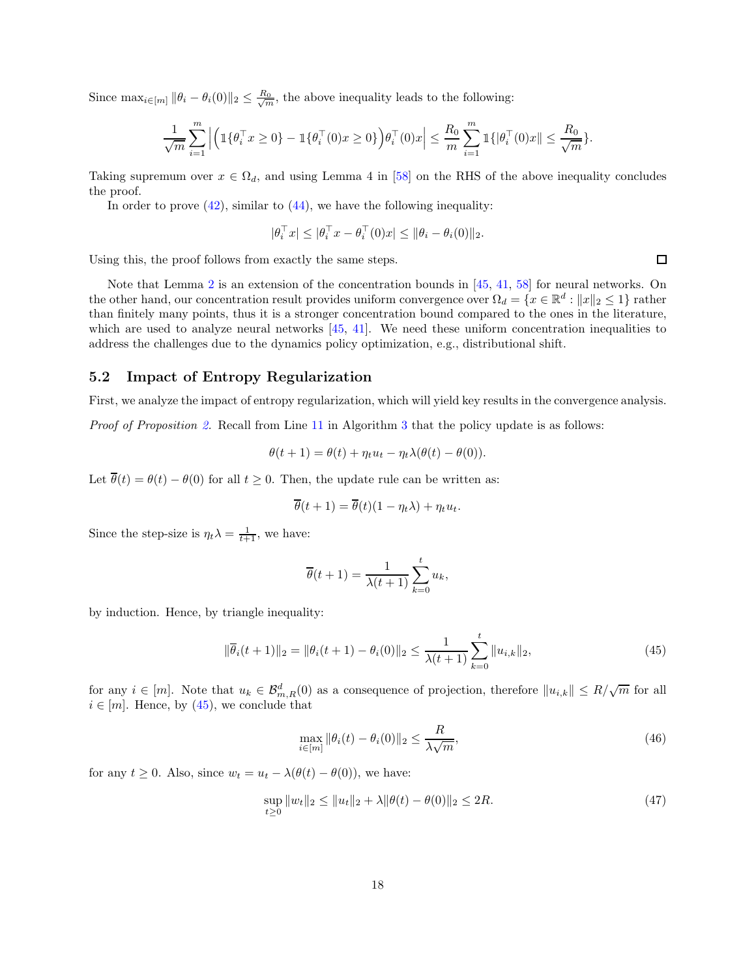Since  $\max_{i \in [m]} ||\theta_i - \theta_i(0)||_2 \leq \frac{R_0}{\sqrt{m}}$ , the above inequality leads to the following:

$$
\frac{1}{\sqrt{m}}\sum_{i=1}^{m}\left|\left(\mathbb{1}\{\theta_{i}^{\top}x\geq 0\} - \mathbb{1}\{\theta_{i}^{\top}(0)x\geq 0\}\right)\theta_{i}^{\top}(0)x\right| \leq \frac{R_{0}}{m}\sum_{i=1}^{m}\mathbb{1}\{\|\theta_{i}^{\top}(0)x\| \leq \frac{R_{0}}{\sqrt{m}}\}.
$$

Taking supremum over  $x \in \Omega_d$ , and using Lemma 4 in [\[58\]](#page-30-3) on the RHS of the above inequality concludes the proof.

In order to prove  $(42)$ , similar to  $(44)$ , we have the following inequality:

$$
|\theta_i^\top x| \le |\theta_i^\top x - \theta_i^\top(0)x| \le \|\theta_i - \theta_i(0)\|_2.
$$

Using this, the proof follows from exactly the same steps.

Note that Lemma [2](#page-16-4) is an extension of the concentration bounds in [\[45,](#page-29-8) [41,](#page-29-4) [58\]](#page-30-3) for neural networks. On the other hand, our concentration result provides uniform convergence over  $\Omega_d = \{x \in \mathbb{R}^d : ||x||_2 \le 1\}$  rather than finitely many points, thus it is a stronger concentration bound compared to the ones in the literature, which are used to analyze neural networks  $[45, 41]$  $[45, 41]$ . We need these uniform concentration inequalities to address the challenges due to the dynamics policy optimization, e.g., distributional shift.

#### <span id="page-17-0"></span>5.2 Impact of Entropy Regularization

First, we analyze the impact of entropy regularization, which will yield key results in the convergence analysis.

*Proof of Proposition* [2.](#page-10-3) Recall from Line [11](#page-9-1) in Algorithm [3](#page-10-2) that the policy update is as follows:

$$
\theta(t+1) = \theta(t) + \eta_t u_t - \eta_t \lambda(\theta(t) - \theta(0)).
$$

Let  $\overline{\theta}(t) = \theta(t) - \theta(0)$  for all  $t \geq 0$ . Then, the update rule can be written as:

$$
\overline{\theta}(t+1) = \overline{\theta}(t)(1 - \eta_t \lambda) + \eta_t u_t.
$$

Since the step-size is  $\eta_t \lambda = \frac{1}{t+1}$ , we have:

$$
\overline{\theta}(t+1) = \frac{1}{\lambda(t+1)} \sum_{k=0}^{t} u_k,
$$

by induction. Hence, by triangle inequality:

<span id="page-17-1"></span>
$$
\|\overline{\theta}_i(t+1)\|_2 = \|\theta_i(t+1) - \theta_i(0)\|_2 \le \frac{1}{\lambda(t+1)} \sum_{k=0}^t \|u_{i,k}\|_2,
$$
\n(45)

for any  $i \in [m]$ . Note that  $u_k \in \mathcal{B}_{m,R}^d(0)$  as a consequence of projection, therefore  $||u_{i,k}|| \leq R/\sqrt{m}$  for all  $i \in [m]$ . Hence, by [\(45\)](#page-17-1), we conclude that

<span id="page-17-2"></span>
$$
\max_{i \in [m]} \|\theta_i(t) - \theta_i(0)\|_2 \le \frac{R}{\lambda \sqrt{m}},\tag{46}
$$

for any  $t \geq 0$ . Also, since  $w_t = u_t - \lambda(\theta(t) - \theta(0))$ , we have:

<span id="page-17-3"></span>
$$
\sup_{t\geq 0} \|w_t\|_2 \leq \|u_t\|_2 + \lambda \|\theta(t) - \theta(0)\|_2 \leq 2R. \tag{47}
$$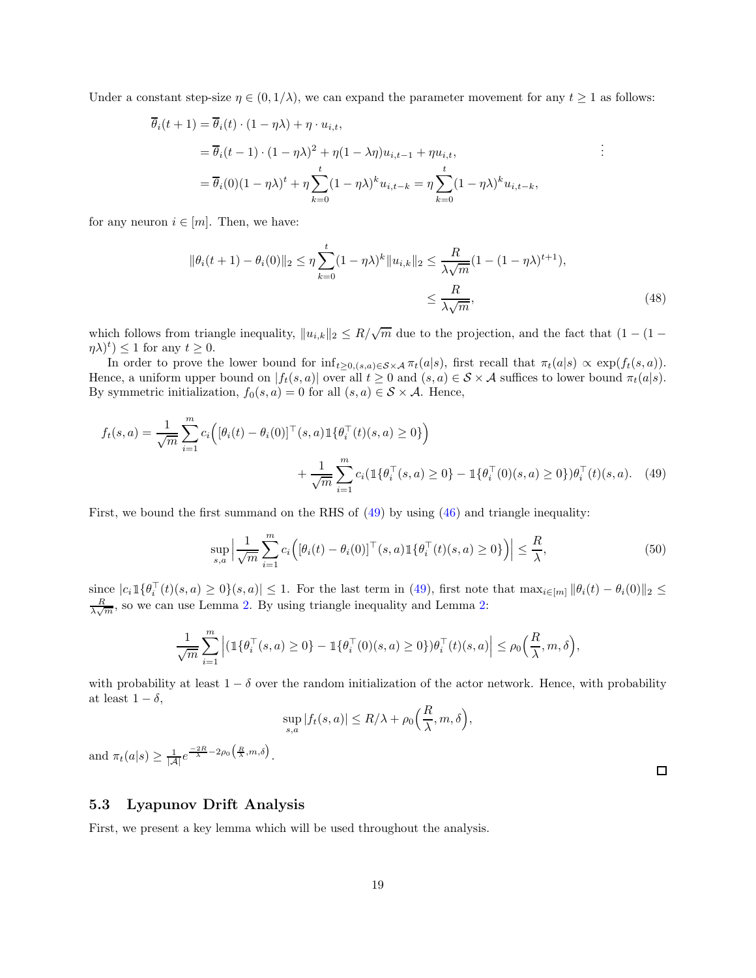Under a constant step-size  $\eta \in (0, 1/\lambda)$ , we can expand the parameter movement for any  $t \ge 1$  as follows:

$$
\overline{\theta}_{i}(t+1) = \overline{\theta}_{i}(t) \cdot (1 - \eta \lambda) + \eta \cdot u_{i,t},
$$
\n
$$
= \overline{\theta}_{i}(t-1) \cdot (1 - \eta \lambda)^{2} + \eta (1 - \lambda \eta) u_{i,t-1} + \eta u_{i,t},
$$
\n
$$
= \overline{\theta}_{i}(0)(1 - \eta \lambda)^{t} + \eta \sum_{k=0}^{t} (1 - \eta \lambda)^{k} u_{i,t-k} = \eta \sum_{k=0}^{t} (1 - \eta \lambda)^{k} u_{i,t-k},
$$
\n
$$
\vdots
$$

for any neuron  $i \in [m]$ . Then, we have:

$$
\|\theta_i(t+1) - \theta_i(0)\|_2 \le \eta \sum_{k=0}^t (1 - \eta \lambda)^k \|u_{i,k}\|_2 \le \frac{R}{\lambda \sqrt{m}} (1 - (1 - \eta \lambda)^{t+1}),
$$
  

$$
\le \frac{R}{\lambda \sqrt{m}},
$$
 (48)

which follows from triangle inequality,  $||u_{i,k}||_2 \leq R/\sqrt{m}$  due to the projection, and the fact that  $(1 - (1 (\eta \lambda)^t$   $\leq$  1 for any  $t \geq 0$ .

In order to prove the lower bound for  $\inf_{t\geq 0,(s,a)\in\mathcal{S}\times\mathcal{A}} \pi_t(a|s)$ , first recall that  $\pi_t(a|s) \propto \exp(f_t(s,a))$ . Hence, a uniform upper bound on  $|f_t(s, a)|$  over all  $t \ge 0$  and  $(s, a) \in S \times A$  suffices to lower bound  $\pi_t(a|s)$ . By symmetric initialization,  $f_0(s, a) = 0$  for all  $(s, a) \in S \times A$ . Hence,

$$
f_t(s, a) = \frac{1}{\sqrt{m}} \sum_{i=1}^m c_i \Big( [\theta_i(t) - \theta_i(0)]^\top (s, a) \mathbb{1} \{ \theta_i^\top (t)(s, a) \ge 0 \} \Big) + \frac{1}{\sqrt{m}} \sum_{i=1}^m c_i (\mathbb{1} \{ \theta_i^\top (s, a) \ge 0 \} - \mathbb{1} \{ \theta_i^\top (0)(s, a) \ge 0 \}) \theta_i^\top (t)(s, a).
$$
 (49)

First, we bound the first summand on the RHS of [\(49\)](#page-18-1) by using [\(46\)](#page-17-2) and triangle inequality:

$$
\sup_{s,a} \left| \frac{1}{\sqrt{m}} \sum_{i=1}^m c_i \left( [\theta_i(t) - \theta_i(0)]^\top (s, a) \mathbb{1} \{ \theta_i^\top (t)(s, a) \ge 0 \} \right) \right| \le \frac{R}{\lambda},\tag{50}
$$

 $\text{since } |c_i \mathbbm{1}\{\theta_i^+(t)(s,a) \geq 0\}(s,a)| \leq 1.$  For the last term in [\(49\)](#page-18-1), first note that  $\max_{i \in [m]} \|\theta_i(t) - \theta_i(0)\|_2 \leq$  $\frac{R}{\lambda\sqrt{m}}$ , so we can use Lemma [2.](#page-16-4) By using triangle inequality and Lemma [2:](#page-16-4)

$$
\frac{1}{\sqrt{m}}\sum_{i=1}^m\Big|\big(\mathbb{1}\{\theta_i^\top(s,a)\geq 0\}-\mathbb{1}\{\theta_i^\top(0)(s,a)\geq 0\}\big)\theta_i^\top(t)(s,a)\Big|\leq \rho_0\Big(\frac{R}{\lambda},m,\delta\Big),
$$

with probability at least  $1 - \delta$  over the random initialization of the actor network. Hence, with probability at least  $1 - \delta$ ,

<span id="page-18-1"></span>
$$
\sup_{s,a} |f_t(s,a)| \le R/\lambda + \rho_0\Big(\frac{R}{\lambda},m,\delta\Big),\,
$$

and  $\pi_t(a|s) \geq \frac{1}{|\mathcal{A}|} e^{\frac{-2R}{\lambda} - 2\rho_0\left(\frac{R}{\lambda}, m, \delta\right)}$ .

#### <span id="page-18-0"></span>5.3 Lyapunov Drift Analysis

First, we present a key lemma which will be used throughout the analysis.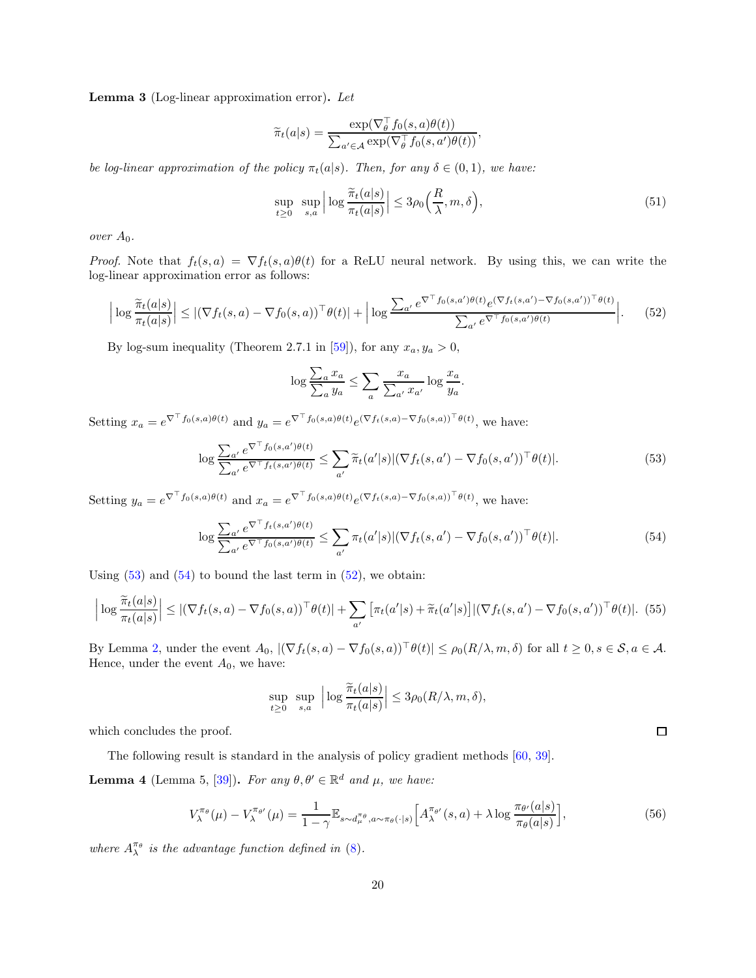Lemma 3 (Log-linear approximation error). *Let*

$$
\widetilde{\pi}_t(a|s) = \frac{\exp(\nabla_{\theta}^{\perp} f_0(s, a)\theta(t))}{\sum_{a' \in \mathcal{A}} \exp(\nabla_{\theta}^{\perp} f_0(s, a')\theta(t))},
$$

*be log-linear approximation of the policy*  $\pi_t(a|s)$ *. Then, for any*  $\delta \in (0,1)$ *, we have:* 

<span id="page-19-4"></span>
$$
\sup_{t \ge 0} \sup_{s,a} \left| \log \frac{\widetilde{\pi}_t(a|s)}{\pi_t(a|s)} \right| \le 3\rho_0\left(\frac{R}{\lambda}, m, \delta\right),\tag{51}
$$

*over*  $A_0$ *.* 

*Proof.* Note that  $f_t(s, a) = \nabla f_t(s, a) \theta(t)$  for a ReLU neural network. By using this, we can write the log-linear approximation error as follows:

<span id="page-19-2"></span>
$$
\left| \log \frac{\widetilde{\pi}_t(a|s)}{\pi_t(a|s)} \right| \le \left| (\nabla f_t(s, a) - \nabla f_0(s, a))^\top \theta(t) \right| + \left| \log \frac{\sum_{a'} e^{\nabla^\top f_0(s, a')\theta(t)} e^{(\nabla f_t(s, a') - \nabla f_0(s, a'))^\top \theta(t)}}{\sum_{a'} e^{\nabla^\top f_0(s, a')\theta(t)}} \right|.
$$
 (52)

By log-sum inequality (Theorem 2.7.1 in [\[59\]](#page-30-4)), for any  $x_a, y_a > 0$ ,

$$
\log \frac{\sum_{a} x_a}{\sum_{a} y_a} \le \sum_{a} \frac{x_a}{\sum_{a'} x_{a'}} \log \frac{x_a}{y_a}.
$$

Setting  $x_a = e^{\nabla^{\top} f_0(s,a)\theta(t)}$  and  $y_a = e^{\nabla^{\top} f_0(s,a)\theta(t)} e^{(\nabla f_t(s,a) - \nabla f_0(s,a))^{\top} \theta(t)}$ , we have:

<span id="page-19-0"></span>
$$
\log \frac{\sum_{a'} e^{\nabla^{\top} f_0(s, a')\theta(t)}}{\sum_{a'} e^{\nabla^{\top} f_t(s, a')\theta(t)}} \leq \sum_{a'} \widetilde{\pi}_t(a'|s) |(\nabla f_t(s, a') - \nabla f_0(s, a'))^{\top} \theta(t)|. \tag{53}
$$

Setting  $y_a = e^{\nabla^\top f_0(s,a)\theta(t)}$  and  $x_a = e^{\nabla^\top f_0(s,a)\theta(t)} e^{(\nabla f_t(s,a) - \nabla f_0(s,a))^\top \theta(t)}$ , we have:

<span id="page-19-1"></span>
$$
\log \frac{\sum_{a'} e^{\nabla^{\top} f_t(s, a')\theta(t)}}{\sum_{a'} e^{\nabla^{\top} f_0(s, a')\theta(t)}} \leq \sum_{a'} \pi_t(a'|s) |(\nabla f_t(s, a') - \nabla f_0(s, a'))^{\top} \theta(t)|. \tag{54}
$$

Using  $(53)$  and  $(54)$  to bound the last term in  $(52)$ , we obtain:

$$
\left| \log \frac{\widetilde{\pi}_t(a|s)}{\pi_t(a|s)} \right| \leq \left| (\nabla f_t(s, a) - \nabla f_0(s, a))^\top \theta(t) \right| + \sum_{a'} \left[ \pi_t(a'|s) + \widetilde{\pi}_t(a'|s) \right] \left| (\nabla f_t(s, a') - \nabla f_0(s, a'))^\top \theta(t) \right|.
$$
 (55)

By Lemma [2,](#page-16-4) under the event  $A_0$ ,  $|\nabla f_t(s, a) - \nabla f_0(s, a)|^{\top} \theta(t)| \leq \rho_0(R/\lambda, m, \delta)$  for all  $t \geq 0, s \in \mathcal{S}, a \in \mathcal{A}$ . Hence, under the event  $A_0$ , we have:

$$
\sup_{t\geq 0} \sup_{s,a} \left| \log \frac{\widetilde{\pi}_t(a|s)}{\pi_t(a|s)} \right| \leq 3\rho_0(R/\lambda, m, \delta),
$$

which concludes the proof.

The following result is standard in the analysis of policy gradient methods [\[60,](#page-30-5) [39\]](#page-29-2). **Lemma 4** (Lemma 5, [\[39\]](#page-29-2)). *For any*  $\theta, \theta' \in \mathbb{R}^d$  *and*  $\mu$ *, we have:* 

<span id="page-19-3"></span>
$$
V_{\lambda}^{\pi_{\theta}}(\mu) - V_{\lambda}^{\pi_{\theta'}}(\mu) = \frac{1}{1 - \gamma} \mathbb{E}_{s \sim d_{\mu}^{\pi_{\theta}}, a \sim \pi_{\theta}(\cdot | s)} \Big[ A_{\lambda}^{\pi_{\theta'}}(s, a) + \lambda \log \frac{\pi_{\theta'}(a|s)}{\pi_{\theta}(a|s)} \Big],\tag{56}
$$

where  $A_{\lambda}^{\pi_{\theta}}$  is the advantage function defined in [\(8\)](#page-5-4).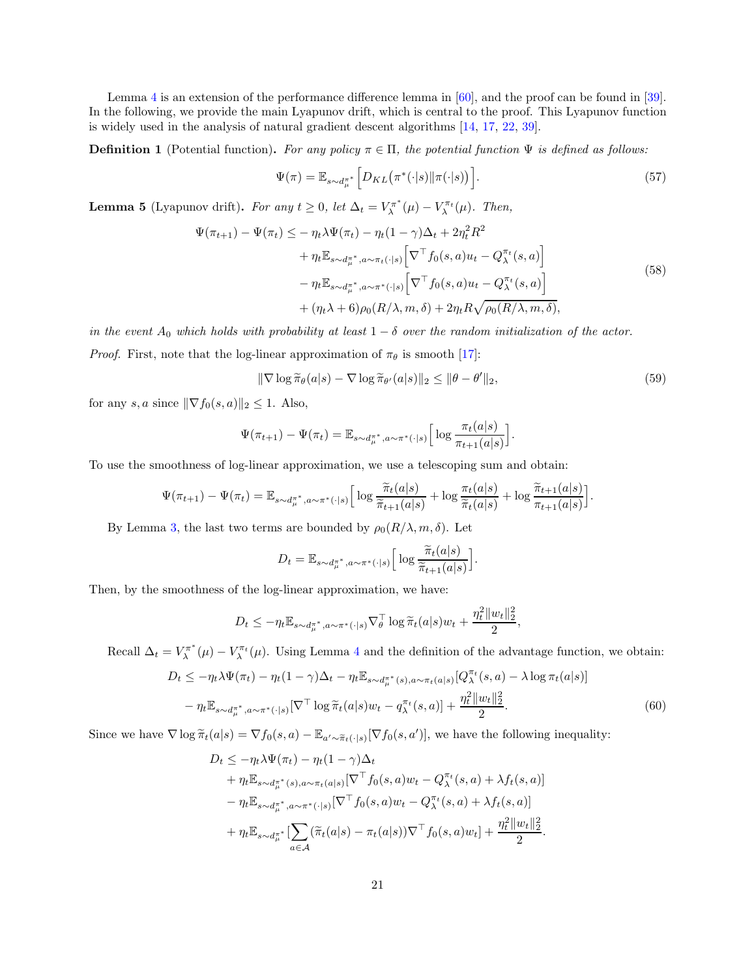Lemma [4](#page-19-3) is an extension of the performance difference lemma in [\[60\]](#page-30-5), and the proof can be found in [\[39\]](#page-29-2). In the following, we provide the main Lyapunov drift, which is central to the proof. This Lyapunov function is widely used in the analysis of natural gradient descent algorithms [\[14,](#page-27-13) [17,](#page-27-16) [22,](#page-28-3) [39\]](#page-29-2).

**Definition 1** (Potential function). *For any policy*  $\pi \in \Pi$ , the potential function  $\Psi$  is defined as follows:

<span id="page-20-0"></span>
$$
\Psi(\pi) = \mathbb{E}_{s \sim d_{\mu}^{\pi^*}} \left[ D_{KL} \big( \pi^*(\cdot | s) || \pi(\cdot | s) \big) \right]. \tag{57}
$$

**Lemma 5** (Lyapunov drift). *For any*  $t \geq 0$ , *let*  $\Delta_t = V_{\lambda}^{\pi^*}$  $V_{\lambda}^{\pi^*}(\mu) - V_{\lambda}^{\pi_t}(\mu)$ . Then,

$$
\Psi(\pi_{t+1}) - \Psi(\pi_t) \leq -\eta_t \lambda \Psi(\pi_t) - \eta_t (1 - \gamma) \Delta_t + 2\eta_t^2 R^2 \n+ \eta_t \mathbb{E}_{s \sim d_{\mu}^{\pi^*}, a \sim \pi_t(\cdot | s)} \Big[ \nabla^{\top} f_0(s, a) u_t - Q_{\lambda}^{\pi_t}(s, a) \Big] \n- \eta_t \mathbb{E}_{s \sim d_{\mu}^{\pi^*}, a \sim \pi^*(\cdot | s)} \Big[ \nabla^{\top} f_0(s, a) u_t - Q_{\lambda}^{\pi_t}(s, a) \Big] \n+ (\eta_t \lambda + 6) \rho_0(R/\lambda, m, \delta) + 2\eta_t R \sqrt{\rho_0(R/\lambda, m, \delta)},
$$
\n(58)

*in the event*  $A_0$  *which holds with probability at least*  $1 - \delta$  *over the random initialization of the actor.* 

*Proof.* First, note that the log-linear approximation of  $\pi_{\theta}$  is smooth [\[17\]](#page-27-16):

$$
\|\nabla \log \widetilde{\pi}_{\theta}(a|s) - \nabla \log \widetilde{\pi}_{\theta'}(a|s)\|_{2} \le \|\theta - \theta'\|_{2},\tag{59}
$$

for any s, a since  $\|\nabla f_0(s, a)\|_2 \leq 1$ . Also,

$$
\Psi(\pi_{t+1}) - \Psi(\pi_t) = \mathbb{E}_{s \sim d_\mu^{\pi^*}, a \sim \pi^*(\cdot | s)} \left[ \log \frac{\pi_t(a|s)}{\pi_{t+1}(a|s)} \right].
$$

To use the smoothness of log-linear approximation, we use a telescoping sum and obtain:

$$
\Psi(\pi_{t+1}) - \Psi(\pi_t) = \mathbb{E}_{s \sim d_{\mu}^{\pi^*}, a \sim \pi^*(\cdot | s)} \Big[ \log \frac{\widetilde{\pi}_t(a|s)}{\widetilde{\pi}_{t+1}(a|s)} + \log \frac{\pi_t(a|s)}{\widetilde{\pi}_t(a|s)} + \log \frac{\widetilde{\pi}_{t+1}(a|s)}{\pi_{t+1}(a|s)} \Big].
$$

By Lemma [3,](#page-19-4) the last two terms are bounded by  $\rho_0(R/\lambda, m, \delta)$ . Let

$$
D_t = \mathbb{E}_{s \sim d_\mu^{\pi^*}, a \sim \pi^*(\cdot | s)} \left[ \log \frac{\widetilde{\pi}_t(a|s)}{\widetilde{\pi}_{t+1}(a|s)} \right].
$$

Then, by the smoothness of the log-linear approximation, we have:

$$
D_t \leq -\eta_t \mathbb{E}_{s \sim d_\mu^{\pi^*}, a \sim \pi^*(\cdot | s)} \nabla_\theta^\top \log \widetilde{\pi}_t(a|s) w_t + \frac{\eta_t^2 \|w_t\|_2^2}{2},
$$

Recall  $\Delta_t = V_\lambda^{\pi^*}$  $V_{\lambda}^{\pi^*}(\mu) - V_{\lambda}^{\pi_t}(\mu)$ . Using Lemma [4](#page-19-3) and the definition of the advantage function, we obtain:

$$
D_t \le -\eta_t \lambda \Psi(\pi_t) - \eta_t (1 - \gamma) \Delta_t - \eta_t \mathbb{E}_{s \sim d_{\mu}^{\pi^*}(s), a \sim \pi_t(a|s)} [Q_{\lambda}^{\pi_t}(s, a) - \lambda \log \pi_t(a|s)] - \eta_t \mathbb{E}_{s \sim d_{\mu}^{\pi^*}, a \sim \pi^*(\cdot|s)} [\nabla^{\top} \log \tilde{\pi}_t(a|s) w_t - q_{\lambda}^{\pi_t}(s, a)] + \frac{\eta_t^2 ||w_t||_2^2}{2}.
$$
\n(60)

Since we have  $\nabla \log \tilde{\pi}_t(a|s) = \nabla f_0(s, a) - \mathbb{E}_{a' \sim \tilde{\pi}_t(\cdot|s)}[\nabla f_0(s, a')]$ , we have the following inequality:

$$
D_{t} \leq -\eta_{t} \lambda \Psi(\pi_{t}) - \eta_{t} (1 - \gamma) \Delta_{t} + \eta_{t} \mathbb{E}_{s \sim d_{\mu}^{\pi^{*}}(s), a \sim \pi_{t}(a|s)} [\nabla^{\top} f_{0}(s, a) w_{t} - Q_{\lambda}^{\pi_{t}}(s, a) + \lambda f_{t}(s, a)] - \eta_{t} \mathbb{E}_{s \sim d_{\mu}^{\pi^{*}}, a \sim \pi^{*}(\cdot|s)} [\nabla^{\top} f_{0}(s, a) w_{t} - Q_{\lambda}^{\pi_{t}}(s, a) + \lambda f_{t}(s, a)] + \eta_{t} \mathbb{E}_{s \sim d_{\mu}^{\pi^{*}}} [\sum_{a \in \mathcal{A}} (\tilde{\pi}_{t}(a|s) - \pi_{t}(a|s)) \nabla^{\top} f_{0}(s, a) w_{t}] + \frac{\eta_{t}^{2} ||w_{t}||_{2}^{2}}{2}.
$$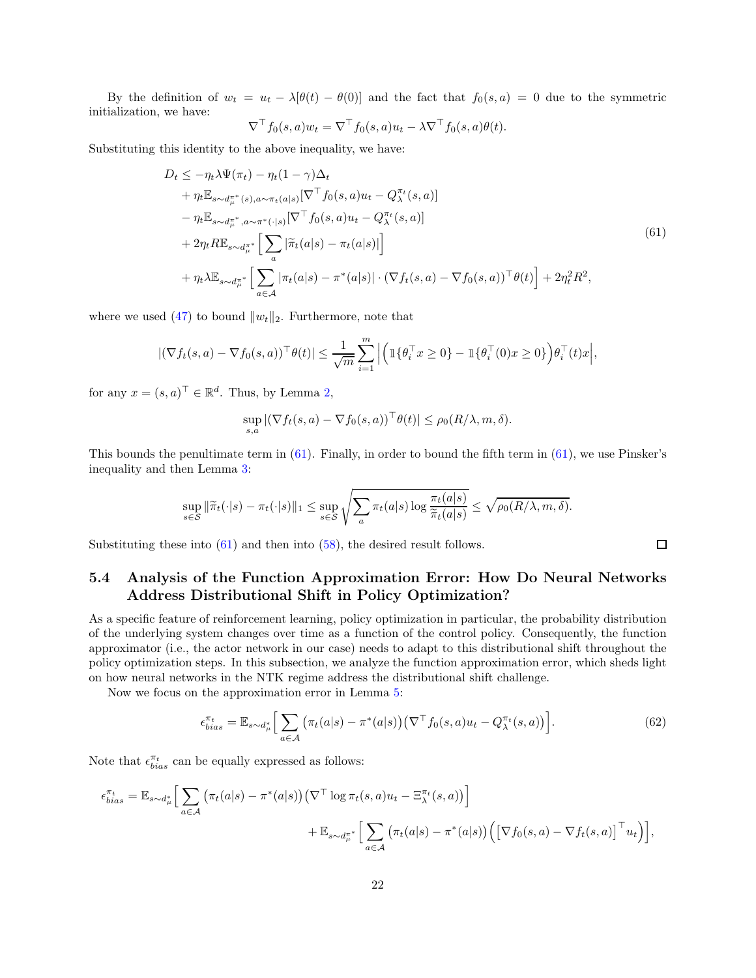By the definition of  $w_t = u_t - \lambda[\theta(t) - \theta(0)]$  and the fact that  $f_0(s, a) = 0$  due to the symmetric initialization, we have:

<span id="page-21-1"></span>
$$
\nabla^{\top} f_0(s, a) w_t = \nabla^{\top} f_0(s, a) u_t - \lambda \nabla^{\top} f_0(s, a) \theta(t).
$$

Substituting this identity to the above inequality, we have:

$$
D_t \leq -\eta_t \lambda \Psi(\pi_t) - \eta_t (1 - \gamma) \Delta_t + \eta_t \mathbb{E}_{s \sim d_{\mu}^{\pi^*}(s), a \sim \pi_t(a|s)} [\nabla^{\top} f_0(s, a) u_t - Q_{\lambda}^{\pi_t}(s, a)] - \eta_t \mathbb{E}_{s \sim d_{\mu}^{\pi^*}, a \sim \pi^*(\cdot|s)} [\nabla^{\top} f_0(s, a) u_t - Q_{\lambda}^{\pi_t}(s, a)] + 2\eta_t R \mathbb{E}_{s \sim d_{\mu}^{\pi^*}} \Big[ \sum_a |\tilde{\pi}_t(a|s) - \pi_t(a|s)| \Big] + \eta_t \lambda \mathbb{E}_{s \sim d_{\mu}^{\pi^*}} \Big[ \sum_{a \in \mathcal{A}} |\pi_t(a|s) - \pi^*(a|s)| \cdot (\nabla f_t(s, a) - \nabla f_0(s, a))^{\top} \theta(t) \Big] + 2\eta_t^2 R^2,
$$
\n
$$
(61)
$$

where we used [\(47\)](#page-17-3) to bound  $||w_t||_2$ . Furthermore, note that

$$
|(\nabla f_t(s, a) - \nabla f_0(s, a))^\top \theta(t)| \leq \frac{1}{\sqrt{m}} \sum_{i=1}^m \left| \left( \mathbb{1} \{ \theta_i^\top x \geq 0 \} - \mathbb{1} \{ \theta_i^\top (0) x \geq 0 \} \right) \theta_i^\top (t) x \right|,
$$

for any  $x = (s, a)^\top \in \mathbb{R}^d$ . Thus, by Lemma [2,](#page-16-4)

$$
\sup_{s,a} |(\nabla f_t(s,a) - \nabla f_0(s,a))^\top \theta(t)| \leq \rho_0(R/\lambda, m, \delta).
$$

This bounds the penultimate term in [\(61\)](#page-21-1). Finally, in order to bound the fifth term in [\(61\)](#page-21-1), we use Pinsker's inequality and then Lemma [3:](#page-19-4)

$$
\sup_{s \in \mathcal{S}} \|\widetilde{\pi}_t(\cdot|s) - \pi_t(\cdot|s)\|_1 \leq \sup_{s \in \mathcal{S}} \sqrt{\sum_a \pi_t(a|s) \log \frac{\pi_t(a|s)}{\widetilde{\pi}_t(a|s)}} \leq \sqrt{\rho_0(R/\lambda, m, \delta)}.
$$

<span id="page-21-0"></span>Substituting these into  $(61)$  and then into  $(58)$ , the desired result follows.

## 5.4 Analysis of the Function Approximation Error: How Do Neural Networks Address Distributional Shift in Policy Optimization?

As a specific feature of reinforcement learning, policy optimization in particular, the probability distribution of the underlying system changes over time as a function of the control policy. Consequently, the function approximator (i.e., the actor network in our case) needs to adapt to this distributional shift throughout the policy optimization steps. In this subsection, we analyze the function approximation error, which sheds light on how neural networks in the NTK regime address the distributional shift challenge.

Now we focus on the approximation error in Lemma [5:](#page-20-0)

$$
\epsilon_{bias}^{\pi_t} = \mathbb{E}_{s \sim d_{\mu}^*} \Big[ \sum_{a \in \mathcal{A}} \left( \pi_t(a|s) - \pi^*(a|s) \right) \left( \nabla^{\top} f_0(s, a) u_t - Q_{\lambda}^{\pi_t}(s, a) \right) \Big]. \tag{62}
$$

Note that  $\epsilon_{bias}^{\pi_t}$  can be equally expressed as follows:

$$
\epsilon_{bias}^{\pi_t} = \mathbb{E}_{s \sim d_{\mu}^*} \Big[ \sum_{a \in \mathcal{A}} \left( \pi_t(a|s) - \pi^*(a|s) \right) \left( \nabla^{\top} \log \pi_t(s, a) u_t - \Xi_{\lambda}^{\pi_t}(s, a) \right) \Big] + \mathbb{E}_{s \sim d_{\mu}^{\pi^*}} \Big[ \sum_{a \in \mathcal{A}} \left( \pi_t(a|s) - \pi^*(a|s) \right) \left( \left[ \nabla f_0(s, a) - \nabla f_t(s, a) \right]^\top u_t \right) \Big],
$$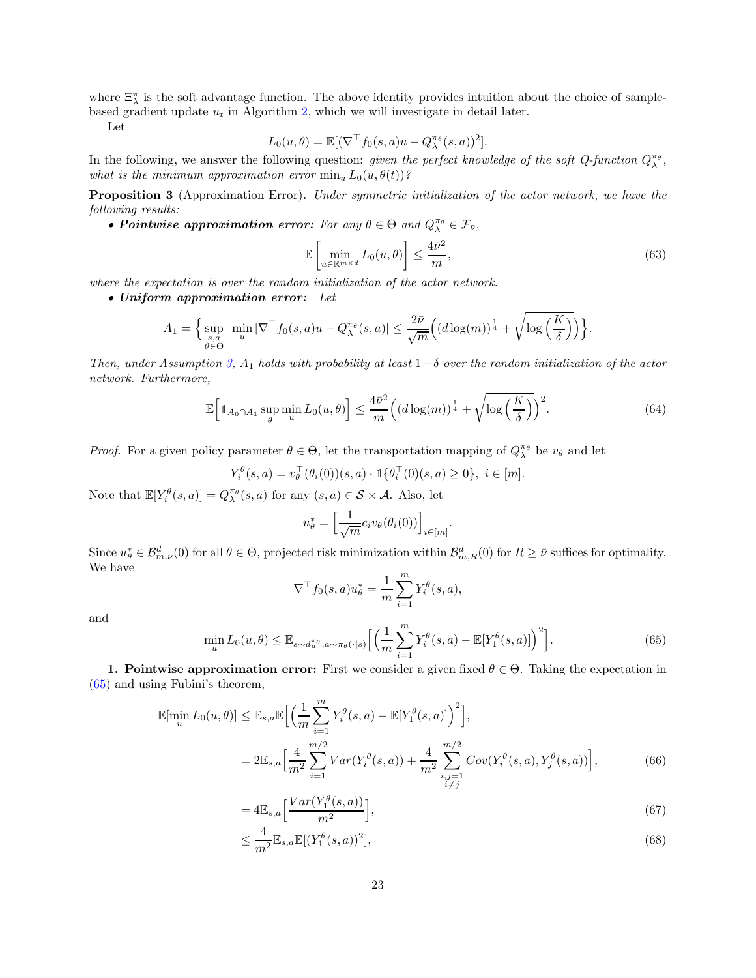where  $\Xi_{\lambda}^{\pi}$  is the soft advantage function. The above identity provides intuition about the choice of samplebased gradient update  $u_t$  in Algorithm [2,](#page-9-0) which we will investigate in detail later.

Let

$$
L_0(u, \theta) = \mathbb{E}[(\nabla^\top f_0(s, a)u - Q_\lambda^{\pi_\theta}(s, a))^2].
$$

In the following, we answer the following question: *given the perfect knowledge of the soft Q-function*  $Q_{\lambda}^{\pi_{\theta}}$ , *what is the minimum approximation error*  $\min_u L_0(u, \theta(t))$ ?

Proposition 3 (Approximation Error). *Under symmetric initialization of the actor network, we have the following results:*

• Pointwise approximation error: For any  $\theta \in \Theta$  and  $Q_{\lambda}^{\pi_{\theta}} \in \mathcal{F}_{\bar{\nu}},$ 

$$
\mathbb{E}\left[\min_{u \in \mathbb{R}^{m \times d}} L_0(u, \theta)\right] \le \frac{4\bar{\nu}^2}{m},\tag{63}
$$

*where the expectation is over the random initialization of the actor network.*

• Uniform approximation error: *Let*

$$
A_1 = \Big\{ \sup_{\substack{s,a \\ \theta \in \Theta}} \min_u |\nabla^{\top} f_0(s, a)u - Q_{\lambda}^{\pi_{\theta}}(s, a)| \leq \frac{2\bar{\nu}}{\sqrt{m}} \Big( (d \log(m))^{\frac{1}{4}} + \sqrt{\log\left(\frac{K}{\delta}\right)} \Big) \Big\}.
$$

*Then, under Assumption* [3,](#page-12-2)  $A_1$  *holds with probability at least*  $1-\delta$  *over the random initialization of the actor network. Furthermore,*

<span id="page-22-4"></span>
$$
\mathbb{E}\Big[\mathbbm{1}_{A_0 \cap A_1} \sup_{\theta} \min_{u} L_0(u,\theta)\Big] \le \frac{4\bar{\nu}^2}{m} \Big((d\log(m))^{\frac{1}{4}} + \sqrt{\log\left(\frac{K}{\delta}\right)}\Big)^2. \tag{64}
$$

*Proof.* For a given policy parameter  $\theta \in \Theta$ , let the transportation mapping of  $Q_{\lambda}^{\pi_{\theta}}$  be  $v_{\theta}$  and let

$$
Y_i^{\theta}(s, a) = v_{\theta}^{\top}(\theta_i(0))(s, a) \cdot \mathbb{1}\{\theta_i^{\top}(0)(s, a) \ge 0\}, \ i \in [m].
$$

Note that  $\mathbb{E}[Y_i^{\theta}(s, a)] = Q_{\lambda}^{\pi_{\theta}}(s, a)$  for any  $(s, a) \in \mathcal{S} \times \mathcal{A}$ . Also, let

$$
u_{\theta}^* = \left[\frac{1}{\sqrt{m}} c_i v_{\theta}(\theta_i(0))\right]_{i \in [m]}.
$$

Since  $u^*_{\theta} \in \mathcal{B}^d_{m,\bar{\nu}}(0)$  for all  $\theta \in \Theta$ , projected risk minimization within  $\mathcal{B}^d_{m,R}(0)$  for  $R \geq \bar{\nu}$  suffices for optimality. We have

<span id="page-22-1"></span>
$$
\nabla^{\top} f_0(s, a) u_{\theta}^* = \frac{1}{m} \sum_{i=1}^m Y_i^{\theta}(s, a),
$$

and

<span id="page-22-0"></span>
$$
\min_{u} L_0(u,\theta) \leq \mathbb{E}_{s \sim d_{\mu}^{\pi_{\theta}}, a \sim \pi_{\theta}(\cdot | s)} \Big[ \Big( \frac{1}{m} \sum_{i=1}^m Y_i^{\theta}(s, a) - \mathbb{E}[Y_1^{\theta}(s, a)] \Big)^2 \Big]. \tag{65}
$$

1. Pointwise approximation error: First we consider a given fixed  $\theta \in \Theta$ . Taking the expectation in [\(65\)](#page-22-0) and using Fubini's theorem,

$$
\mathbb{E}[\min_{u} L_{0}(u,\theta)] \leq \mathbb{E}_{s,a} \mathbb{E}\Big[\Big(\frac{1}{m}\sum_{i=1}^{m} Y_{i}^{\theta}(s,a) - \mathbb{E}[Y_{1}^{\theta}(s,a)]\Big)^{2}\Big],
$$
  
=  $2\mathbb{E}_{s,a} \Big[\frac{4}{m^{2}} \sum_{i=1}^{m/2} Var(Y_{i}^{\theta}(s,a)) + \frac{4}{m^{2}} \sum_{\substack{i,j=1 \ i \neq j}}^{m/2} Cov(Y_{i}^{\theta}(s,a), Y_{j}^{\theta}(s,a))\Big],$  (66)

<span id="page-22-2"></span>
$$
=4\mathbb{E}_{s,a}\left[\frac{Var(Y_1^{\theta}(s,a))}{m^2}\right],\tag{67}
$$

<span id="page-22-3"></span>
$$
\leq \frac{4}{m^2} \mathbb{E}_{s,a} \mathbb{E}[(Y_1^{\theta}(s,a))^2],\tag{68}
$$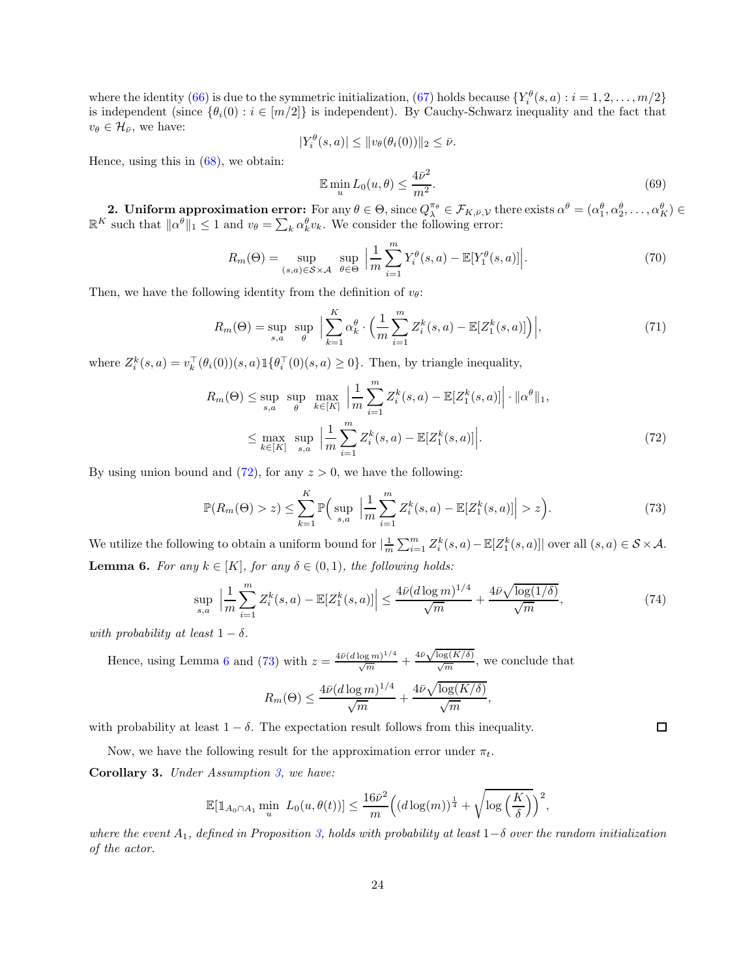where the identity [\(66\)](#page-22-1) is due to the symmetric initialization, [\(67\)](#page-22-2) holds because  $\{Y_i^{\theta}(s, a) : i = 1, 2, ..., m/2\}$ is independent (since  $\{\theta_i(0): i \in [m/2]\}$  is independent). By Cauchy-Schwarz inequality and the fact that  $v_{\theta} \in \mathcal{H}_{\bar{\nu}},$  we have:

$$
|Y_i^{\theta}(s, a)| \leq ||v_{\theta}(\theta_i(0))||_2 \leq \bar{\nu}.
$$

Hence, using this in  $(68)$ , we obtain:

$$
\mathbb{E}\min_{u} L_0(u,\theta) \le \frac{4\bar{\nu}^2}{m^2}.\tag{69}
$$

**2. Uniform approximation error:** For any  $\theta \in \Theta$ , since  $Q_{\lambda}^{\pi_{\theta}} \in \mathcal{F}_{K,\bar{\nu},\mathcal{V}}$  there exists  $\alpha^{\theta} = (\alpha_1^{\theta}, \alpha_2^{\theta}, \dots, \alpha_K^{\theta}) \in \mathbb{R}^K$  such that  $\|\alpha^{\theta}\|_1 \leq 1$  and  $v_{\theta} = \sum_k \alpha_k^{\theta} v_k$ . We consider the

$$
R_m(\Theta) = \sup_{(s,a)\in\mathcal{S}\times\mathcal{A}} \sup_{\theta\in\Theta} \Big|\frac{1}{m} \sum_{i=1}^m Y_i^{\theta}(s,a) - \mathbb{E}[Y_1^{\theta}(s,a)]\Big|.\tag{70}
$$

Then, we have the following identity from the definition of  $v_{\theta}$ :

$$
R_m(\Theta) = \sup_{s,a} \sup_{\theta} \Big| \sum_{k=1}^K \alpha_k^{\theta} \cdot \Big( \frac{1}{m} \sum_{i=1}^m Z_i^k(s, a) - \mathbb{E}[Z_1^k(s, a)] \Big) \Big|, \tag{71}
$$

where  $Z_i^k(s, a) = v_k^{\top}(\theta_i(0))(s, a) \mathbb{1}\{\theta_i^{\top}(0)(s, a) \ge 0\}$ . Then, by triangle inequality,

$$
R_m(\Theta) \le \sup_{s,a} \sup_{\theta} \max_{k \in [K]} \left| \frac{1}{m} \sum_{i=1}^m Z_i^k(s, a) - \mathbb{E}[Z_1^k(s, a)] \right| \cdot ||\alpha^{\theta}||_1,
$$
  

$$
\le \max_{k \in [K]} \sup_{s,a} \left| \frac{1}{m} \sum_{i=1}^m Z_i^k(s, a) - \mathbb{E}[Z_1^k(s, a)] \right|.
$$
 (72)

By using union bound and  $(72)$ , for any  $z > 0$ , we have the following:

<span id="page-23-2"></span>
$$
\mathbb{P}(R_m(\Theta) > z) \le \sum_{k=1}^K \mathbb{P}\Big(\sup_{s,a} \Big|\frac{1}{m} \sum_{i=1}^m Z_i^k(s,a) - \mathbb{E}[Z_1^k(s,a)]\Big| > z\Big). \tag{73}
$$

We utilize the following to obtain a uniform bound for  $\left|\frac{1}{m}\sum_{i=1}^{m}Z_i^k(s,a)-\mathbb{E}[Z_1^k(s,a)]\right|$  over all  $(s,a)\in\mathcal{S}\times\mathcal{A}$ . **Lemma 6.** For any  $k \in [K]$ *, for any*  $\delta \in (0,1)$ *, the following holds:* 

<span id="page-23-0"></span>
$$
\sup_{s,a} \left| \frac{1}{m} \sum_{i=1}^m Z_i^k(s,a) - \mathbb{E}[Z_1^k(s,a)] \right| \le \frac{4\bar{\nu}(d \log m)^{1/4}}{\sqrt{m}} + \frac{4\bar{\nu}\sqrt{\log(1/\delta)}}{\sqrt{m}},\tag{74}
$$

<span id="page-23-1"></span> $\Box$ 

*with probability at least*  $1 - \delta$ *.* 

Hence, using Lemma 6 and (73) with 
$$
z = \frac{4\bar{\nu}(d \log m)^{1/4}}{\sqrt{m}} + \frac{4\bar{\nu}\sqrt{\log(K/\delta)}}{\sqrt{m}}
$$
, we conclude that

$$
R_m(\Theta) \le \frac{4\bar{\nu} (d \log m)^{1/4}}{\sqrt{m}} + \frac{4\bar{\nu} \sqrt{\log(K/\delta)}}{\sqrt{m}},
$$

with probability at least  $1 - \delta$ . The expectation result follows from this inequality.

Now, we have the following result for the approximation error under  $\pi_t$ .

<span id="page-23-3"></span>Corollary 3. *Under Assumption [3,](#page-12-2) we have:*

$$
\mathbb{E}[\mathbb{1}_{A_0 \cap A_1} \min_u L_0(u, \theta(t))] \le \frac{16\bar{\nu}^2}{m} \Big((d \log(m))^{\frac{1}{4}} + \sqrt{\log\left(\frac{K}{\delta}\right)}\Big)^2,
$$

*where the event*  $A_1$ , defined in Proposition [3,](#page-22-4) holds with probability at least  $1-\delta$  *over the random initialization of the actor.*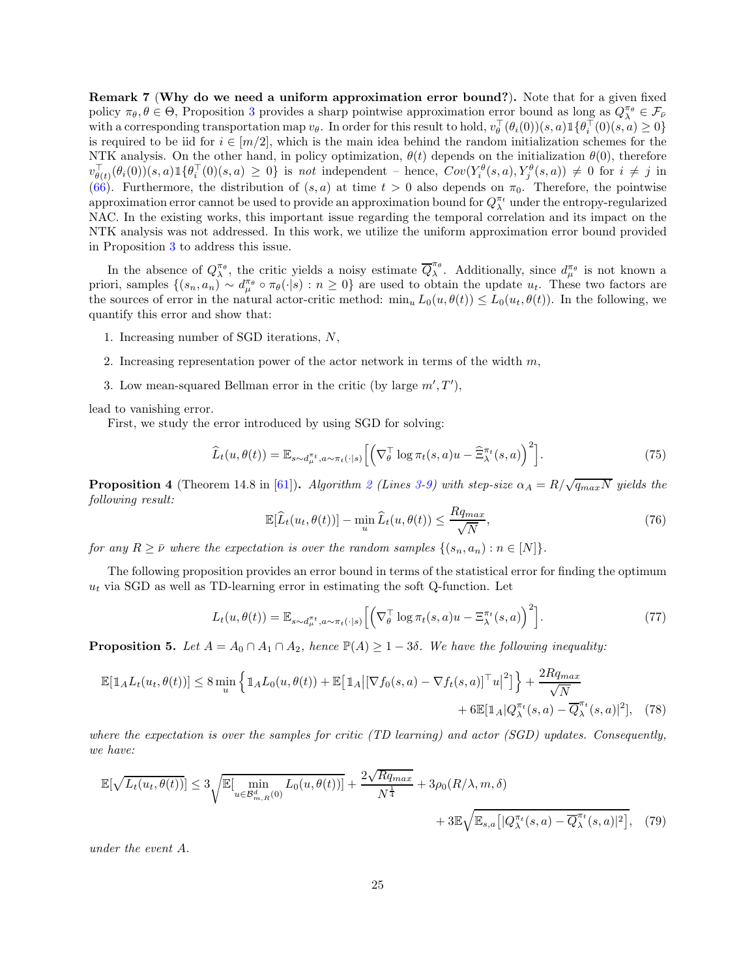<span id="page-24-0"></span>Remark 7 (Why do we need a uniform approximation error bound?). Note that for a given fixed policy  $\pi_{\theta}, \theta \in \Theta$ , Proposition [3](#page-22-4) provides a sharp pointwise approximation error bound as long as  $Q_{\lambda}^{\pi_{\theta}} \in \mathcal{F}_{\bar{\nu}}$ with a corresponding transportation map  $v_{\theta}$ . In order for this result to hold,  $v_{\theta}^{\perp}(\theta_i(0))(s, a) \mathbb{1}\{\theta_i^{\perp}(0)(s, a) \geq 0\}$ is required to be iid for  $i \in [m/2]$ , which is the main idea behind the random initialization schemes for the NTK analysis. On the other hand, in policy optimization,  $\theta(t)$  depends on the initialization  $\theta(0)$ , therefore  $v_{\theta(t)}^{\top}(\theta_i(0))(s,a) \mathbb{1}\{\theta_i^{\top}(0)(s,a) \geq 0\}$  is *not* independent – hence,  $Cov(Y_i^{\theta}(s,a), Y_j^{\theta}(s,a)) \neq 0$  for  $i \neq j$  in [\(66\)](#page-22-1). Furthermore, the distribution of  $(s, a)$  at time  $t > 0$  also depends on  $\pi_0$ . Therefore, the pointwise approximation error cannot be used to provide an approximation bound for  $Q_\lambda^{\pi_t}$  under the entropy-regularized NAC. In the existing works, this important issue regarding the temporal correlation and its impact on the NTK analysis was not addressed. In this work, we utilize the uniform approximation error bound provided in Proposition [3](#page-22-4) to address this issue.

In the absence of  $Q_{\lambda}^{\pi_{\theta}}$ , the critic yields a noisy estimate  $\overline{Q}_{\lambda}^{\pi_{\theta}}$  $\lambda^{\pi_{\theta}}$ . Additionally, since  $d_{\mu}^{\pi_{\theta}}$  is not known a priori, samples  $\{(s_n, a_n) \sim d_\mu^{\pi_\theta} \circ \pi_\theta(\cdot | s) : n \geq 0\}$  are used to obtain the update  $u_t$ . These two factors are the sources of error in the natural actor-critic method:  $\min_u L_0(u, \theta(t)) \leq L_0(u_t, \theta(t))$ . In the following, we quantify this error and show that:

- 1. Increasing number of SGD iterations, N,
- 2. Increasing representation power of the actor network in terms of the width  $m$ ,
- 3. Low mean-squared Bellman error in the critic (by large  $m', T'$ ),

lead to vanishing error.

First, we study the error introduced by using SGD for solving:

$$
\widehat{L}_t(u,\theta(t)) = \mathbb{E}_{s \sim d_{\mu}^{\pi_t}, a \sim \pi_t(\cdot|s)} \left[ \left( \nabla_{\theta}^{\top} \log \pi_t(s, a) u - \widehat{\Xi}_{\lambda}^{\pi_t}(s, a) \right)^2 \right]. \tag{75}
$$

**Proposition 4** (Theorem 14.8 in [\[61\]](#page-30-6)). *Algorithm [2](#page-9-0) (Lines [3-](#page-9-2)[9\)](#page-9-3)* with step-size  $\alpha_A = R/\sqrt{q_{max}N}$  yields the *following result:*

<span id="page-24-1"></span>
$$
\mathbb{E}[\widehat{L}_t(u_t, \theta(t))] - \min_u \widehat{L}_t(u, \theta(t)) \le \frac{Rq_{max}}{\sqrt{N}},\tag{76}
$$

*for any*  $R \geq \bar{\nu}$  *where the expectation is over the random samples*  $\{(s_n, a_n) : n \in [N]\}.$ 

The following proposition provides an error bound in terms of the statistical error for finding the optimum  $u_t$  via SGD as well as TD-learning error in estimating the soft Q-function. Let

<span id="page-24-2"></span>
$$
L_t(u, \theta(t)) = \mathbb{E}_{s \sim d_\mu^{\pi_t}, a \sim \pi_t(\cdot | s)} \left[ \left( \nabla_\theta^\top \log \pi_t(s, a) u - \Xi_\lambda^{\pi_t}(s, a) \right)^2 \right]. \tag{77}
$$

**Proposition 5.** Let  $A = A_0 \cap A_1 \cap A_2$ , hence  $\mathbb{P}(A) \geq 1 - 3\delta$ . We have the following inequality:

$$
\mathbb{E}[\mathbb{1}_A L_t(u_t, \theta(t))] \le 8 \min_u \left\{ \mathbb{1}_A L_0(u, \theta(t)) + \mathbb{E}[\mathbb{1}_A | [\nabla f_0(s, a) - \nabla f_t(s, a)]^\top u|^2] \right\} + \frac{2Rq_{max}}{\sqrt{N}} + 6 \mathbb{E}[\mathbb{1}_A | Q_\lambda^{\pi_t}(s, a) - \overline{Q}_\lambda^{\pi_t}(s, a)|^2], \tag{78}
$$

*where the expectation is over the samples for critic (TD learning) and actor (SGD) updates. Consequently, we have:*

$$
\mathbb{E}[\sqrt{L_t(u_t, \theta(t))}] \le 3\sqrt{\mathbb{E}[\min_{u \in \mathcal{B}_{m,R}^d(0)} L_0(u, \theta(t))] + \frac{2\sqrt{Rq_{max}}}{N^{\frac{1}{4}}} + 3\rho_0(R/\lambda, m, \delta) + 3\mathbb{E}\sqrt{\mathbb{E}_{s,a}[\left|Q_{\lambda}^{\pi_t}(s, a) - \overline{Q}_{\lambda}^{\pi_t}(s, a)\right|^2]},
$$
(79)

*under the event* A*.*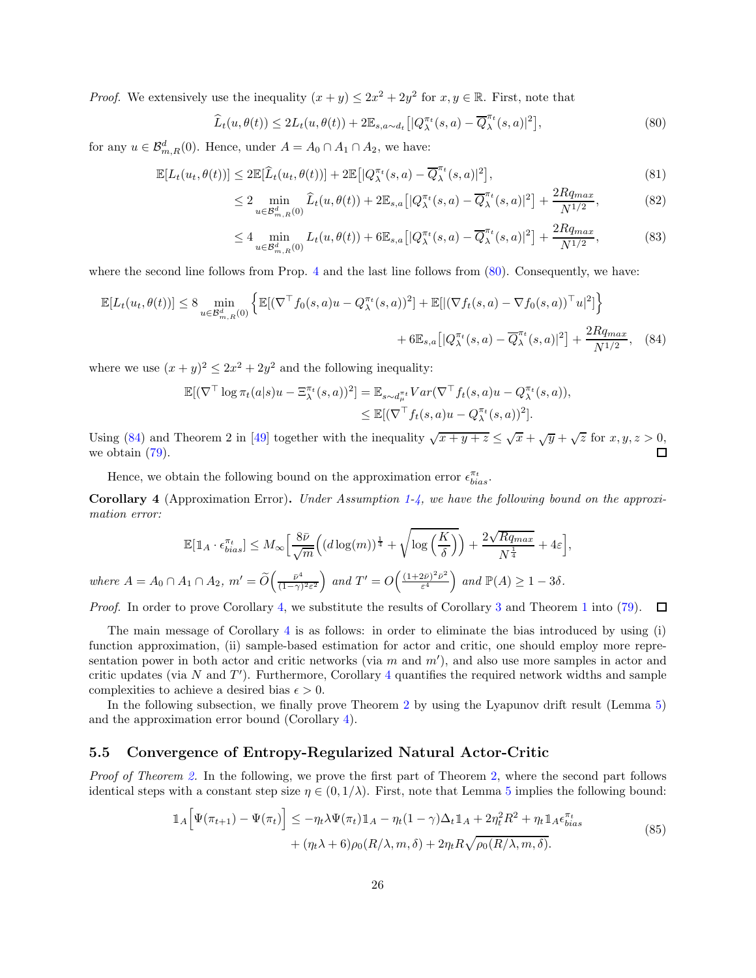*Proof.* We extensively use the inequality  $(x + y) \le 2x^2 + 2y^2$  for  $x, y \in \mathbb{R}$ . First, note that

<span id="page-25-1"></span>
$$
\widehat{L}_t(u,\theta(t)) \le 2L_t(u,\theta(t)) + 2\mathbb{E}_{s,a \sim d_t} \left[ |Q^{\pi_t}_{\lambda}(s,a) - \overline{Q}^{\pi_t}_{\lambda}(s,a)|^2 \right],\tag{80}
$$

for any  $u \in \mathcal{B}_{m,R}^d(0)$ . Hence, under  $A = A_0 \cap A_1 \cap A_2$ , we have:

$$
\mathbb{E}[L_t(u_t, \theta(t))] \le 2\mathbb{E}[\widehat{L}_t(u_t, \theta(t))] + 2\mathbb{E}\big[|Q_{\lambda}^{\pi_t}(s, a) - \overline{Q}_{\lambda}^{\pi_t}(s, a)|^2\big],\tag{81}
$$

$$
\leq 2 \min_{u \in \mathcal{B}_{m,R}^d(0)} \widehat{L}_t(u, \theta(t)) + 2 \mathbb{E}_{s,a} \left[ |Q^{\pi_t}_\lambda(s, a) - \overline{Q}^{\pi_t}_\lambda(s, a)|^2 \right] + \frac{2Rq_{max}}{N^{1/2}},\tag{82}
$$

<span id="page-25-2"></span>
$$
\leq 4 \min_{u \in \mathcal{B}_{m,R}^d(0)} L_t(u, \theta(t)) + 6 \mathbb{E}_{s,a} \left[ |Q_{\lambda}^{\pi_t}(s, a) - \overline{Q}_{\lambda}^{\pi_t}(s, a)|^2 \right] + \frac{2Rq_{max}}{N^{1/2}},
$$
\n(83)

where the second line follows from Prop. [4](#page-24-1) and the last line follows from  $(80)$ . Consequently, we have:

$$
\mathbb{E}[L_t(u_t, \theta(t))] \leq 8 \min_{u \in \mathcal{B}_{m,R}^d(0)} \left\{ \mathbb{E}[(\nabla^{\top} f_0(s, a)u - Q_{\lambda}^{\pi_t}(s, a))^2] + \mathbb{E}[|(\nabla f_t(s, a) - \nabla f_0(s, a))^{\top}u|^2] \right\}
$$

$$
+ 6\mathbb{E}_{s,a} [|Q_{\lambda}^{\pi_t}(s, a) - \overline{Q}_{\lambda}^{\pi_t}(s, a)|^2] + \frac{2Rq_{max}}{N^{1/2}}, \quad (84)
$$

where we use  $(x+y)^2 \leq 2x^2 + 2y^2$  and the following inequality:

$$
\mathbb{E}[(\nabla^{\top} \log \pi_t(a|s)u - \Xi_{\lambda}^{\pi_t}(s,a))^2] = \mathbb{E}_{s \sim d_{\mu}^{\pi_t}} Var(\nabla^{\top} f_t(s,a)u - Q_{\lambda}^{\pi_t}(s,a)),
$$
  
\n
$$
\leq \mathbb{E}[(\nabla^{\top} f_t(s,a)u - Q_{\lambda}^{\pi_t}(s,a))^2].
$$

Using [\(84\)](#page-25-2) and Theorem 2 in [\[49\]](#page-29-12) together with the inequality  $\sqrt{x+y+z} \leq \sqrt{x} + \sqrt{y} + \sqrt{z}$  for  $x, y, z > 0$ , we obtain  $(79)$ .  $\Box$ 

Hence, we obtain the following bound on the approximation error  $\epsilon_{bias}^{\pi_t}.$ 

<span id="page-25-3"></span>Corollary 4 (Approximation Error). *Under Assumption [1](#page-7-3)[-4,](#page-12-3) we have the following bound on the approximation error:*

$$
\mathbb{E}[\mathbb{1}_A \cdot \epsilon_{bias}^{\pi_t}] \le M_{\infty} \Big[ \frac{8\bar{\nu}}{\sqrt{m}} \Big( (d \log(m))^{\frac{1}{4}} + \sqrt{\log\Big(\frac{K}{\delta}\Big)} \Big) + \frac{2\sqrt{Rq_{max}}}{N^{\frac{1}{4}}} + 4\varepsilon \Big],
$$
  
where  $A = A_0 \cap A_1 \cap A_2$ ,  $m' = \widetilde{O}\Big(\frac{\bar{\nu}^4}{(1-\gamma)^2\varepsilon^2}\Big)$  and  $T' = O\Big(\frac{(1+2\bar{\nu})^2\bar{\nu}^2}{\varepsilon^4}\Big)$  and  $\mathbb{P}(A) \ge 1 - 3\delta$ .

*Proof.* In order to prove Corollary [4,](#page-25-3) we substitute the results of Corollary [3](#page-23-3) and Theorem [1](#page-12-4) into [\(79\)](#page-24-2).  $\Box$ 

The main message of Corollary [4](#page-25-3) is as follows: in order to eliminate the bias introduced by using (i) function approximation, (ii) sample-based estimation for actor and critic, one should employ more representation power in both actor and critic networks (via  $m$  and  $m'$ ), and also use more samples in actor and critic updates (via N and  $T'$ ). Furthermore, Corollary [4](#page-25-3) quantifies the required network widths and sample complexities to achieve a desired bias  $\epsilon > 0$ .

<span id="page-25-0"></span>In the following subsection, we finally prove Theorem [2](#page-13-1) by using the Lyapunov drift result (Lemma [5\)](#page-20-0) and the approximation error bound (Corollary [4\)](#page-25-3).

#### 5.5 Convergence of Entropy-Regularized Natural Actor-Critic

*Proof of Theorem [2.](#page-13-1)* In the following, we prove the first part of Theorem [2,](#page-13-1) where the second part follows identical steps with a constant step size  $\eta \in (0, 1/\lambda)$ . First, note that Lemma [5](#page-20-0) implies the following bound:

$$
\mathbb{1}_{A}\left[\Psi(\pi_{t+1})-\Psi(\pi_{t})\right] \leq -\eta_{t}\lambda\Psi(\pi_{t})\mathbb{1}_{A} - \eta_{t}(1-\gamma)\Delta_{t}\mathbb{1}_{A} + 2\eta_{t}^{2}R^{2} + \eta_{t}\mathbb{1}_{A}\epsilon_{bias}^{\pi_{t}} + (\eta_{t}\lambda + 6)\rho_{0}(R/\lambda, m, \delta) + 2\eta_{t}R\sqrt{\rho_{0}(R/\lambda, m, \delta)}.
$$
\n(85)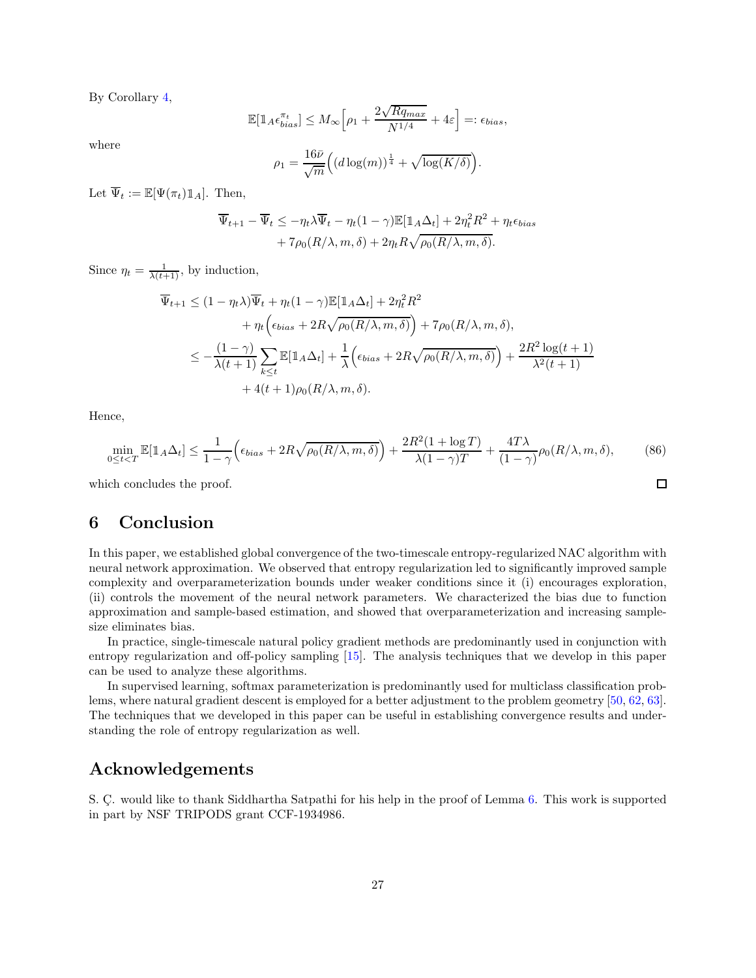By Corollary [4,](#page-25-3)

$$
\mathbb{E}[\mathbb{1}_A \epsilon_{bias}^{\pi_t}] \le M_{\infty} \Big[ \rho_1 + \frac{2\sqrt{Rq_{max}}}{N^{1/4}} + 4\varepsilon \Big] =: \epsilon_{bias},
$$

where

$$
\rho_1 = \frac{16\bar{\nu}}{\sqrt{m}} \Big( (d\log(m))^{\frac{1}{4}} + \sqrt{\log(K/\delta)} \Big).
$$

Let  $\overline{\Psi}_t := \mathbb{E}[\Psi(\pi_t) \mathbbm{1}_A]$ . Then,

$$
\overline{\Psi}_{t+1} - \overline{\Psi}_t \le -\eta_t \lambda \overline{\Psi}_t - \eta_t (1 - \gamma) \mathbb{E}[\mathbb{1}_A \Delta_t] + 2\eta_t^2 R^2 + \eta_t \epsilon_{bias} + 7\rho_0 (R/\lambda, m, \delta) + 2\eta_t R \sqrt{\rho_0 (R/\lambda, m, \delta)}.
$$

Since  $\eta_t = \frac{1}{\lambda(t+1)}$ , by induction,

$$
\overline{\Psi}_{t+1} \leq (1 - \eta_t \lambda) \overline{\Psi}_t + \eta_t (1 - \gamma) \mathbb{E} [\mathbb{1}_A \Delta_t] + 2 \eta_t^2 R^2 \n+ \eta_t \Big( \epsilon_{bias} + 2R \sqrt{\rho_0(R/\lambda, m, \delta)} \Big) + 7 \rho_0(R/\lambda, m, \delta), \n\leq -\frac{(1 - \gamma)}{\lambda(t+1)} \sum_{k \leq t} \mathbb{E} [\mathbb{1}_A \Delta_t] + \frac{1}{\lambda} \Big( \epsilon_{bias} + 2R \sqrt{\rho_0(R/\lambda, m, \delta)} \Big) + \frac{2R^2 \log(t+1)}{\lambda^2(t+1)} \n+ 4(t+1)\rho_0(R/\lambda, m, \delta).
$$

Hence,

$$
\min_{0 \le t < T} \mathbb{E}[\mathbb{1}_A \Delta_t] \le \frac{1}{1 - \gamma} \Big( \epsilon_{bias} + 2R \sqrt{\rho_0(R/\lambda, m, \delta)} \Big) + \frac{2R^2(1 + \log T)}{\lambda(1 - \gamma)T} + \frac{4T\lambda}{(1 - \gamma)} \rho_0(R/\lambda, m, \delta),\tag{86}
$$

<span id="page-26-0"></span>which concludes the proof.

## 6 Conclusion

In this paper, we established global convergence of the two-timescale entropy-regularized NAC algorithm with neural network approximation. We observed that entropy regularization led to significantly improved sample complexity and overparameterization bounds under weaker conditions since it (i) encourages exploration, (ii) controls the movement of the neural network parameters. We characterized the bias due to function approximation and sample-based estimation, and showed that overparameterization and increasing samplesize eliminates bias.

In practice, single-timescale natural policy gradient methods are predominantly used in conjunction with entropy regularization and off-policy sampling [\[15\]](#page-27-14). The analysis techniques that we develop in this paper can be used to analyze these algorithms.

In supervised learning, softmax parameterization is predominantly used for multiclass classification problems, where natural gradient descent is employed for a better adjustment to the problem geometry [\[50,](#page-29-13) [62,](#page-30-7) [63\]](#page-30-8). The techniques that we developed in this paper can be useful in establishing convergence results and understanding the role of entropy regularization as well.

## Acknowledgements

S. Ç. would like to thank Siddhartha Satpathi for his help in the proof of Lemma [6.](#page-23-0) This work is supported in part by NSF TRIPODS grant CCF-1934986.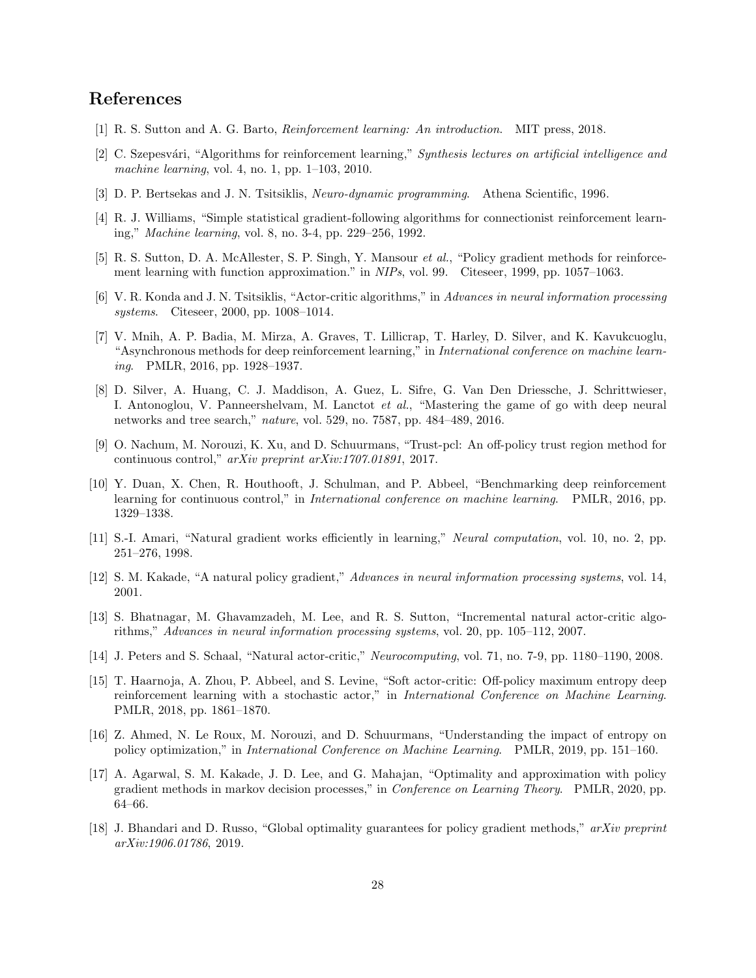## <span id="page-27-0"></span>References

- <span id="page-27-1"></span>[1] R. S. Sutton and A. G. Barto, *Reinforcement learning: An introduction*. MIT press, 2018.
- <span id="page-27-2"></span>[2] C. Szepesv´ari, "Algorithms for reinforcement learning," *Synthesis lectures on artificial intelligence and machine learning*, vol. 4, no. 1, pp. 1–103, 2010.
- <span id="page-27-3"></span>[3] D. P. Bertsekas and J. N. Tsitsiklis, *Neuro-dynamic programming*. Athena Scientific, 1996.
- <span id="page-27-4"></span>[4] R. J. Williams, "Simple statistical gradient-following algorithms for connectionist reinforcement learning," *Machine learning*, vol. 8, no. 3-4, pp. 229–256, 1992.
- <span id="page-27-5"></span>[5] R. S. Sutton, D. A. McAllester, S. P. Singh, Y. Mansour *et al.*, "Policy gradient methods for reinforcement learning with function approximation." in *NIPs*, vol. 99. Citeseer, 1999, pp. 1057–1063.
- <span id="page-27-6"></span>[6] V. R. Konda and J. N. Tsitsiklis, "Actor-critic algorithms," in *Advances in neural information processing systems*. Citeseer, 2000, pp. 1008–1014.
- [7] V. Mnih, A. P. Badia, M. Mirza, A. Graves, T. Lillicrap, T. Harley, D. Silver, and K. Kavukcuoglu, "Asynchronous methods for deep reinforcement learning," in *International conference on machine learning*. PMLR, 2016, pp. 1928–1937.
- <span id="page-27-7"></span>[8] D. Silver, A. Huang, C. J. Maddison, A. Guez, L. Sifre, G. Van Den Driessche, J. Schrittwieser, I. Antonoglou, V. Panneershelvam, M. Lanctot *et al.*, "Mastering the game of go with deep neural networks and tree search," *nature*, vol. 529, no. 7587, pp. 484–489, 2016.
- <span id="page-27-8"></span>[9] O. Nachum, M. Norouzi, K. Xu, and D. Schuurmans, "Trust-pcl: An off-policy trust region method for continuous control," *arXiv preprint arXiv:1707.01891*, 2017.
- <span id="page-27-9"></span>[10] Y. Duan, X. Chen, R. Houthooft, J. Schulman, and P. Abbeel, "Benchmarking deep reinforcement learning for continuous control," in *International conference on machine learning*. PMLR, 2016, pp. 1329–1338.
- <span id="page-27-10"></span>[11] S.-I. Amari, "Natural gradient works efficiently in learning," *Neural computation*, vol. 10, no. 2, pp. 251–276, 1998.
- <span id="page-27-12"></span><span id="page-27-11"></span>[12] S. M. Kakade, "A natural policy gradient," *Advances in neural information processing systems*, vol. 14, 2001.
- [13] S. Bhatnagar, M. Ghavamzadeh, M. Lee, and R. S. Sutton, "Incremental natural actor-critic algorithms," *Advances in neural information processing systems*, vol. 20, pp. 105–112, 2007.
- <span id="page-27-14"></span><span id="page-27-13"></span>[14] J. Peters and S. Schaal, "Natural actor-critic," *Neurocomputing*, vol. 71, no. 7-9, pp. 1180–1190, 2008.
- [15] T. Haarnoja, A. Zhou, P. Abbeel, and S. Levine, "Soft actor-critic: Off-policy maximum entropy deep reinforcement learning with a stochastic actor," in *International Conference on Machine Learning*. PMLR, 2018, pp. 1861–1870.
- <span id="page-27-15"></span>[16] Z. Ahmed, N. Le Roux, M. Norouzi, and D. Schuurmans, "Understanding the impact of entropy on policy optimization," in *International Conference on Machine Learning*. PMLR, 2019, pp. 151–160.
- <span id="page-27-16"></span>[17] A. Agarwal, S. M. Kakade, J. D. Lee, and G. Mahajan, "Optimality and approximation with policy gradient methods in markov decision processes," in *Conference on Learning Theory*. PMLR, 2020, pp. 64–66.
- <span id="page-27-17"></span>[18] J. Bhandari and D. Russo, "Global optimality guarantees for policy gradient methods," *arXiv preprint arXiv:1906.01786*, 2019.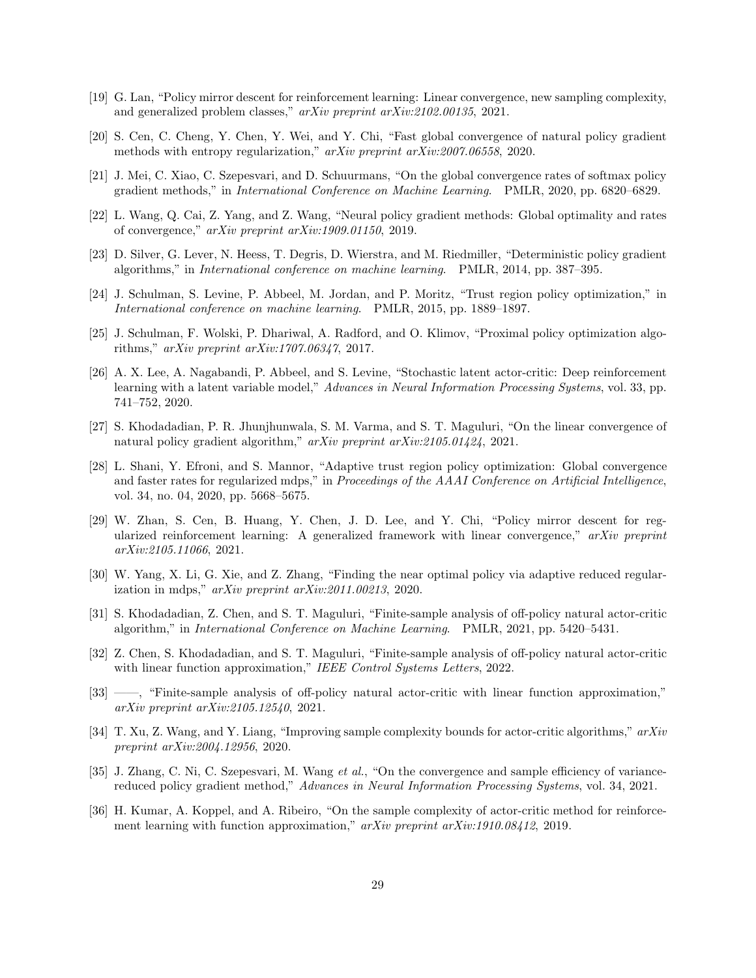- <span id="page-28-1"></span><span id="page-28-0"></span>[19] G. Lan, "Policy mirror descent for reinforcement learning: Linear convergence, new sampling complexity, and generalized problem classes," *arXiv preprint arXiv:2102.00135*, 2021.
- <span id="page-28-2"></span>[20] S. Cen, C. Cheng, Y. Chen, Y. Wei, and Y. Chi, "Fast global convergence of natural policy gradient methods with entropy regularization," *arXiv preprint arXiv:2007.06558*, 2020.
- <span id="page-28-3"></span>[21] J. Mei, C. Xiao, C. Szepesvari, and D. Schuurmans, "On the global convergence rates of softmax policy gradient methods," in *International Conference on Machine Learning*. PMLR, 2020, pp. 6820–6829.
- <span id="page-28-4"></span>[22] L. Wang, Q. Cai, Z. Yang, and Z. Wang, "Neural policy gradient methods: Global optimality and rates of convergence," *arXiv preprint arXiv:1909.01150*, 2019.
- <span id="page-28-5"></span>[23] D. Silver, G. Lever, N. Heess, T. Degris, D. Wierstra, and M. Riedmiller, "Deterministic policy gradient algorithms," in *International conference on machine learning*. PMLR, 2014, pp. 387–395.
- <span id="page-28-6"></span>[24] J. Schulman, S. Levine, P. Abbeel, M. Jordan, and P. Moritz, "Trust region policy optimization," in *International conference on machine learning*. PMLR, 2015, pp. 1889–1897.
- [25] J. Schulman, F. Wolski, P. Dhariwal, A. Radford, and O. Klimov, "Proximal policy optimization algorithms," *arXiv preprint arXiv:1707.06347*, 2017.
- <span id="page-28-7"></span>[26] A. X. Lee, A. Nagabandi, P. Abbeel, and S. Levine, "Stochastic latent actor-critic: Deep reinforcement learning with a latent variable model," *Advances in Neural Information Processing Systems*, vol. 33, pp. 741–752, 2020.
- <span id="page-28-8"></span>[27] S. Khodadadian, P. R. Jhunjhunwala, S. M. Varma, and S. T. Maguluri, "On the linear convergence of natural policy gradient algorithm," *arXiv preprint arXiv:2105.01424*, 2021.
- <span id="page-28-9"></span>[28] L. Shani, Y. Efroni, and S. Mannor, "Adaptive trust region policy optimization: Global convergence and faster rates for regularized mdps," in *Proceedings of the AAAI Conference on Artificial Intelligence*, vol. 34, no. 04, 2020, pp. 5668–5675.
- <span id="page-28-10"></span>[29] W. Zhan, S. Cen, B. Huang, Y. Chen, J. D. Lee, and Y. Chi, "Policy mirror descent for regularized reinforcement learning: A generalized framework with linear convergence," *arXiv preprint arXiv:2105.11066*, 2021.
- <span id="page-28-11"></span>[30] W. Yang, X. Li, G. Xie, and Z. Zhang, "Finding the near optimal policy via adaptive reduced regularization in mdps," *arXiv preprint arXiv:2011.00213*, 2020.
- <span id="page-28-12"></span>[31] S. Khodadadian, Z. Chen, and S. T. Maguluri, "Finite-sample analysis of off-policy natural actor-critic algorithm," in *International Conference on Machine Learning*. PMLR, 2021, pp. 5420–5431.
- <span id="page-28-13"></span>[32] Z. Chen, S. Khodadadian, and S. T. Maguluri, "Finite-sample analysis of off-policy natural actor-critic with linear function approximation," *IEEE Control Systems Letters*, 2022.
- <span id="page-28-14"></span>[33] ——, "Finite-sample analysis of off-policy natural actor-critic with linear function approximation," *arXiv preprint arXiv:2105.12540*, 2021.
- <span id="page-28-15"></span>[34] T. Xu, Z. Wang, and Y. Liang, "Improving sample complexity bounds for actor-critic algorithms," *arXiv preprint arXiv:2004.12956*, 2020.
- <span id="page-28-16"></span>[35] J. Zhang, C. Ni, C. Szepesvari, M. Wang *et al.*, "On the convergence and sample efficiency of variancereduced policy gradient method," *Advances in Neural Information Processing Systems*, vol. 34, 2021.
- <span id="page-28-17"></span>[36] H. Kumar, A. Koppel, and A. Ribeiro, "On the sample complexity of actor-critic method for reinforcement learning with function approximation," *arXiv preprint arXiv:1910.08412*, 2019.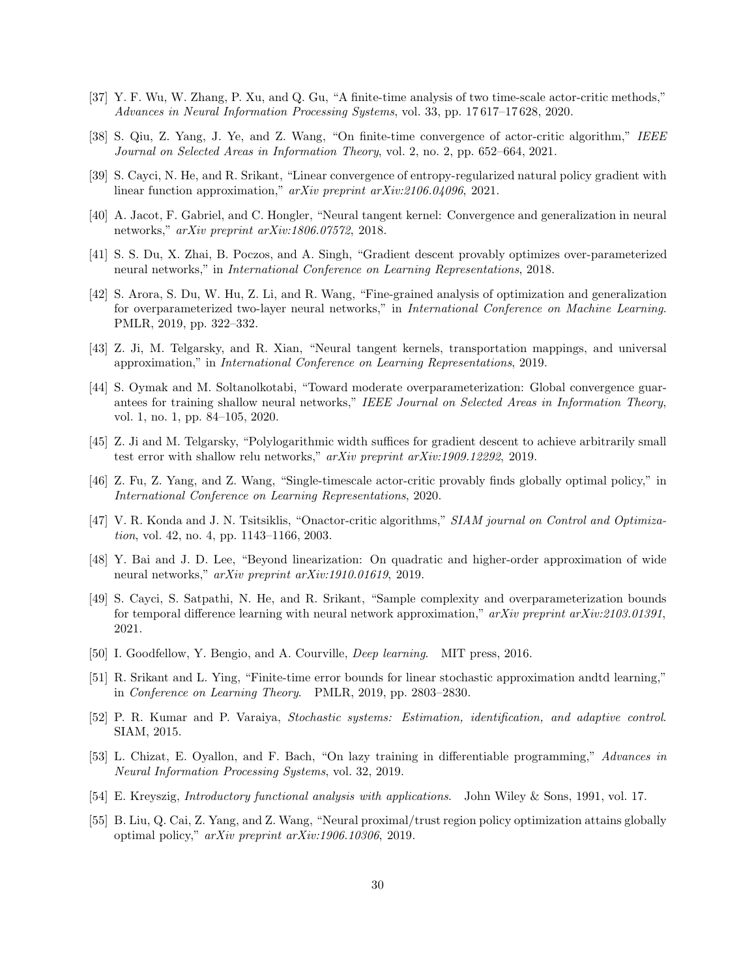- <span id="page-29-1"></span><span id="page-29-0"></span>[37] Y. F. Wu, W. Zhang, P. Xu, and Q. Gu, "A finite-time analysis of two time-scale actor-critic methods," *Advances in Neural Information Processing Systems*, vol. 33, pp. 17 617–17 628, 2020.
- <span id="page-29-2"></span>[38] S. Qiu, Z. Yang, J. Ye, and Z. Wang, "On finite-time convergence of actor-critic algorithm," *IEEE Journal on Selected Areas in Information Theory*, vol. 2, no. 2, pp. 652–664, 2021.
- <span id="page-29-3"></span>[39] S. Cayci, N. He, and R. Srikant, "Linear convergence of entropy-regularized natural policy gradient with linear function approximation," *arXiv preprint arXiv:2106.04096*, 2021.
- <span id="page-29-4"></span>[40] A. Jacot, F. Gabriel, and C. Hongler, "Neural tangent kernel: Convergence and generalization in neural networks," *arXiv preprint arXiv:1806.07572*, 2018.
- <span id="page-29-5"></span>[41] S. S. Du, X. Zhai, B. Poczos, and A. Singh, "Gradient descent provably optimizes over-parameterized neural networks," in *International Conference on Learning Representations*, 2018.
- [42] S. Arora, S. Du, W. Hu, Z. Li, and R. Wang, "Fine-grained analysis of optimization and generalization for overparameterized two-layer neural networks," in *International Conference on Machine Learning*. PMLR, 2019, pp. 322–332.
- <span id="page-29-7"></span><span id="page-29-6"></span>[43] Z. Ji, M. Telgarsky, and R. Xian, "Neural tangent kernels, transportation mappings, and universal approximation," in *International Conference on Learning Representations*, 2019.
- [44] S. Oymak and M. Soltanolkotabi, "Toward moderate overparameterization: Global convergence guarantees for training shallow neural networks," *IEEE Journal on Selected Areas in Information Theory*, vol. 1, no. 1, pp. 84–105, 2020.
- <span id="page-29-8"></span>[45] Z. Ji and M. Telgarsky, "Polylogarithmic width suffices for gradient descent to achieve arbitrarily small test error with shallow relu networks," *arXiv preprint arXiv:1909.12292*, 2019.
- <span id="page-29-9"></span>[46] Z. Fu, Z. Yang, and Z. Wang, "Single-timescale actor-critic provably finds globally optimal policy," in *International Conference on Learning Representations*, 2020.
- <span id="page-29-10"></span>[47] V. R. Konda and J. N. Tsitsiklis, "Onactor-critic algorithms," *SIAM journal on Control and Optimization*, vol. 42, no. 4, pp. 1143–1166, 2003.
- <span id="page-29-11"></span>[48] Y. Bai and J. D. Lee, "Beyond linearization: On quadratic and higher-order approximation of wide neural networks," *arXiv preprint arXiv:1910.01619*, 2019.
- <span id="page-29-12"></span>[49] S. Cayci, S. Satpathi, N. He, and R. Srikant, "Sample complexity and overparameterization bounds for temporal difference learning with neural network approximation," *arXiv preprint arXiv:2103.01391*, 2021.
- <span id="page-29-14"></span><span id="page-29-13"></span>[50] I. Goodfellow, Y. Bengio, and A. Courville, *Deep learning*. MIT press, 2016.
- [51] R. Srikant and L. Ying, "Finite-time error bounds for linear stochastic approximation andtd learning," in *Conference on Learning Theory*. PMLR, 2019, pp. 2803–2830.
- <span id="page-29-15"></span>[52] P. R. Kumar and P. Varaiya, *Stochastic systems: Estimation, identification, and adaptive control*. SIAM, 2015.
- <span id="page-29-16"></span>[53] L. Chizat, E. Oyallon, and F. Bach, "On lazy training in differentiable programming," *Advances in Neural Information Processing Systems*, vol. 32, 2019.
- <span id="page-29-18"></span><span id="page-29-17"></span>[54] E. Kreyszig, *Introductory functional analysis with applications*. John Wiley & Sons, 1991, vol. 17.
- [55] B. Liu, Q. Cai, Z. Yang, and Z. Wang, "Neural proximal/trust region policy optimization attains globally optimal policy," *arXiv preprint arXiv:1906.10306*, 2019.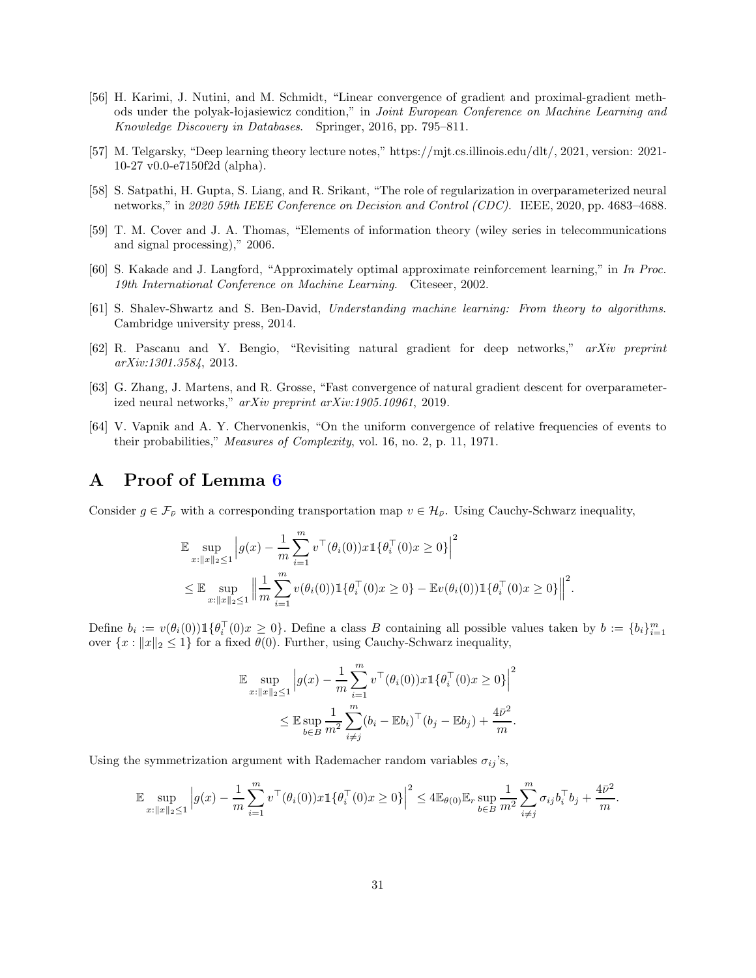- <span id="page-30-1"></span>[56] H. Karimi, J. Nutini, and M. Schmidt, "Linear convergence of gradient and proximal-gradient methods under the polyak- lojasiewicz condition," in *Joint European Conference on Machine Learning and Knowledge Discovery in Databases*. Springer, 2016, pp. 795–811.
- <span id="page-30-2"></span>[57] M. Telgarsky, "Deep learning theory lecture notes," [https://mjt.cs.illinois.edu/dlt/,](https://mjt.cs.illinois.edu/dlt/) 2021, version: 2021- 10-27 v0.0-e7150f2d (alpha).
- <span id="page-30-3"></span>[58] S. Satpathi, H. Gupta, S. Liang, and R. Srikant, "The role of regularization in overparameterized neural networks," in *2020 59th IEEE Conference on Decision and Control (CDC)*. IEEE, 2020, pp. 4683–4688.
- <span id="page-30-5"></span><span id="page-30-4"></span>[59] T. M. Cover and J. A. Thomas, "Elements of information theory (wiley series in telecommunications and signal processing)," 2006.
- <span id="page-30-6"></span>[60] S. Kakade and J. Langford, "Approximately optimal approximate reinforcement learning," in *In Proc. 19th International Conference on Machine Learning*. Citeseer, 2002.
- <span id="page-30-7"></span>[61] S. Shalev-Shwartz and S. Ben-David, *Understanding machine learning: From theory to algorithms*. Cambridge university press, 2014.
- [62] R. Pascanu and Y. Bengio, "Revisiting natural gradient for deep networks," *arXiv preprint arXiv:1301.3584*, 2013.
- <span id="page-30-8"></span>[63] G. Zhang, J. Martens, and R. Grosse, "Fast convergence of natural gradient descent for overparameterized neural networks," *arXiv preprint arXiv:1905.10961*, 2019.
- <span id="page-30-9"></span>[64] V. Vapnik and A. Y. Chervonenkis, "On the uniform convergence of relative frequencies of events to their probabilities," *Measures of Complexity*, vol. 16, no. 2, p. 11, 1971.

## <span id="page-30-0"></span>A Proof of Lemma [6](#page-23-0)

Consider  $g \in \mathcal{F}_{\bar{\nu}}$  with a corresponding transportation map  $v \in \mathcal{H}_{\bar{\nu}}$ . Using Cauchy-Schwarz inequality,

$$
\mathbb{E} \sup_{x:||x||_2 \le 1} \left| g(x) - \frac{1}{m} \sum_{i=1}^m v^\top (\theta_i(0)) x \mathbb{1} \{ \theta_i^\top (0) x \ge 0 \} \right|^2
$$
\n
$$
\le \mathbb{E} \sup_{x:||x||_2 \le 1} \left\| \frac{1}{m} \sum_{i=1}^m v(\theta_i(0)) \mathbb{1} \{ \theta_i^\top (0) x \ge 0 \} - \mathbb{E} v(\theta_i(0)) \mathbb{1} \{ \theta_i^\top (0) x \ge 0 \} \right\|^2
$$

.

Define  $b_i := v(\theta_i(0)) \mathbb{1}\{\theta_i^{\top}(0)x \geq 0\}$ . Define a class B containing all possible values taken by  $b := \{b_i\}_{i=1}^m$ over  $\{x : ||x||_2 \leq 1\}$  for a fixed  $\theta(0)$ . Further, using Cauchy-Schwarz inequality,

$$
\mathbb{E} \sup_{x: \|x\|_2 \le 1} \left| g(x) - \frac{1}{m} \sum_{i=1}^m v^\top (\theta_i(0)) x \mathbb{1} \{ \theta_i^\top (0) x \ge 0 \} \right|^2
$$
  

$$
\le \mathbb{E} \sup_{b \in B} \frac{1}{m^2} \sum_{i \ne j}^m (b_i - \mathbb{E} b_i)^\top (b_j - \mathbb{E} b_j) + \frac{4\bar{\nu}^2}{m}.
$$

Using the symmetrization argument with Rademacher random variables  $\sigma_{ij}$ 's,

$$
\mathbb{E} \sup_{x: \|x\|_2 \le 1} \left| g(x) - \frac{1}{m} \sum_{i=1}^m v^\top (\theta_i(0)) x \mathbb{1}\{\theta_i^\top (0) x \ge 0\} \right|^2 \le 4 \mathbb{E}_{\theta(0)} \mathbb{E}_r \sup_{b \in B} \frac{1}{m^2} \sum_{i \ne j}^m \sigma_{ij} b_i^\top b_j + \frac{4\bar{\nu}^2}{m}.
$$